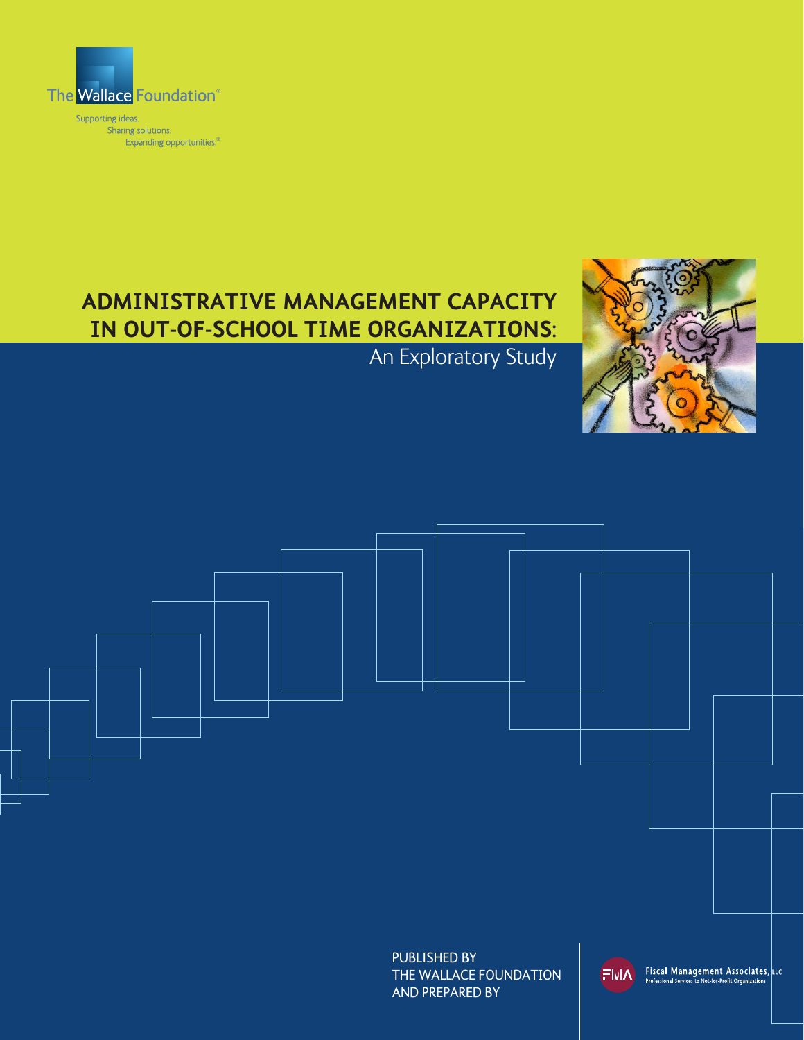

Supporting ideas.<br>Sharing solutions. Expanding opportunities.<sup>®</sup>

# **Administrative Management Capacity in Out-of-School Time Organizations:**

## An Exploratory Study





PUBLISHED BY THE WALLACE FOUNDATION AND PREPARED BY

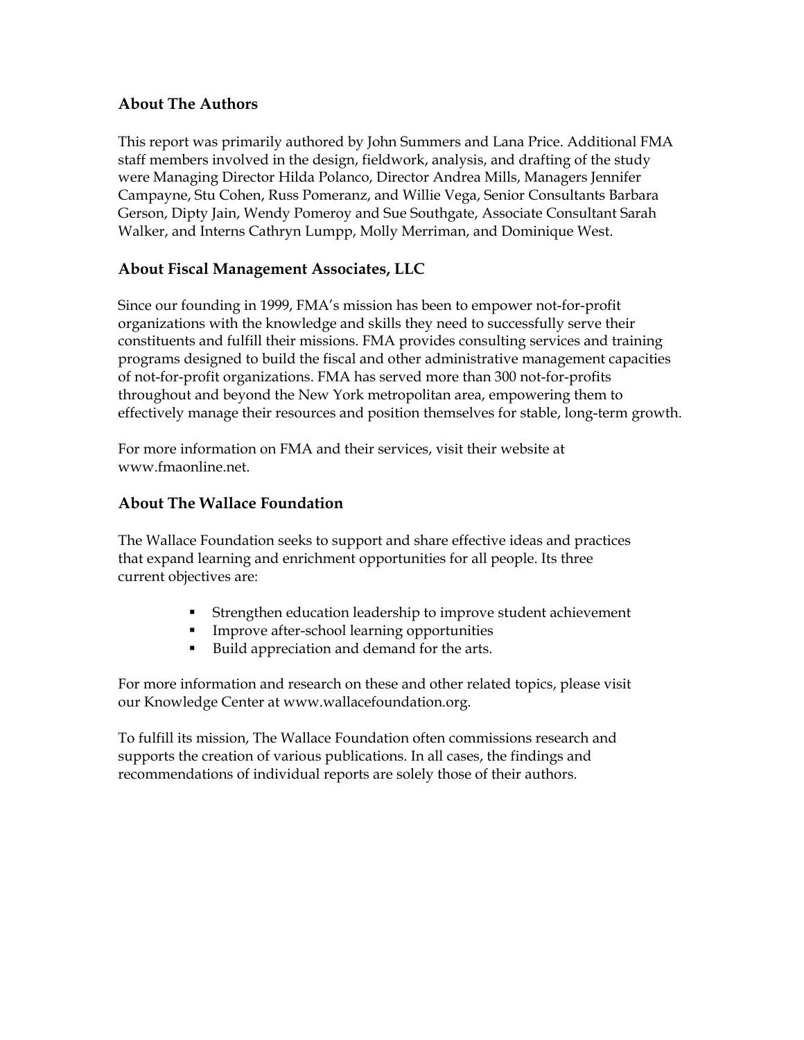## **About The Authors**

This report was primarily authored by John Summers and Lana Price. Additional FMA staff members involved in the design, fieldwork, analysis, and drafting of the study were Managing Director Hilda Polanco, Director Andrea Mills, Managers Jennifer Campayne, Stu Cohen, Russ Pomeranz, and Willie Vega, Senior Consultants Barbara Gerson, Dipty Jain, Wendy Pomeroy and Sue Southgate, Associate Consultant Sarah Walker, and Interns Cathryn Lumpp, Molly Merriman, and Dominique West.

## **About Fiscal Management Associates, LLC**

Since our founding in 1999, FMA's mission has been to empower not-for-profit organizations with the knowledge and skills they need to successfully serve their constituents and fulfill their missions. FMA provides consulting services and training programs designed to build the fiscal and other administrative management capacities of not-for-profit organizations. FMA has served more than 300 not-for-profits throughout and beyond the New York metropolitan area, empowering them to effectively manage their resources and position themselves for stable, long-term growth.

For more information on FMA and their services, visit their website at www.fmaonline.net.

## **About The Wallace Foundation**

The Wallace Foundation seeks to support and share effective ideas and practices that expand learning and enrichment opportunities for all people. Its three current objectives are:

- Strengthen education leadership to improve student achievement
- **IMPROVE after-school learning opportunities**
- Build appreciation and demand for the arts.

For more information and research on these and other related topics, please visit our Knowledge Center at www.wallacefoundation.org.

To fulfill its mission, The Wallace Foundation often commissions research and supports the creation of various publications. In all cases, the findings and recommendations of individual reports are solely those of their authors.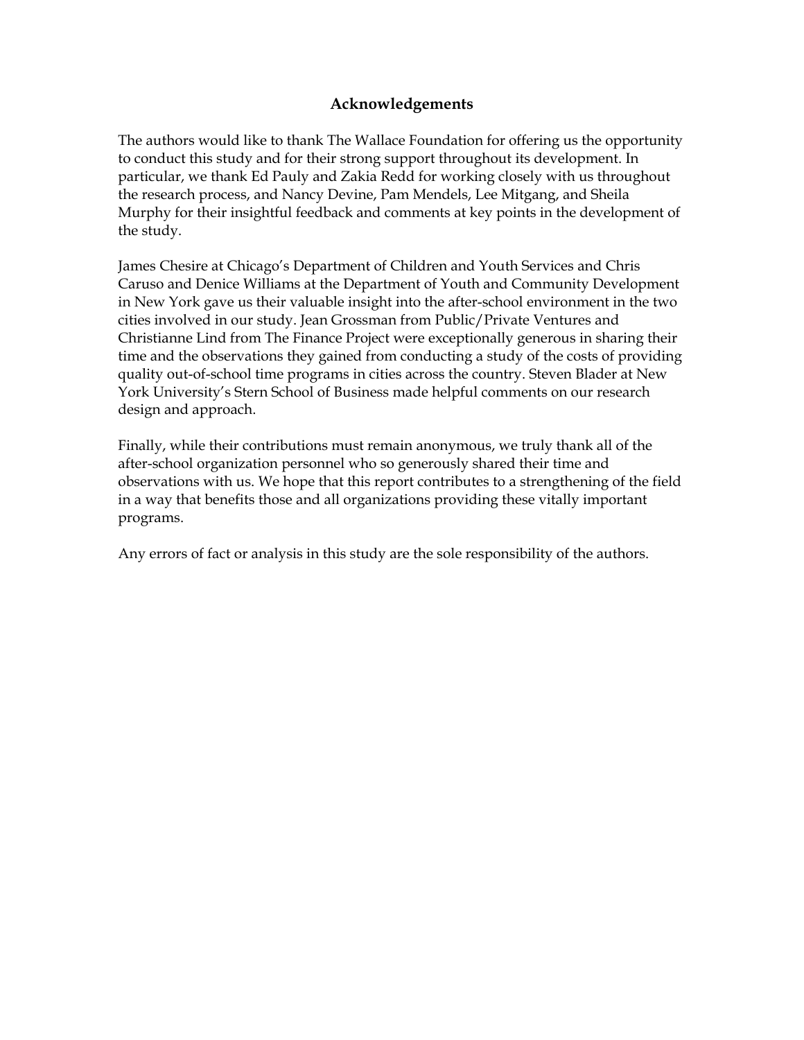## **Acknowledgements**

The authors would like to thank The Wallace Foundation for offering us the opportunity to conduct this study and for their strong support throughout its development. In particular, we thank Ed Pauly and Zakia Redd for working closely with us throughout the research process, and Nancy Devine, Pam Mendels, Lee Mitgang, and Sheila Murphy for their insightful feedback and comments at key points in the development of the study.

James Chesire at Chicago's Department of Children and Youth Services and Chris Caruso and Denice Williams at the Department of Youth and Community Development in New York gave us their valuable insight into the after-school environment in the two cities involved in our study. Jean Grossman from Public/Private Ventures and Christianne Lind from The Finance Project were exceptionally generous in sharing their time and the observations they gained from conducting a study of the costs of providing quality out-of-school time programs in cities across the country. Steven Blader at New York University's Stern School of Business made helpful comments on our research design and approach.

Finally, while their contributions must remain anonymous, we truly thank all of the after-school organization personnel who so generously shared their time and observations with us. We hope that this report contributes to a strengthening of the field in a way that benefits those and all organizations providing these vitally important programs.

Any errors of fact or analysis in this study are the sole responsibility of the authors.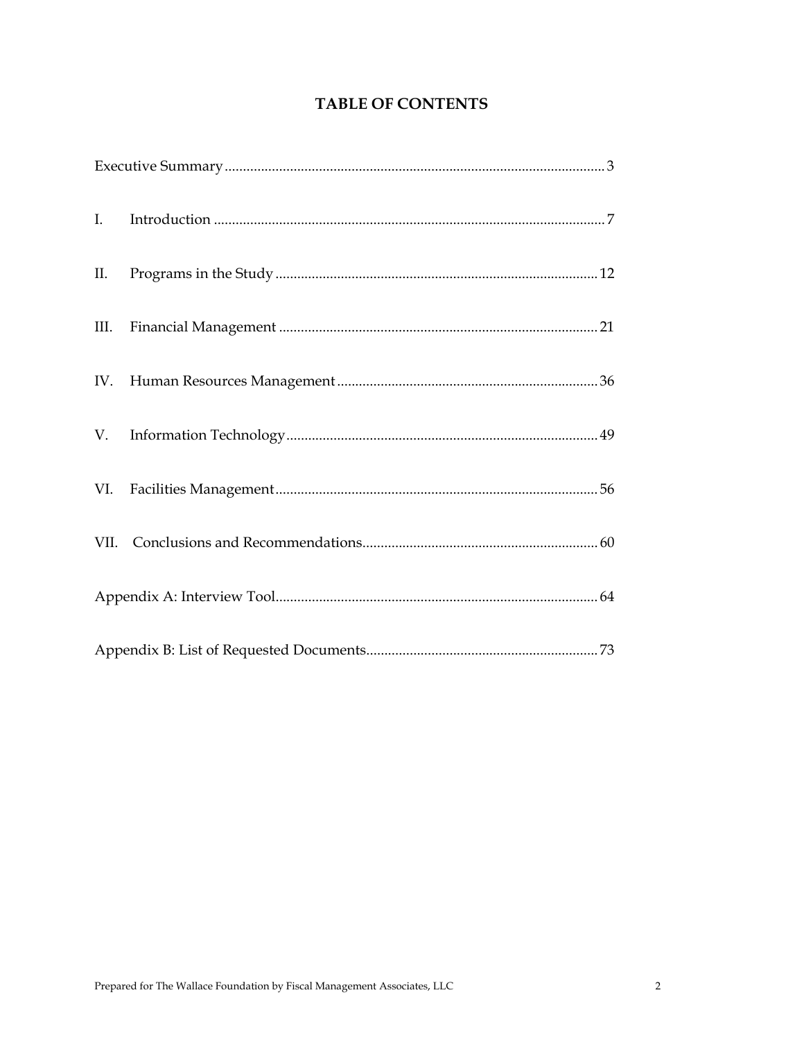## **TABLE OF CONTENTS**

| $\mathbf{I}$ . |  |
|----------------|--|
|                |  |
|                |  |
|                |  |
|                |  |
|                |  |
|                |  |
|                |  |
|                |  |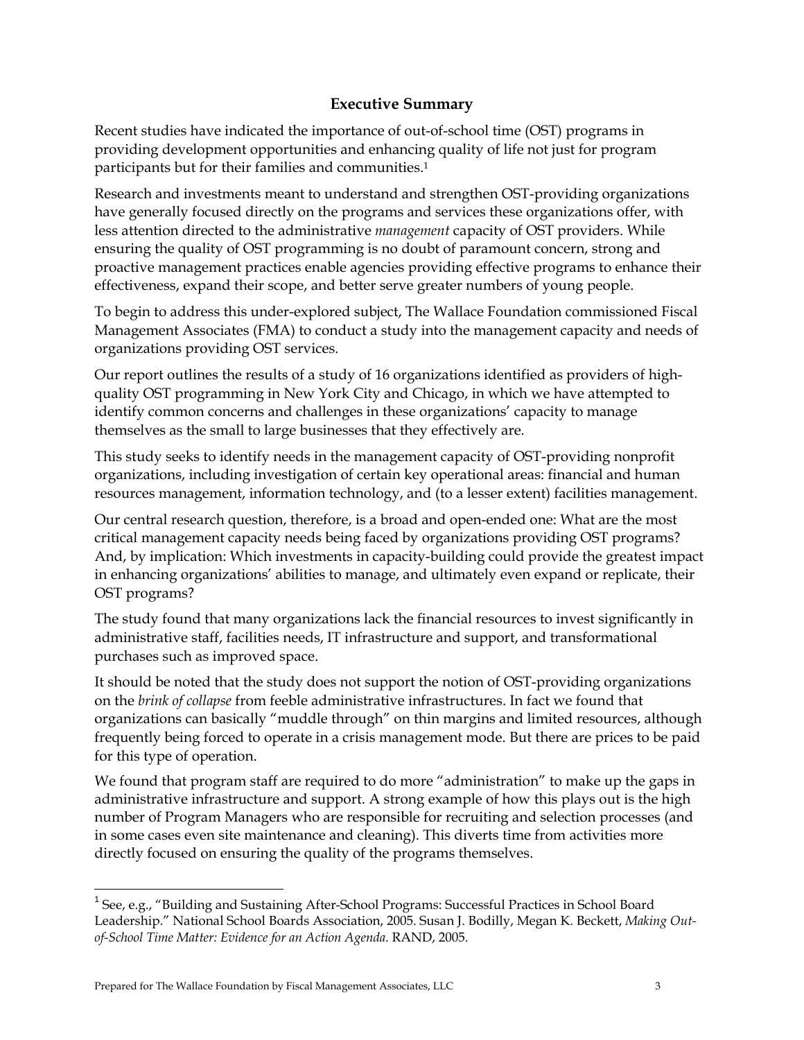## **Executive Summary**

Recent studies have indicated the importance of out-of-school time (OST) programs in providing development opportunities and enhancing quality of life not just for program participants but for their families and communities.1

Research and investments meant to understand and strengthen OST-providing organizations have generally focused directly on the programs and services these organizations offer, with less attention directed to the administrative *management* capacity of OST providers. While ensuring the quality of OST programming is no doubt of paramount concern, strong and proactive management practices enable agencies providing effective programs to enhance their effectiveness, expand their scope, and better serve greater numbers of young people.

To begin to address this under-explored subject, The Wallace Foundation commissioned Fiscal Management Associates (FMA) to conduct a study into the management capacity and needs of organizations providing OST services.

Our report outlines the results of a study of 16 organizations identified as providers of highquality OST programming in New York City and Chicago, in which we have attempted to identify common concerns and challenges in these organizations' capacity to manage themselves as the small to large businesses that they effectively are.

This study seeks to identify needs in the management capacity of OST-providing nonprofit organizations, including investigation of certain key operational areas: financial and human resources management, information technology, and (to a lesser extent) facilities management.

Our central research question, therefore, is a broad and open-ended one: What are the most critical management capacity needs being faced by organizations providing OST programs? And, by implication: Which investments in capacity-building could provide the greatest impact in enhancing organizations' abilities to manage, and ultimately even expand or replicate, their OST programs?

The study found that many organizations lack the financial resources to invest significantly in administrative staff, facilities needs, IT infrastructure and support, and transformational purchases such as improved space.

It should be noted that the study does not support the notion of OST-providing organizations on the *brink of collapse* from feeble administrative infrastructures. In fact we found that organizations can basically "muddle through" on thin margins and limited resources, although frequently being forced to operate in a crisis management mode. But there are prices to be paid for this type of operation.

We found that program staff are required to do more "administration" to make up the gaps in administrative infrastructure and support. A strong example of how this plays out is the high number of Program Managers who are responsible for recruiting and selection processes (and in some cases even site maintenance and cleaning). This diverts time from activities more directly focused on ensuring the quality of the programs themselves.

 $\overline{a}$ 

<sup>&</sup>lt;sup>1</sup> See, e.g., "Building and Sustaining After-School Programs: Successful Practices in School Board Leadership." National School Boards Association, 2005. Susan J. Bodilly, Megan K. Beckett, *Making Outof-School Time Matter: Evidence for an Action Agenda*. RAND, 2005.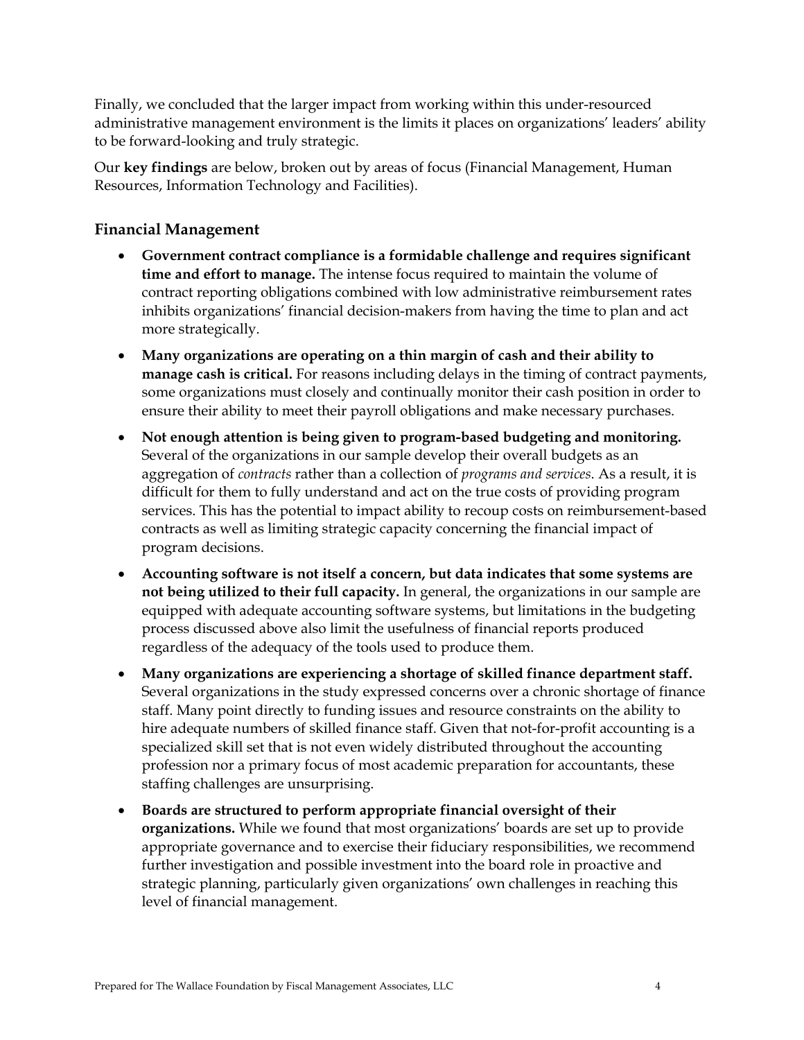Finally, we concluded that the larger impact from working within this under-resourced administrative management environment is the limits it places on organizations' leaders' ability to be forward-looking and truly strategic.

Our **key findings** are below, broken out by areas of focus (Financial Management, Human Resources, Information Technology and Facilities).

## **Financial Management**

- **Government contract compliance is a formidable challenge and requires significant time and effort to manage.** The intense focus required to maintain the volume of contract reporting obligations combined with low administrative reimbursement rates inhibits organizations' financial decision-makers from having the time to plan and act more strategically.
- **Many organizations are operating on a thin margin of cash and their ability to manage cash is critical.** For reasons including delays in the timing of contract payments, some organizations must closely and continually monitor their cash position in order to ensure their ability to meet their payroll obligations and make necessary purchases.
- **Not enough attention is being given to program-based budgeting and monitoring.**  Several of the organizations in our sample develop their overall budgets as an aggregation of *contracts* rather than a collection of *programs and services*. As a result, it is difficult for them to fully understand and act on the true costs of providing program services. This has the potential to impact ability to recoup costs on reimbursement-based contracts as well as limiting strategic capacity concerning the financial impact of program decisions.
- **Accounting software is not itself a concern, but data indicates that some systems are not being utilized to their full capacity.** In general, the organizations in our sample are equipped with adequate accounting software systems, but limitations in the budgeting process discussed above also limit the usefulness of financial reports produced regardless of the adequacy of the tools used to produce them.
- **Many organizations are experiencing a shortage of skilled finance department staff.**  Several organizations in the study expressed concerns over a chronic shortage of finance staff. Many point directly to funding issues and resource constraints on the ability to hire adequate numbers of skilled finance staff. Given that not-for-profit accounting is a specialized skill set that is not even widely distributed throughout the accounting profession nor a primary focus of most academic preparation for accountants, these staffing challenges are unsurprising.
- **Boards are structured to perform appropriate financial oversight of their organizations.** While we found that most organizations' boards are set up to provide appropriate governance and to exercise their fiduciary responsibilities, we recommend further investigation and possible investment into the board role in proactive and strategic planning, particularly given organizations' own challenges in reaching this level of financial management.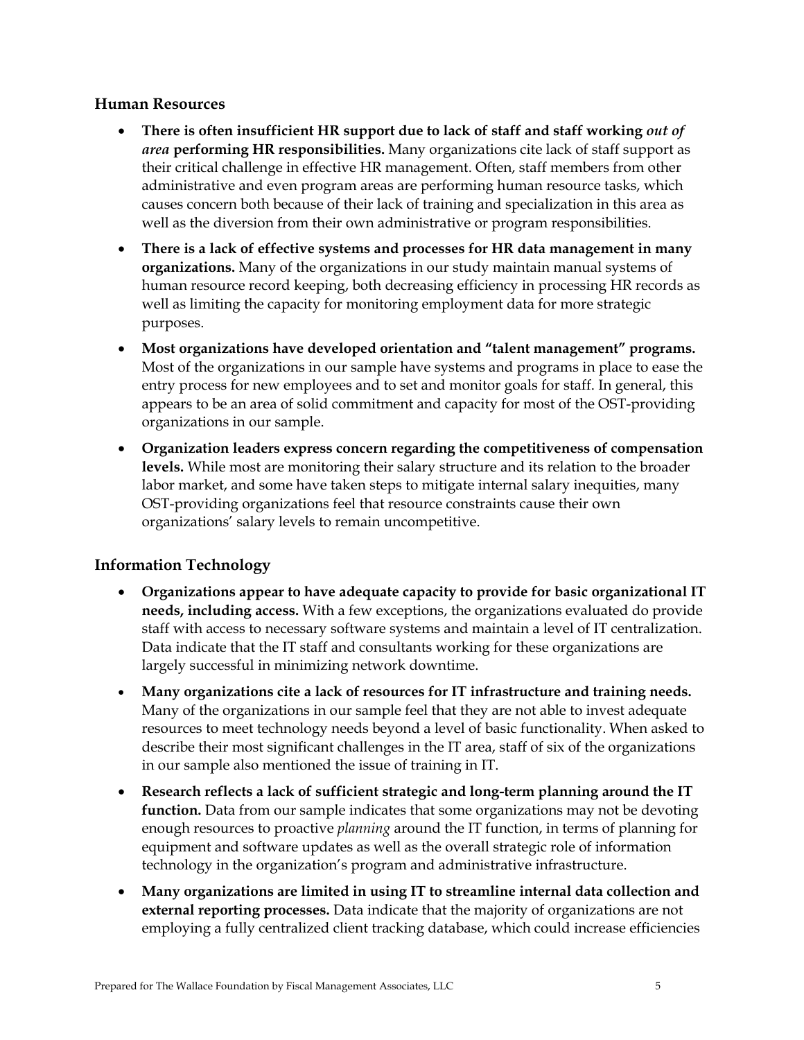#### **Human Resources**

- **There is often insufficient HR support due to lack of staff and staff working** *out of area* **performing HR responsibilities.** Many organizations cite lack of staff support as their critical challenge in effective HR management. Often, staff members from other administrative and even program areas are performing human resource tasks, which causes concern both because of their lack of training and specialization in this area as well as the diversion from their own administrative or program responsibilities.
- **There is a lack of effective systems and processes for HR data management in many organizations.** Many of the organizations in our study maintain manual systems of human resource record keeping, both decreasing efficiency in processing HR records as well as limiting the capacity for monitoring employment data for more strategic purposes.
- **Most organizations have developed orientation and "talent management" programs.** Most of the organizations in our sample have systems and programs in place to ease the entry process for new employees and to set and monitor goals for staff. In general, this appears to be an area of solid commitment and capacity for most of the OST-providing organizations in our sample.
- **Organization leaders express concern regarding the competitiveness of compensation levels.** While most are monitoring their salary structure and its relation to the broader labor market, and some have taken steps to mitigate internal salary inequities, many OST-providing organizations feel that resource constraints cause their own organizations' salary levels to remain uncompetitive.

## **Information Technology**

- **Organizations appear to have adequate capacity to provide for basic organizational IT needs, including access.** With a few exceptions, the organizations evaluated do provide staff with access to necessary software systems and maintain a level of IT centralization. Data indicate that the IT staff and consultants working for these organizations are largely successful in minimizing network downtime.
- **Many organizations cite a lack of resources for IT infrastructure and training needs.** Many of the organizations in our sample feel that they are not able to invest adequate resources to meet technology needs beyond a level of basic functionality. When asked to describe their most significant challenges in the IT area, staff of six of the organizations in our sample also mentioned the issue of training in IT.
- **Research reflects a lack of sufficient strategic and long-term planning around the IT function.** Data from our sample indicates that some organizations may not be devoting enough resources to proactive *planning* around the IT function, in terms of planning for equipment and software updates as well as the overall strategic role of information technology in the organization's program and administrative infrastructure.
- **Many organizations are limited in using IT to streamline internal data collection and external reporting processes.** Data indicate that the majority of organizations are not employing a fully centralized client tracking database, which could increase efficiencies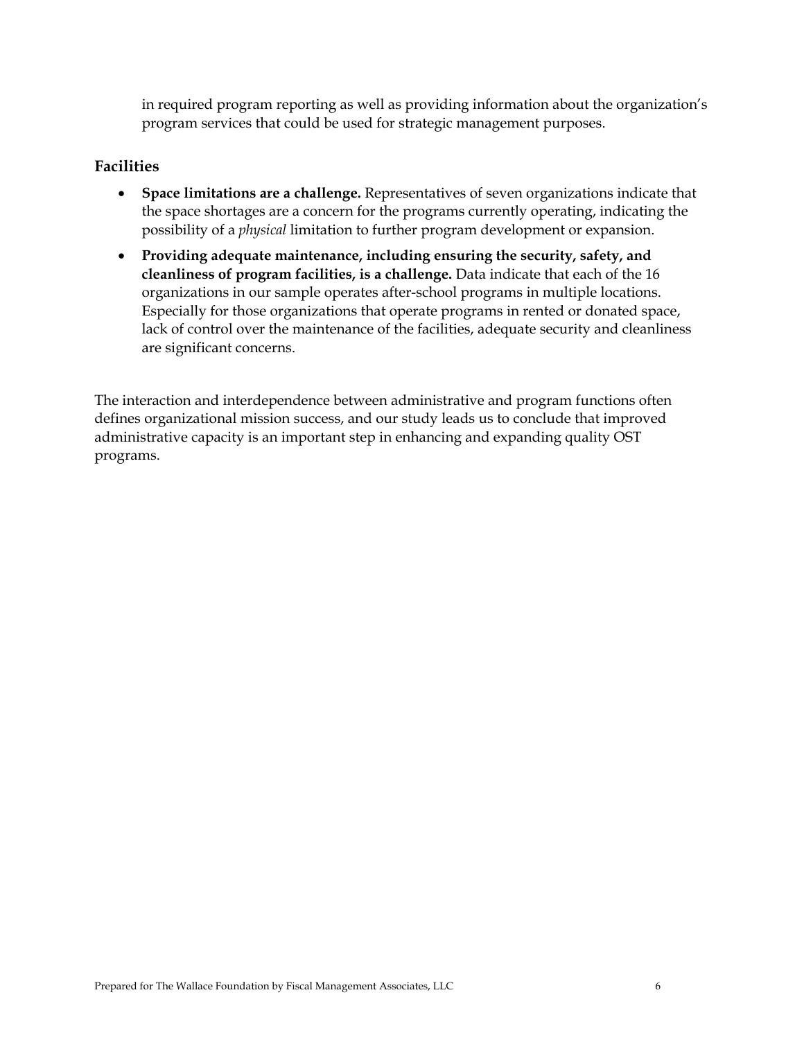in required program reporting as well as providing information about the organization's program services that could be used for strategic management purposes.

## **Facilities**

- **Space limitations are a challenge.** Representatives of seven organizations indicate that the space shortages are a concern for the programs currently operating, indicating the possibility of a *physical* limitation to further program development or expansion.
- **Providing adequate maintenance, including ensuring the security, safety, and cleanliness of program facilities, is a challenge.** Data indicate that each of the 16 organizations in our sample operates after-school programs in multiple locations. Especially for those organizations that operate programs in rented or donated space, lack of control over the maintenance of the facilities, adequate security and cleanliness are significant concerns.

The interaction and interdependence between administrative and program functions often defines organizational mission success, and our study leads us to conclude that improved administrative capacity is an important step in enhancing and expanding quality OST programs.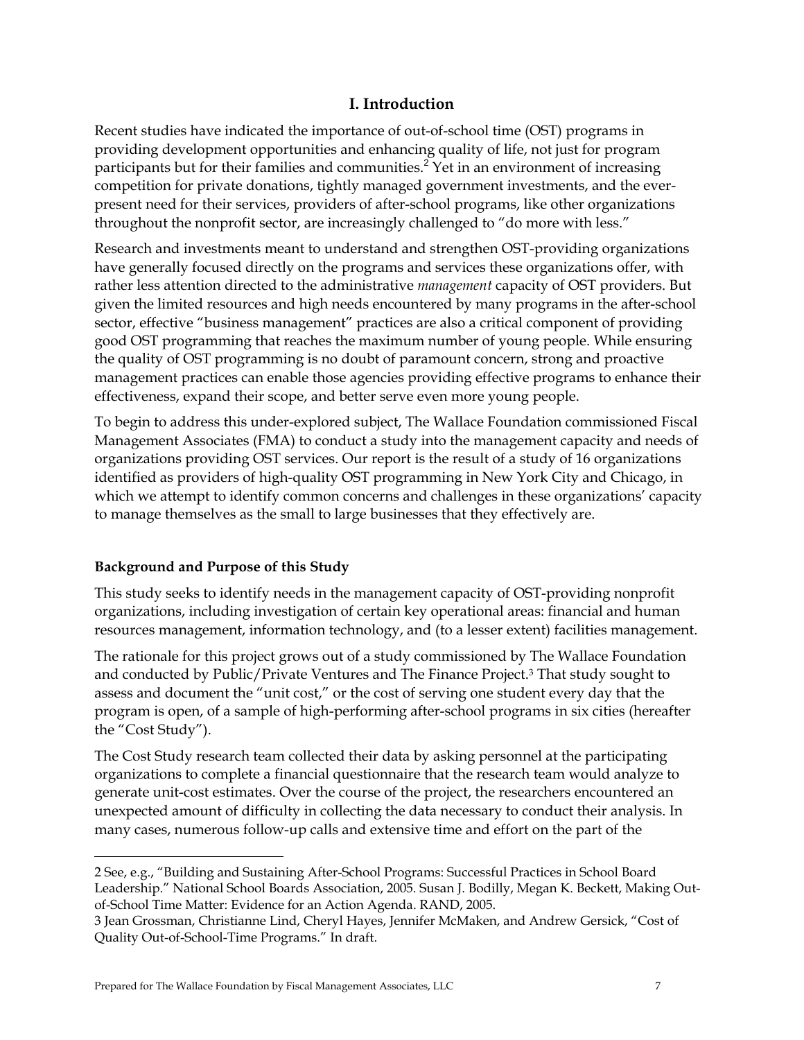## **I. Introduction**

Recent studies have indicated the importance of out-of-school time (OST) programs in providing development opportunities and enhancing quality of life, not just for program participants but for their families and communities.<sup>2</sup> Yet in an environment of increasing competition for private donations, tightly managed government investments, and the everpresent need for their services, providers of after-school programs, like other organizations throughout the nonprofit sector, are increasingly challenged to "do more with less."

Research and investments meant to understand and strengthen OST-providing organizations have generally focused directly on the programs and services these organizations offer, with rather less attention directed to the administrative *management* capacity of OST providers. But given the limited resources and high needs encountered by many programs in the after-school sector, effective "business management" practices are also a critical component of providing good OST programming that reaches the maximum number of young people. While ensuring the quality of OST programming is no doubt of paramount concern, strong and proactive management practices can enable those agencies providing effective programs to enhance their effectiveness, expand their scope, and better serve even more young people.

To begin to address this under-explored subject, The Wallace Foundation commissioned Fiscal Management Associates (FMA) to conduct a study into the management capacity and needs of organizations providing OST services. Our report is the result of a study of 16 organizations identified as providers of high-quality OST programming in New York City and Chicago, in which we attempt to identify common concerns and challenges in these organizations' capacity to manage themselves as the small to large businesses that they effectively are.

## **Background and Purpose of this Study**

<u>.</u>

This study seeks to identify needs in the management capacity of OST-providing nonprofit organizations, including investigation of certain key operational areas: financial and human resources management, information technology, and (to a lesser extent) facilities management.

The rationale for this project grows out of a study commissioned by The Wallace Foundation and conducted by Public/Private Ventures and The Finance Project.3 That study sought to assess and document the "unit cost," or the cost of serving one student every day that the program is open, of a sample of high-performing after-school programs in six cities (hereafter the "Cost Study").

The Cost Study research team collected their data by asking personnel at the participating organizations to complete a financial questionnaire that the research team would analyze to generate unit-cost estimates. Over the course of the project, the researchers encountered an unexpected amount of difficulty in collecting the data necessary to conduct their analysis. In many cases, numerous follow-up calls and extensive time and effort on the part of the

<sup>2</sup> See, e.g., "Building and Sustaining After-School Programs: Successful Practices in School Board Leadership." National School Boards Association, 2005. Susan J. Bodilly, Megan K. Beckett, Making Outof-School Time Matter: Evidence for an Action Agenda. RAND, 2005.

<sup>3</sup> Jean Grossman, Christianne Lind, Cheryl Hayes, Jennifer McMaken, and Andrew Gersick, "Cost of Quality Out-of-School-Time Programs." In draft.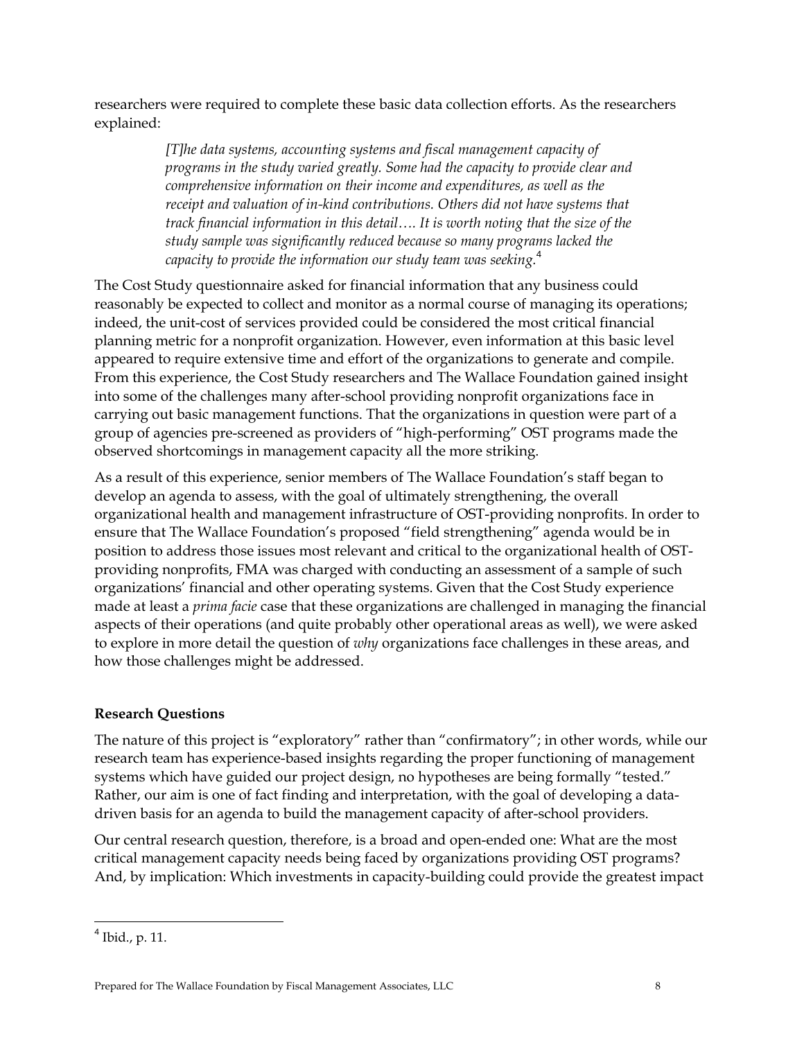researchers were required to complete these basic data collection efforts. As the researchers explained:

> *[T]he data systems, accounting systems and fiscal management capacity of programs in the study varied greatly. Some had the capacity to provide clear and comprehensive information on their income and expenditures, as well as the*  receipt and valuation of in-kind contributions. Others did not have systems that *track financial information in this detail…. It is worth noting that the size of the study sample was significantly reduced because so many programs lacked the capacity to provide the information our study team was seeking.*<sup>4</sup>

The Cost Study questionnaire asked for financial information that any business could reasonably be expected to collect and monitor as a normal course of managing its operations; indeed, the unit-cost of services provided could be considered the most critical financial planning metric for a nonprofit organization. However, even information at this basic level appeared to require extensive time and effort of the organizations to generate and compile. From this experience, the Cost Study researchers and The Wallace Foundation gained insight into some of the challenges many after-school providing nonprofit organizations face in carrying out basic management functions. That the organizations in question were part of a group of agencies pre-screened as providers of "high-performing" OST programs made the observed shortcomings in management capacity all the more striking.

As a result of this experience, senior members of The Wallace Foundation's staff began to develop an agenda to assess, with the goal of ultimately strengthening, the overall organizational health and management infrastructure of OST-providing nonprofits. In order to ensure that The Wallace Foundation's proposed "field strengthening" agenda would be in position to address those issues most relevant and critical to the organizational health of OSTproviding nonprofits, FMA was charged with conducting an assessment of a sample of such organizations' financial and other operating systems. Given that the Cost Study experience made at least a *prima facie* case that these organizations are challenged in managing the financial aspects of their operations (and quite probably other operational areas as well), we were asked to explore in more detail the question of *why* organizations face challenges in these areas, and how those challenges might be addressed.

## **Research Questions**

The nature of this project is "exploratory" rather than "confirmatory"; in other words, while our research team has experience-based insights regarding the proper functioning of management systems which have guided our project design, no hypotheses are being formally "tested." Rather, our aim is one of fact finding and interpretation, with the goal of developing a datadriven basis for an agenda to build the management capacity of after-school providers.

Our central research question, therefore, is a broad and open-ended one: What are the most critical management capacity needs being faced by organizations providing OST programs? And, by implication: Which investments in capacity-building could provide the greatest impact

 $\overline{a}$ 

<sup>4</sup> Ibid., p. 11.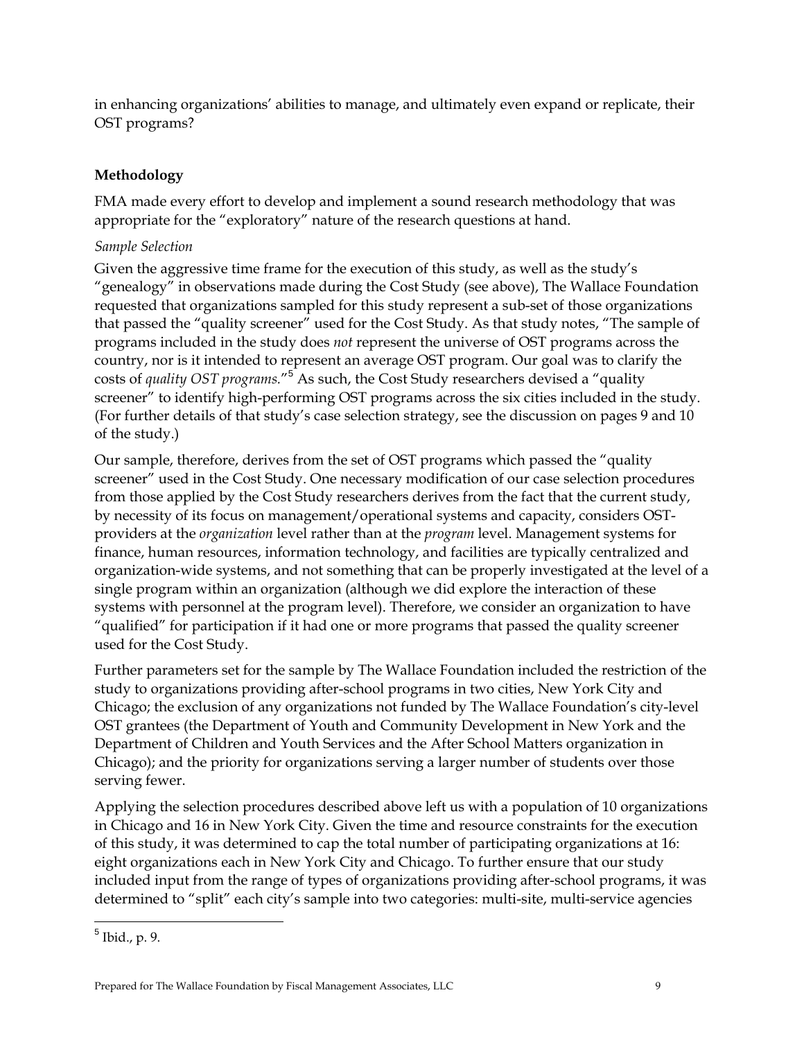in enhancing organizations' abilities to manage, and ultimately even expand or replicate, their OST programs?

## **Methodology**

FMA made every effort to develop and implement a sound research methodology that was appropriate for the "exploratory" nature of the research questions at hand.

### *Sample Selection*

Given the aggressive time frame for the execution of this study, as well as the study's "genealogy" in observations made during the Cost Study (see above), The Wallace Foundation requested that organizations sampled for this study represent a sub-set of those organizations that passed the "quality screener" used for the Cost Study. As that study notes, "The sample of programs included in the study does *not* represent the universe of OST programs across the country, nor is it intended to represent an average OST program. Our goal was to clarify the costs of *quality OST programs.*"<sup>5</sup> As such, the Cost Study researchers devised a "quality screener" to identify high-performing OST programs across the six cities included in the study. (For further details of that study's case selection strategy, see the discussion on pages 9 and 10 of the study.)

Our sample, therefore, derives from the set of OST programs which passed the "quality screener" used in the Cost Study. One necessary modification of our case selection procedures from those applied by the Cost Study researchers derives from the fact that the current study, by necessity of its focus on management/operational systems and capacity, considers OSTproviders at the *organization* level rather than at the *program* level. Management systems for finance, human resources, information technology, and facilities are typically centralized and organization-wide systems, and not something that can be properly investigated at the level of a single program within an organization (although we did explore the interaction of these systems with personnel at the program level). Therefore, we consider an organization to have "qualified" for participation if it had one or more programs that passed the quality screener used for the Cost Study.

Further parameters set for the sample by The Wallace Foundation included the restriction of the study to organizations providing after-school programs in two cities, New York City and Chicago; the exclusion of any organizations not funded by The Wallace Foundation's city-level OST grantees (the Department of Youth and Community Development in New York and the Department of Children and Youth Services and the After School Matters organization in Chicago); and the priority for organizations serving a larger number of students over those serving fewer.

Applying the selection procedures described above left us with a population of 10 organizations in Chicago and 16 in New York City. Given the time and resource constraints for the execution of this study, it was determined to cap the total number of participating organizations at 16: eight organizations each in New York City and Chicago. To further ensure that our study included input from the range of types of organizations providing after-school programs, it was determined to "split" each city's sample into two categories: multi-site, multi-service agencies

<u>.</u>

<sup>5</sup> Ibid., p. 9.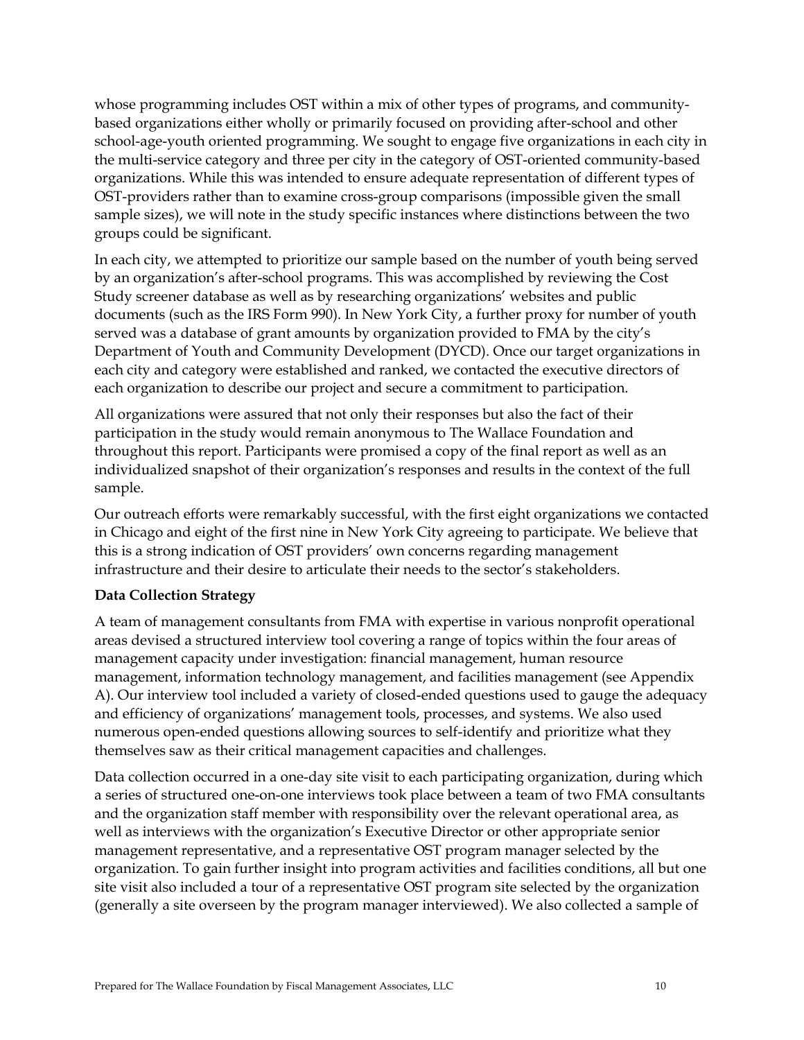whose programming includes OST within a mix of other types of programs, and communitybased organizations either wholly or primarily focused on providing after-school and other school-age-youth oriented programming. We sought to engage five organizations in each city in the multi-service category and three per city in the category of OST-oriented community-based organizations. While this was intended to ensure adequate representation of different types of OST-providers rather than to examine cross-group comparisons (impossible given the small sample sizes), we will note in the study specific instances where distinctions between the two groups could be significant.

In each city, we attempted to prioritize our sample based on the number of youth being served by an organization's after-school programs. This was accomplished by reviewing the Cost Study screener database as well as by researching organizations' websites and public documents (such as the IRS Form 990). In New York City, a further proxy for number of youth served was a database of grant amounts by organization provided to FMA by the city's Department of Youth and Community Development (DYCD). Once our target organizations in each city and category were established and ranked, we contacted the executive directors of each organization to describe our project and secure a commitment to participation.

All organizations were assured that not only their responses but also the fact of their participation in the study would remain anonymous to The Wallace Foundation and throughout this report. Participants were promised a copy of the final report as well as an individualized snapshot of their organization's responses and results in the context of the full sample.

Our outreach efforts were remarkably successful, with the first eight organizations we contacted in Chicago and eight of the first nine in New York City agreeing to participate. We believe that this is a strong indication of OST providers' own concerns regarding management infrastructure and their desire to articulate their needs to the sector's stakeholders.

#### **Data Collection Strategy**

A team of management consultants from FMA with expertise in various nonprofit operational areas devised a structured interview tool covering a range of topics within the four areas of management capacity under investigation: financial management, human resource management, information technology management, and facilities management (see Appendix A). Our interview tool included a variety of closed-ended questions used to gauge the adequacy and efficiency of organizations' management tools, processes, and systems. We also used numerous open-ended questions allowing sources to self-identify and prioritize what they themselves saw as their critical management capacities and challenges.

Data collection occurred in a one-day site visit to each participating organization, during which a series of structured one-on-one interviews took place between a team of two FMA consultants and the organization staff member with responsibility over the relevant operational area, as well as interviews with the organization's Executive Director or other appropriate senior management representative, and a representative OST program manager selected by the organization. To gain further insight into program activities and facilities conditions, all but one site visit also included a tour of a representative OST program site selected by the organization (generally a site overseen by the program manager interviewed). We also collected a sample of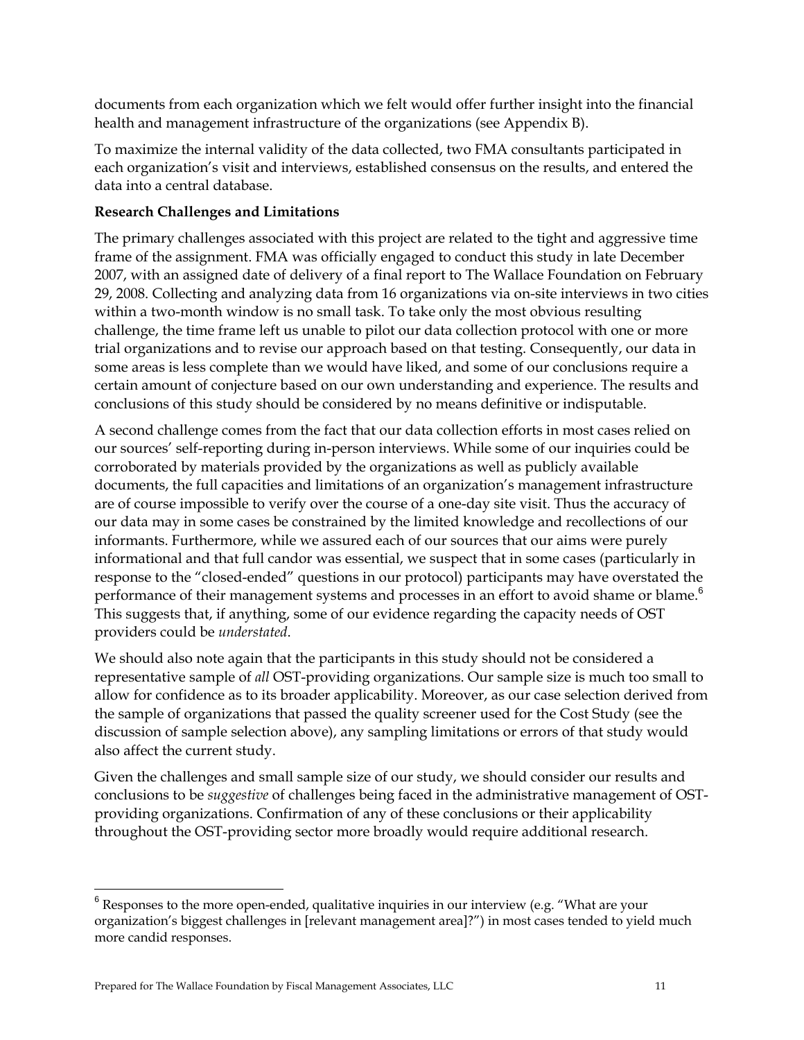documents from each organization which we felt would offer further insight into the financial health and management infrastructure of the organizations (see Appendix B).

To maximize the internal validity of the data collected, two FMA consultants participated in each organization's visit and interviews, established consensus on the results, and entered the data into a central database.

## **Research Challenges and Limitations**

The primary challenges associated with this project are related to the tight and aggressive time frame of the assignment. FMA was officially engaged to conduct this study in late December 2007, with an assigned date of delivery of a final report to The Wallace Foundation on February 29, 2008. Collecting and analyzing data from 16 organizations via on-site interviews in two cities within a two-month window is no small task. To take only the most obvious resulting challenge, the time frame left us unable to pilot our data collection protocol with one or more trial organizations and to revise our approach based on that testing. Consequently, our data in some areas is less complete than we would have liked, and some of our conclusions require a certain amount of conjecture based on our own understanding and experience. The results and conclusions of this study should be considered by no means definitive or indisputable.

A second challenge comes from the fact that our data collection efforts in most cases relied on our sources' self-reporting during in-person interviews. While some of our inquiries could be corroborated by materials provided by the organizations as well as publicly available documents, the full capacities and limitations of an organization's management infrastructure are of course impossible to verify over the course of a one-day site visit. Thus the accuracy of our data may in some cases be constrained by the limited knowledge and recollections of our informants. Furthermore, while we assured each of our sources that our aims were purely informational and that full candor was essential, we suspect that in some cases (particularly in response to the "closed-ended" questions in our protocol) participants may have overstated the performance of their management systems and processes in an effort to avoid shame or blame.<sup>6</sup> This suggests that, if anything, some of our evidence regarding the capacity needs of OST providers could be *understated*.

We should also note again that the participants in this study should not be considered a representative sample of *all* OST-providing organizations. Our sample size is much too small to allow for confidence as to its broader applicability. Moreover, as our case selection derived from the sample of organizations that passed the quality screener used for the Cost Study (see the discussion of sample selection above), any sampling limitations or errors of that study would also affect the current study.

Given the challenges and small sample size of our study, we should consider our results and conclusions to be *suggestive* of challenges being faced in the administrative management of OSTproviding organizations. Confirmation of any of these conclusions or their applicability throughout the OST-providing sector more broadly would require additional research.

-

 $6$  Responses to the more open-ended, qualitative inquiries in our interview (e.g. "What are your organization's biggest challenges in [relevant management area]?") in most cases tended to yield much more candid responses.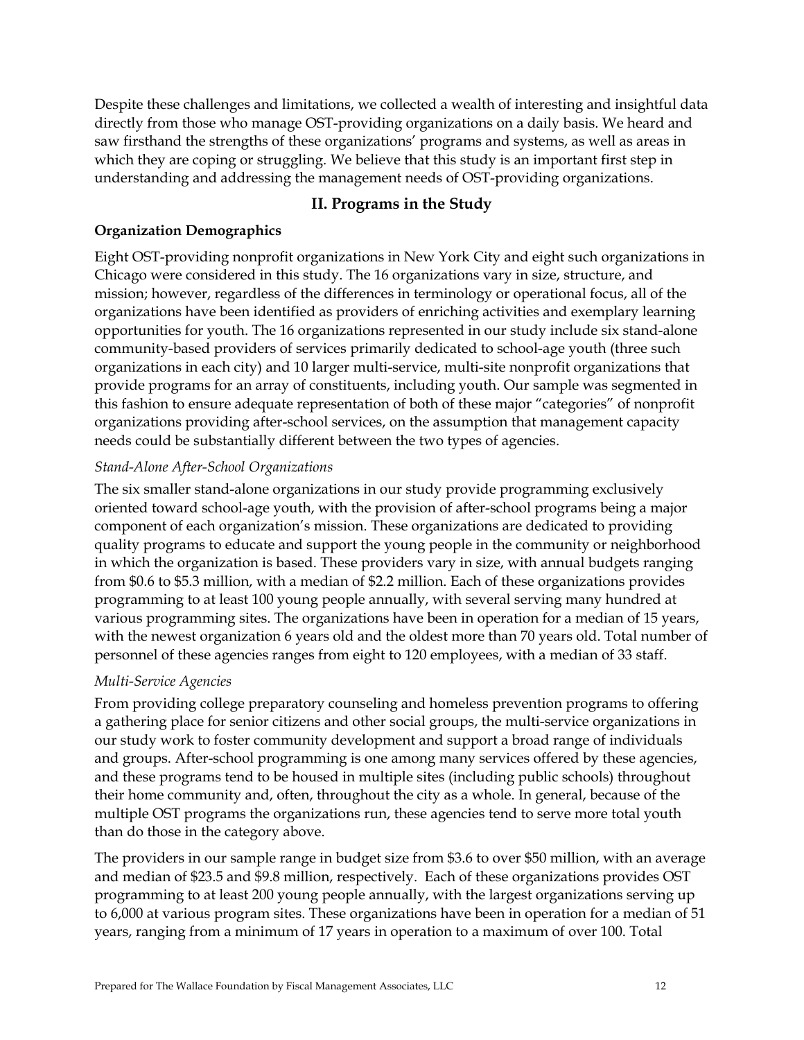Despite these challenges and limitations, we collected a wealth of interesting and insightful data directly from those who manage OST-providing organizations on a daily basis. We heard and saw firsthand the strengths of these organizations' programs and systems, as well as areas in which they are coping or struggling. We believe that this study is an important first step in understanding and addressing the management needs of OST-providing organizations.

### **II. Programs in the Study**

#### **Organization Demographics**

Eight OST-providing nonprofit organizations in New York City and eight such organizations in Chicago were considered in this study. The 16 organizations vary in size, structure, and mission; however, regardless of the differences in terminology or operational focus, all of the organizations have been identified as providers of enriching activities and exemplary learning opportunities for youth. The 16 organizations represented in our study include six stand-alone community-based providers of services primarily dedicated to school-age youth (three such organizations in each city) and 10 larger multi-service, multi-site nonprofit organizations that provide programs for an array of constituents, including youth. Our sample was segmented in this fashion to ensure adequate representation of both of these major "categories" of nonprofit organizations providing after-school services, on the assumption that management capacity needs could be substantially different between the two types of agencies.

#### *Stand-Alone After-School Organizations*

The six smaller stand-alone organizations in our study provide programming exclusively oriented toward school-age youth, with the provision of after-school programs being a major component of each organization's mission. These organizations are dedicated to providing quality programs to educate and support the young people in the community or neighborhood in which the organization is based. These providers vary in size, with annual budgets ranging from \$0.6 to \$5.3 million, with a median of \$2.2 million. Each of these organizations provides programming to at least 100 young people annually, with several serving many hundred at various programming sites. The organizations have been in operation for a median of 15 years, with the newest organization 6 years old and the oldest more than 70 years old. Total number of personnel of these agencies ranges from eight to 120 employees, with a median of 33 staff.

#### *Multi-Service Agencies*

From providing college preparatory counseling and homeless prevention programs to offering a gathering place for senior citizens and other social groups, the multi-service organizations in our study work to foster community development and support a broad range of individuals and groups. After-school programming is one among many services offered by these agencies, and these programs tend to be housed in multiple sites (including public schools) throughout their home community and, often, throughout the city as a whole. In general, because of the multiple OST programs the organizations run, these agencies tend to serve more total youth than do those in the category above.

The providers in our sample range in budget size from \$3.6 to over \$50 million, with an average and median of \$23.5 and \$9.8 million, respectively. Each of these organizations provides OST programming to at least 200 young people annually, with the largest organizations serving up to 6,000 at various program sites. These organizations have been in operation for a median of 51 years, ranging from a minimum of 17 years in operation to a maximum of over 100. Total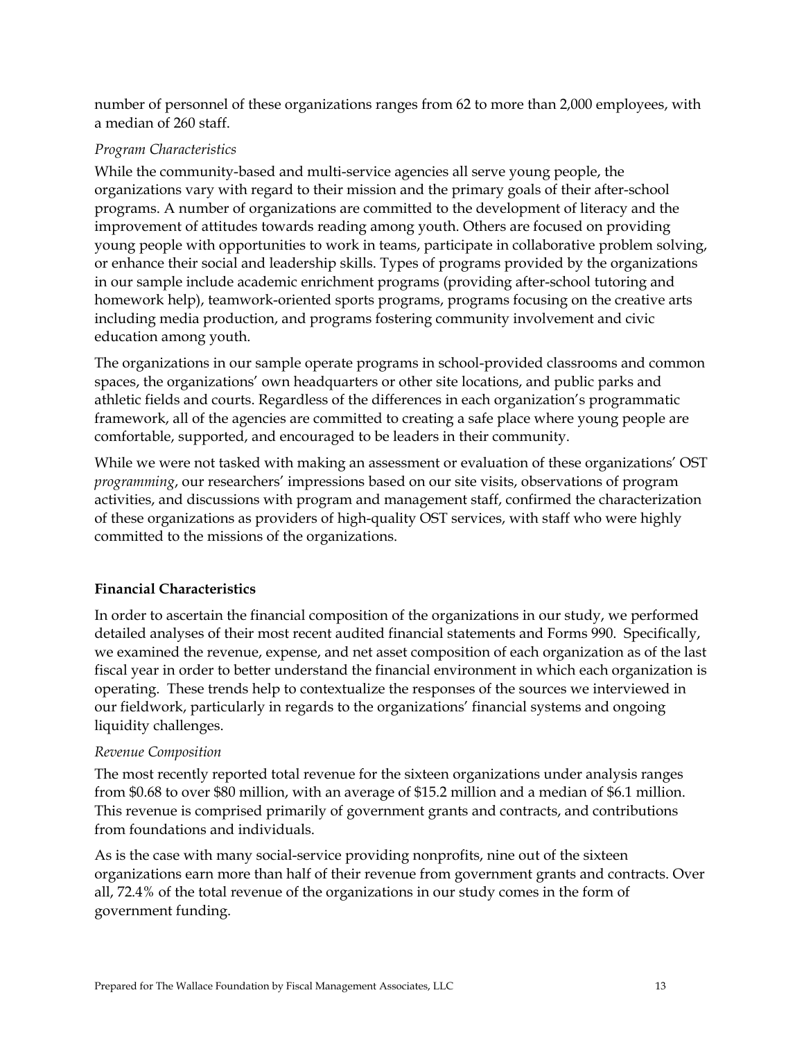number of personnel of these organizations ranges from 62 to more than 2,000 employees, with a median of 260 staff.

### *Program Characteristics*

While the community-based and multi-service agencies all serve young people, the organizations vary with regard to their mission and the primary goals of their after-school programs. A number of organizations are committed to the development of literacy and the improvement of attitudes towards reading among youth. Others are focused on providing young people with opportunities to work in teams, participate in collaborative problem solving, or enhance their social and leadership skills. Types of programs provided by the organizations in our sample include academic enrichment programs (providing after-school tutoring and homework help), teamwork-oriented sports programs, programs focusing on the creative arts including media production, and programs fostering community involvement and civic education among youth.

The organizations in our sample operate programs in school-provided classrooms and common spaces, the organizations' own headquarters or other site locations, and public parks and athletic fields and courts. Regardless of the differences in each organization's programmatic framework, all of the agencies are committed to creating a safe place where young people are comfortable, supported, and encouraged to be leaders in their community.

While we were not tasked with making an assessment or evaluation of these organizations' OST *programming*, our researchers' impressions based on our site visits, observations of program activities, and discussions with program and management staff, confirmed the characterization of these organizations as providers of high-quality OST services, with staff who were highly committed to the missions of the organizations.

## **Financial Characteristics**

In order to ascertain the financial composition of the organizations in our study, we performed detailed analyses of their most recent audited financial statements and Forms 990. Specifically, we examined the revenue, expense, and net asset composition of each organization as of the last fiscal year in order to better understand the financial environment in which each organization is operating. These trends help to contextualize the responses of the sources we interviewed in our fieldwork, particularly in regards to the organizations' financial systems and ongoing liquidity challenges.

#### *Revenue Composition*

The most recently reported total revenue for the sixteen organizations under analysis ranges from \$0.68 to over \$80 million, with an average of \$15.2 million and a median of \$6.1 million. This revenue is comprised primarily of government grants and contracts, and contributions from foundations and individuals.

As is the case with many social-service providing nonprofits, nine out of the sixteen organizations earn more than half of their revenue from government grants and contracts. Over all, 72.4% of the total revenue of the organizations in our study comes in the form of government funding.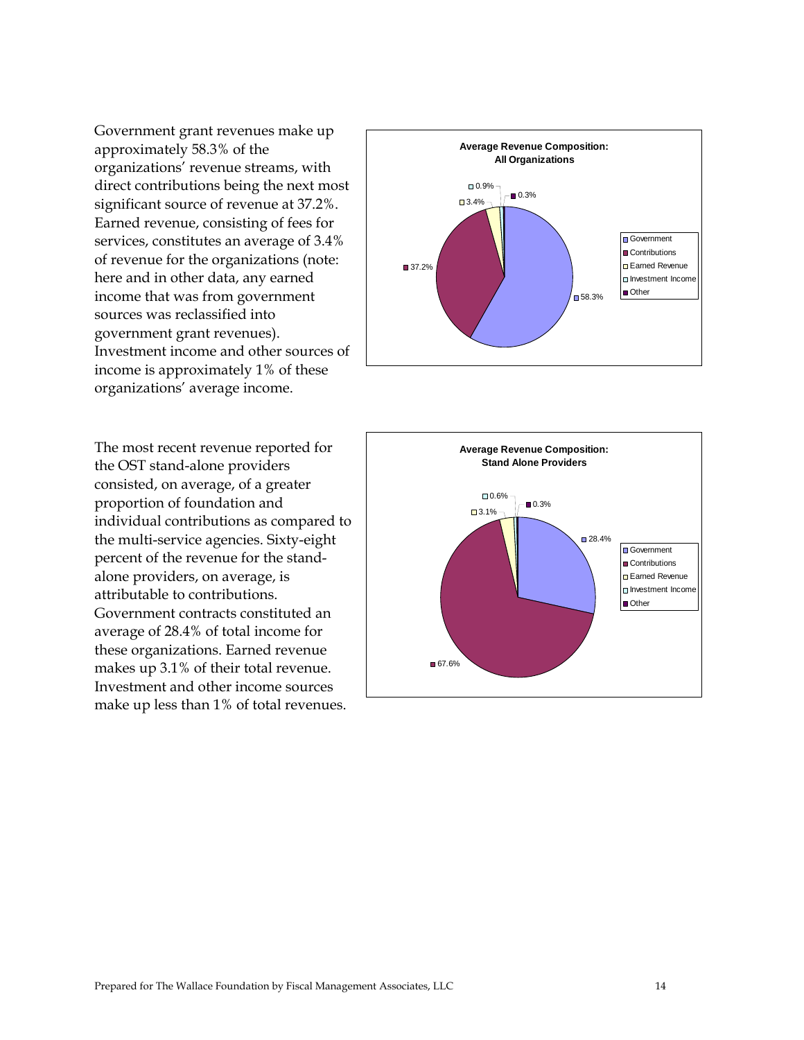Government grant revenues make up approximately 58.3% of the organizations' revenue streams, with direct contributions being the next most significant source of revenue at 37.2%. Earned revenue, consisting of fees for services, constitutes an average of 3.4% of revenue for the organizations (note: here and in other data, any earned income that was from government sources was reclassified into government grant revenues). Investment income and other sources of income is approximately 1% of these organizations' average income.

The most recent revenue reported for the OST stand-alone providers consisted, on average, of a greater proportion of foundation and individual contributions as compared to the multi-service agencies. Sixty-eight percent of the revenue for the standalone providers, on average, is attributable to contributions. Government contracts constituted an average of 28.4% of total income for these organizations. Earned revenue makes up 3.1% of their total revenue. Investment and other income sources make up less than 1% of total revenues.



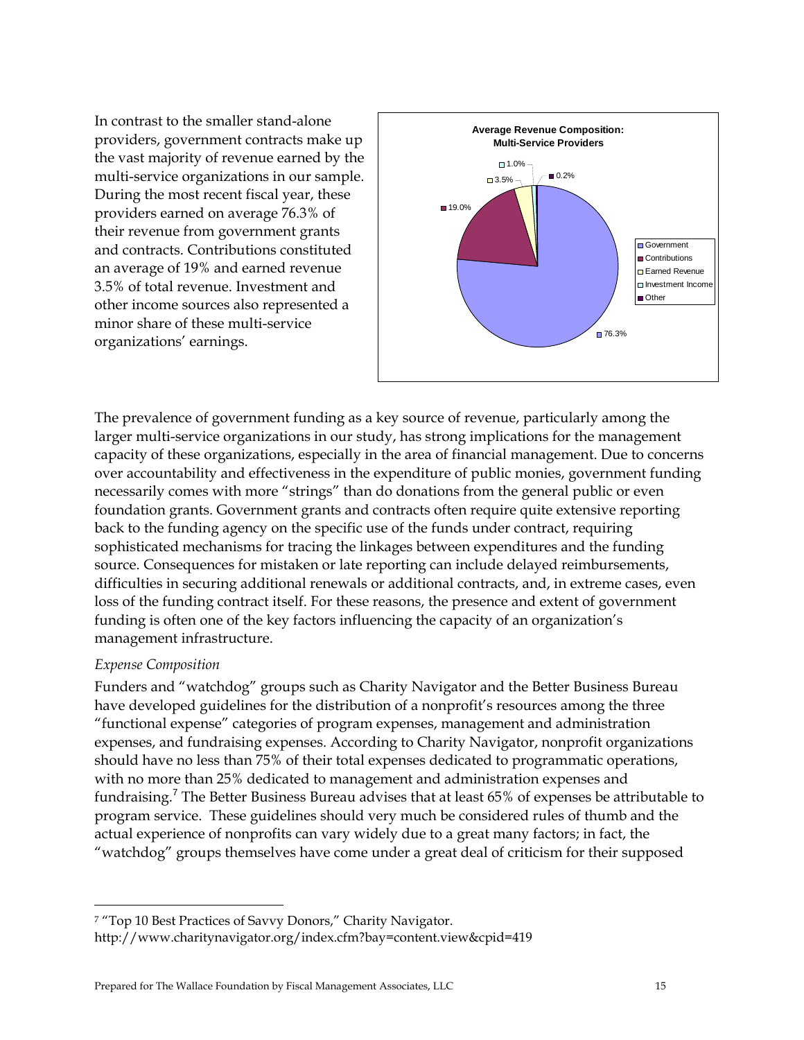In contrast to the smaller stand-alone providers, government contracts make up the vast majority of revenue earned by the multi-service organizations in our sample. During the most recent fiscal year, these providers earned on average 76.3% of their revenue from government grants and contracts. Contributions constituted an average of 19% and earned revenue 3.5% of total revenue. Investment and other income sources also represented a minor share of these multi-service organizations' earnings.



The prevalence of government funding as a key source of revenue, particularly among the larger multi-service organizations in our study, has strong implications for the management capacity of these organizations, especially in the area of financial management. Due to concerns over accountability and effectiveness in the expenditure of public monies, government funding necessarily comes with more "strings" than do donations from the general public or even foundation grants. Government grants and contracts often require quite extensive reporting back to the funding agency on the specific use of the funds under contract, requiring sophisticated mechanisms for tracing the linkages between expenditures and the funding source. Consequences for mistaken or late reporting can include delayed reimbursements, difficulties in securing additional renewals or additional contracts, and, in extreme cases, even loss of the funding contract itself. For these reasons, the presence and extent of government funding is often one of the key factors influencing the capacity of an organization's management infrastructure.

#### *Expense Composition*

 $\overline{a}$ 

Funders and "watchdog" groups such as Charity Navigator and the Better Business Bureau have developed guidelines for the distribution of a nonprofit's resources among the three "functional expense" categories of program expenses, management and administration expenses, and fundraising expenses. According to Charity Navigator, nonprofit organizations should have no less than 75% of their total expenses dedicated to programmatic operations, with no more than 25% dedicated to management and administration expenses and fundraising.<sup>7</sup> The Better Business Bureau advises that at least 65% of expenses be attributable to program service. These guidelines should very much be considered rules of thumb and the actual experience of nonprofits can vary widely due to a great many factors; in fact, the "watchdog" groups themselves have come under a great deal of criticism for their supposed

<sup>7 &</sup>quot;Top 10 Best Practices of Savvy Donors," Charity Navigator. http://www.charitynavigator.org/index.cfm?bay=content.view&cpid=419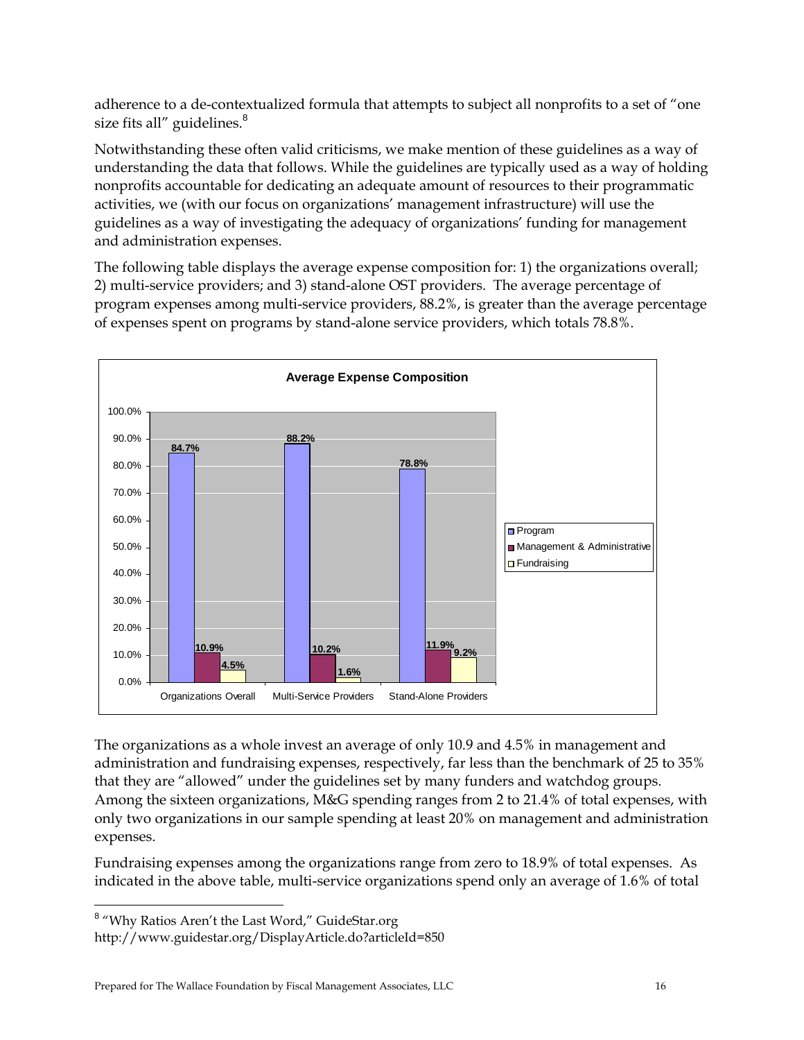adherence to a de-contextualized formula that attempts to subject all nonprofits to a set of "one size fits all" guidelines.<sup>8</sup>

Notwithstanding these often valid criticisms, we make mention of these guidelines as a way of understanding the data that follows. While the guidelines are typically used as a way of holding nonprofits accountable for dedicating an adequate amount of resources to their programmatic activities, we (with our focus on organizations' management infrastructure) will use the guidelines as a way of investigating the adequacy of organizations' funding for management and administration expenses.

The following table displays the average expense composition for: 1) the organizations overall; 2) multi-service providers; and 3) stand-alone OST providers. The average percentage of program expenses among multi-service providers, 88.2%, is greater than the average percentage of expenses spent on programs by stand-alone service providers, which totals 78.8%.



The organizations as a whole invest an average of only 10.9 and 4.5% in management and administration and fundraising expenses, respectively, far less than the benchmark of 25 to 35% that they are "allowed" under the guidelines set by many funders and watchdog groups. Among the sixteen organizations, M&G spending ranges from 2 to 21.4% of total expenses, with only two organizations in our sample spending at least 20% on management and administration expenses.

Fundraising expenses among the organizations range from zero to 18.9% of total expenses. As indicated in the above table, multi-service organizations spend only an average of 1.6% of total

<u>.</u>

<sup>&</sup>lt;sup>8</sup> "Why Ratios Aren't the Last Word," GuideStar.org

http://www.guidestar.org/DisplayArticle.do?articleId=850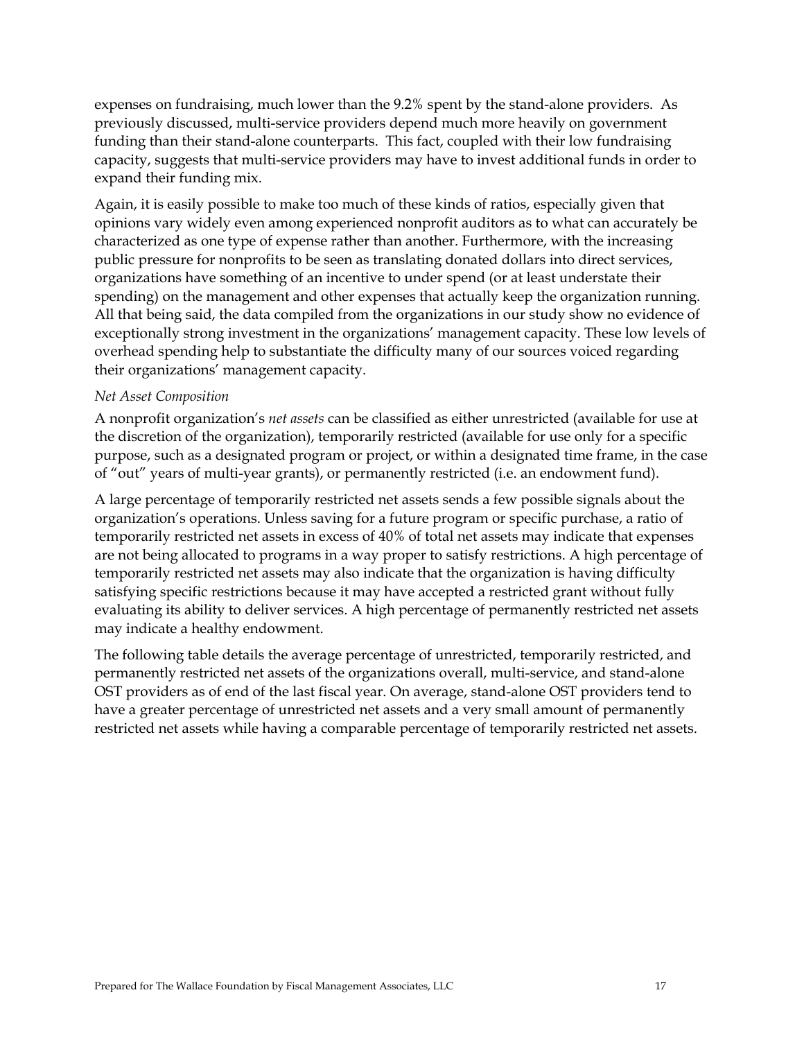expenses on fundraising, much lower than the 9.2% spent by the stand-alone providers. As previously discussed, multi-service providers depend much more heavily on government funding than their stand-alone counterparts. This fact, coupled with their low fundraising capacity, suggests that multi-service providers may have to invest additional funds in order to expand their funding mix.

Again, it is easily possible to make too much of these kinds of ratios, especially given that opinions vary widely even among experienced nonprofit auditors as to what can accurately be characterized as one type of expense rather than another. Furthermore, with the increasing public pressure for nonprofits to be seen as translating donated dollars into direct services, organizations have something of an incentive to under spend (or at least understate their spending) on the management and other expenses that actually keep the organization running. All that being said, the data compiled from the organizations in our study show no evidence of exceptionally strong investment in the organizations' management capacity. These low levels of overhead spending help to substantiate the difficulty many of our sources voiced regarding their organizations' management capacity.

#### *Net Asset Composition*

A nonprofit organization's *net assets* can be classified as either unrestricted (available for use at the discretion of the organization), temporarily restricted (available for use only for a specific purpose, such as a designated program or project, or within a designated time frame, in the case of "out" years of multi-year grants), or permanently restricted (i.e. an endowment fund).

A large percentage of temporarily restricted net assets sends a few possible signals about the organization's operations. Unless saving for a future program or specific purchase, a ratio of temporarily restricted net assets in excess of 40% of total net assets may indicate that expenses are not being allocated to programs in a way proper to satisfy restrictions. A high percentage of temporarily restricted net assets may also indicate that the organization is having difficulty satisfying specific restrictions because it may have accepted a restricted grant without fully evaluating its ability to deliver services. A high percentage of permanently restricted net assets may indicate a healthy endowment.

The following table details the average percentage of unrestricted, temporarily restricted, and permanently restricted net assets of the organizations overall, multi-service, and stand-alone OST providers as of end of the last fiscal year. On average, stand-alone OST providers tend to have a greater percentage of unrestricted net assets and a very small amount of permanently restricted net assets while having a comparable percentage of temporarily restricted net assets.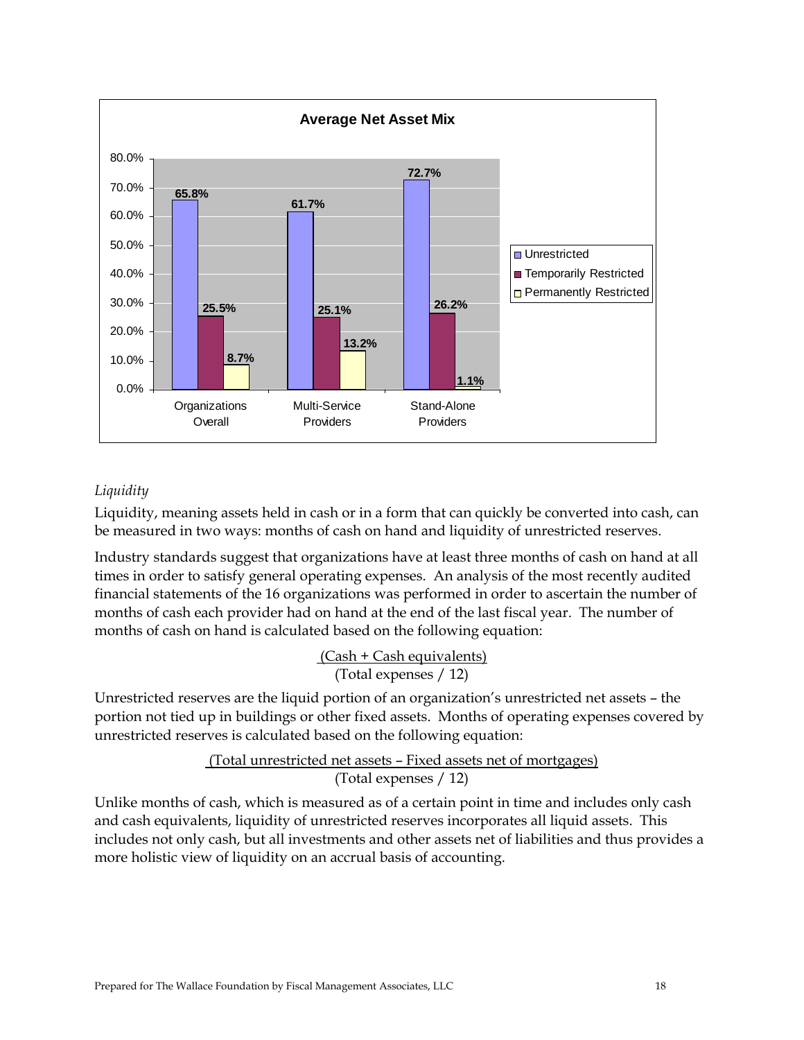

## *Liquidity*

Liquidity, meaning assets held in cash or in a form that can quickly be converted into cash, can be measured in two ways: months of cash on hand and liquidity of unrestricted reserves.

Industry standards suggest that organizations have at least three months of cash on hand at all times in order to satisfy general operating expenses. An analysis of the most recently audited financial statements of the 16 organizations was performed in order to ascertain the number of months of cash each provider had on hand at the end of the last fiscal year. The number of months of cash on hand is calculated based on the following equation:

> (Cash + Cash equivalents) (Total expenses / 12)

Unrestricted reserves are the liquid portion of an organization's unrestricted net assets – the portion not tied up in buildings or other fixed assets. Months of operating expenses covered by unrestricted reserves is calculated based on the following equation:

## (Total unrestricted net assets – Fixed assets net of mortgages) (Total expenses / 12)

Unlike months of cash, which is measured as of a certain point in time and includes only cash and cash equivalents, liquidity of unrestricted reserves incorporates all liquid assets. This includes not only cash, but all investments and other assets net of liabilities and thus provides a more holistic view of liquidity on an accrual basis of accounting.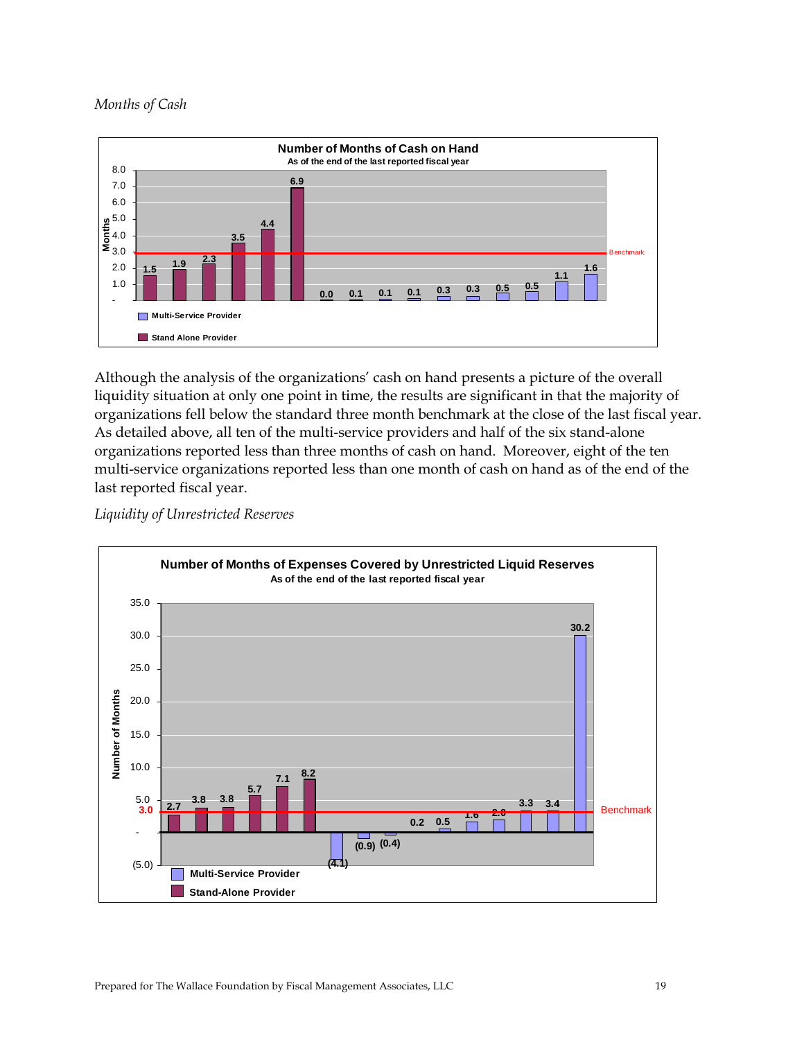#### *Months of Cash*



Although the analysis of the organizations' cash on hand presents a picture of the overall liquidity situation at only one point in time, the results are significant in that the majority of organizations fell below the standard three month benchmark at the close of the last fiscal year. As detailed above, all ten of the multi-service providers and half of the six stand-alone organizations reported less than three months of cash on hand. Moreover, eight of the ten multi-service organizations reported less than one month of cash on hand as of the end of the last reported fiscal year.

*Liquidity of Unrestricted Reserves* 

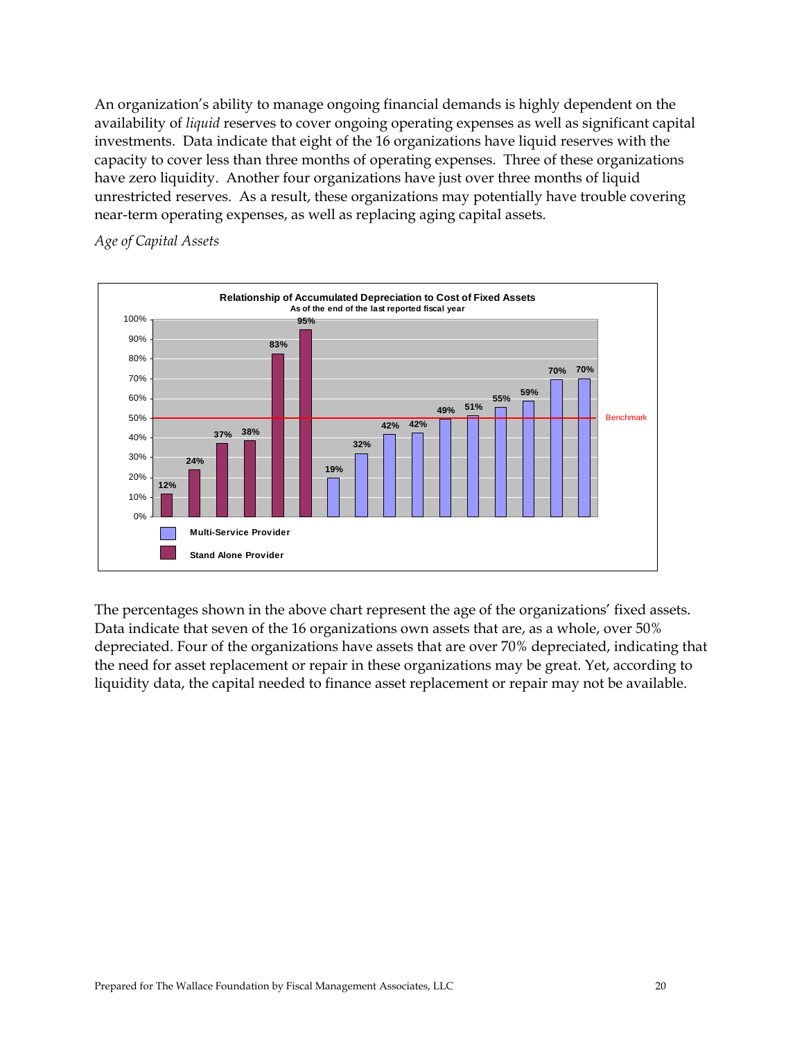An organization's ability to manage ongoing financial demands is highly dependent on the availability of *liquid* reserves to cover ongoing operating expenses as well as significant capital investments. Data indicate that eight of the 16 organizations have liquid reserves with the capacity to cover less than three months of operating expenses. Three of these organizations have zero liquidity. Another four organizations have just over three months of liquid unrestricted reserves. As a result, these organizations may potentially have trouble covering near-term operating expenses, as well as replacing aging capital assets.

### *Age of Capital Assets*



The percentages shown in the above chart represent the age of the organizations' fixed assets. Data indicate that seven of the 16 organizations own assets that are, as a whole, over 50% depreciated. Four of the organizations have assets that are over 70% depreciated, indicating that the need for asset replacement or repair in these organizations may be great. Yet, according to liquidity data, the capital needed to finance asset replacement or repair may not be available.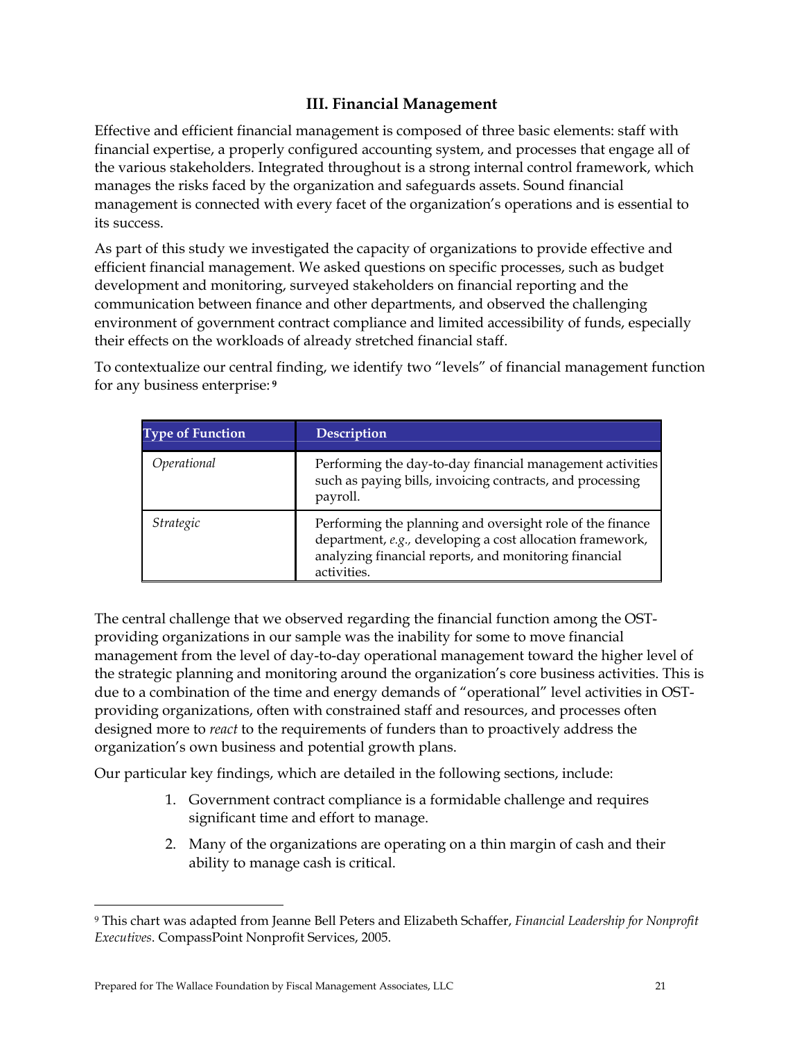## **III. Financial Management**

Effective and efficient financial management is composed of three basic elements: staff with financial expertise, a properly configured accounting system, and processes that engage all of the various stakeholders. Integrated throughout is a strong internal control framework, which manages the risks faced by the organization and safeguards assets. Sound financial management is connected with every facet of the organization's operations and is essential to its success.

As part of this study we investigated the capacity of organizations to provide effective and efficient financial management. We asked questions on specific processes, such as budget development and monitoring, surveyed stakeholders on financial reporting and the communication between finance and other departments, and observed the challenging environment of government contract compliance and limited accessibility of funds, especially their effects on the workloads of already stretched financial staff.

To contextualize our central finding, we identify two "levels" of financial management function for any business enterprise:**<sup>9</sup>**

| <b>Type of Function</b> | <b>Description</b>                                                                                                                                                                             |
|-------------------------|------------------------------------------------------------------------------------------------------------------------------------------------------------------------------------------------|
| Operational             | Performing the day-to-day financial management activities<br>such as paying bills, invoicing contracts, and processing<br>payroll.                                                             |
| Strategic               | Performing the planning and oversight role of the finance<br>department, e.g., developing a cost allocation framework,<br>analyzing financial reports, and monitoring financial<br>activities. |

The central challenge that we observed regarding the financial function among the OSTproviding organizations in our sample was the inability for some to move financial management from the level of day-to-day operational management toward the higher level of the strategic planning and monitoring around the organization's core business activities. This is due to a combination of the time and energy demands of "operational" level activities in OSTproviding organizations, often with constrained staff and resources, and processes often designed more to *react* to the requirements of funders than to proactively address the organization's own business and potential growth plans.

Our particular key findings, which are detailed in the following sections, include:

- 1. Government contract compliance is a formidable challenge and requires significant time and effort to manage.
- 2. Many of the organizations are operating on a thin margin of cash and their ability to manage cash is critical.

 $\overline{a}$ 

<sup>9</sup> This chart was adapted from Jeanne Bell Peters and Elizabeth Schaffer, *Financial Leadership for Nonprofit Executives*. CompassPoint Nonprofit Services, 2005.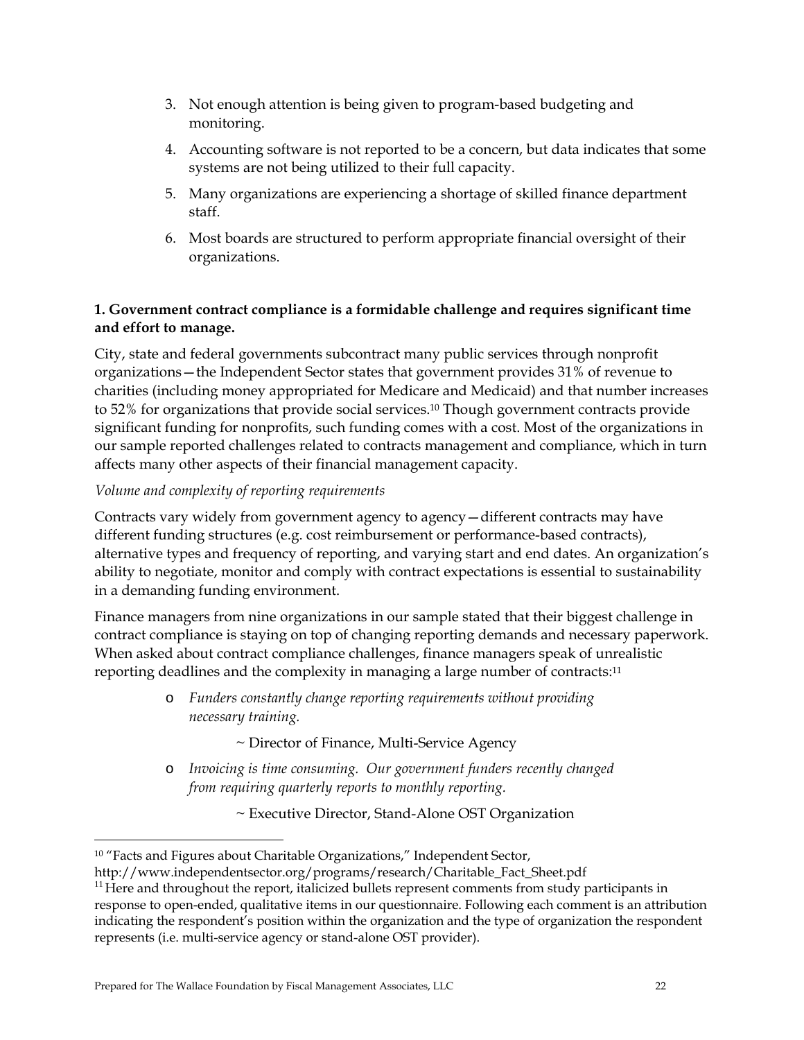- 3. Not enough attention is being given to program-based budgeting and monitoring.
- 4. Accounting software is not reported to be a concern, but data indicates that some systems are not being utilized to their full capacity.
- 5. Many organizations are experiencing a shortage of skilled finance department staff.
- 6. Most boards are structured to perform appropriate financial oversight of their organizations.

## **1. Government contract compliance is a formidable challenge and requires significant time and effort to manage.**

City, state and federal governments subcontract many public services through nonprofit organizations—the Independent Sector states that government provides 31% of revenue to charities (including money appropriated for Medicare and Medicaid) and that number increases to 52% for organizations that provide social services.10 Though government contracts provide significant funding for nonprofits, such funding comes with a cost. Most of the organizations in our sample reported challenges related to contracts management and compliance, which in turn affects many other aspects of their financial management capacity.

## *Volume and complexity of reporting requirements*

Contracts vary widely from government agency to agency—different contracts may have different funding structures (e.g. cost reimbursement or performance-based contracts), alternative types and frequency of reporting, and varying start and end dates. An organization's ability to negotiate, monitor and comply with contract expectations is essential to sustainability in a demanding funding environment.

Finance managers from nine organizations in our sample stated that their biggest challenge in contract compliance is staying on top of changing reporting demands and necessary paperwork. When asked about contract compliance challenges, finance managers speak of unrealistic reporting deadlines and the complexity in managing a large number of contracts:<sup>11</sup>

> o *Funders constantly change reporting requirements without providing necessary training.*

> > ~ Director of Finance, Multi-Service Agency

- o *Invoicing is time consuming. Our government funders recently changed from requiring quarterly reports to monthly reporting.* 
	- ~ Executive Director, Stand-Alone OST Organization

 $\overline{a}$ 

<sup>&</sup>lt;sup>10</sup> "Facts and Figures about Charitable Organizations," Independent Sector,

http://www.independentsector.org/programs/research/Charitable\_Fact\_Sheet.pdf

 $11$  Here and throughout the report, italicized bullets represent comments from study participants in response to open-ended, qualitative items in our questionnaire. Following each comment is an attribution indicating the respondent's position within the organization and the type of organization the respondent represents (i.e. multi-service agency or stand-alone OST provider).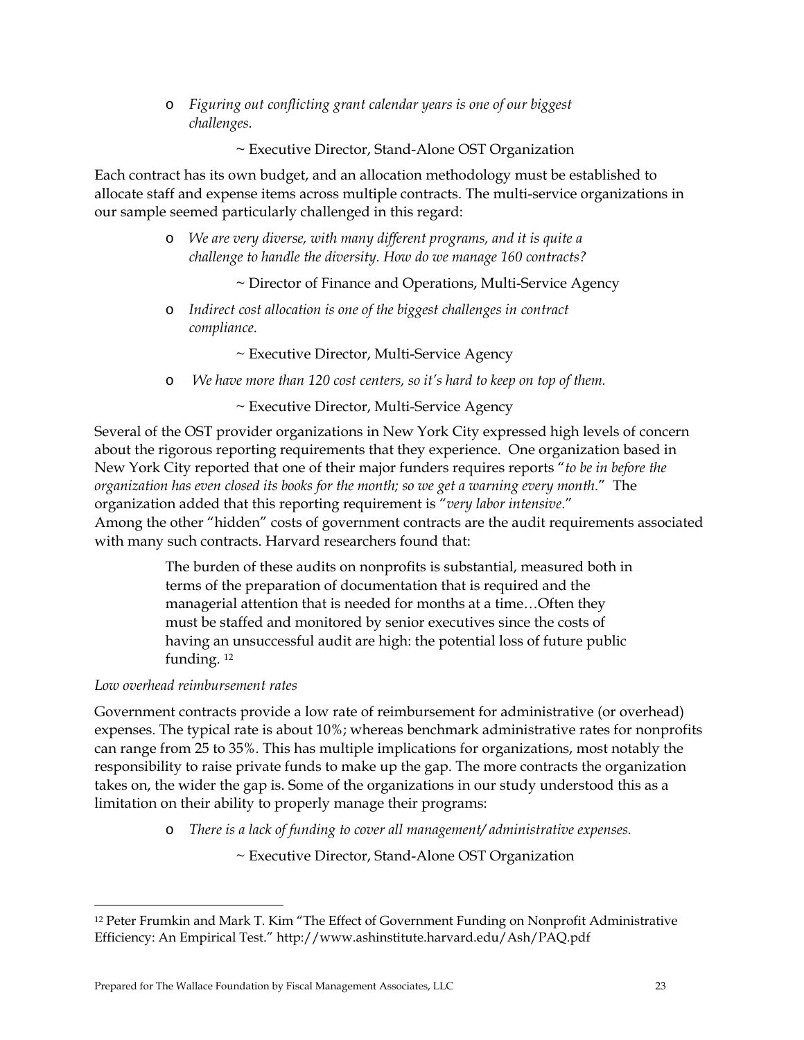o *Figuring out conflicting grant calendar years is one of our biggest challenges.* 

~ Executive Director, Stand-Alone OST Organization

Each contract has its own budget, and an allocation methodology must be established to allocate staff and expense items across multiple contracts. The multi-service organizations in our sample seemed particularly challenged in this regard:

- o *We are very diverse, with many different programs, and it is quite a challenge to handle the diversity. How do we manage 160 contracts?* 
	- ~ Director of Finance and Operations, Multi-Service Agency
- o *Indirect cost allocation is one of the biggest challenges in contract compliance.* 
	- ~ Executive Director, Multi-Service Agency
- o *We have more than 120 cost centers, so it's hard to keep on top of them.*

#### ~ Executive Director, Multi-Service Agency

Several of the OST provider organizations in New York City expressed high levels of concern about the rigorous reporting requirements that they experience. One organization based in New York City reported that one of their major funders requires reports "*to be in before the organization has even closed its books for the month; so we get a warning every month*." The organization added that this reporting requirement is "*very labor intensive*." Among the other "hidden" costs of government contracts are the audit requirements associated with many such contracts. Harvard researchers found that:

> The burden of these audits on nonprofits is substantial, measured both in terms of the preparation of documentation that is required and the managerial attention that is needed for months at a time…Often they must be staffed and monitored by senior executives since the costs of having an unsuccessful audit are high: the potential loss of future public funding. 12

#### *Low overhead reimbursement rates*

 $\overline{a}$ 

Government contracts provide a low rate of reimbursement for administrative (or overhead) expenses. The typical rate is about 10%; whereas benchmark administrative rates for nonprofits can range from 25 to 35%. This has multiple implications for organizations, most notably the responsibility to raise private funds to make up the gap. The more contracts the organization takes on, the wider the gap is. Some of the organizations in our study understood this as a limitation on their ability to properly manage their programs:

o *There is a lack of funding to cover all management/ administrative expenses.* 

~ Executive Director, Stand-Alone OST Organization

<sup>12</sup> Peter Frumkin and Mark T. Kim "The Effect of Government Funding on Nonprofit Administrative Efficiency: An Empirical Test." http://www.ashinstitute.harvard.edu/Ash/PAQ.pdf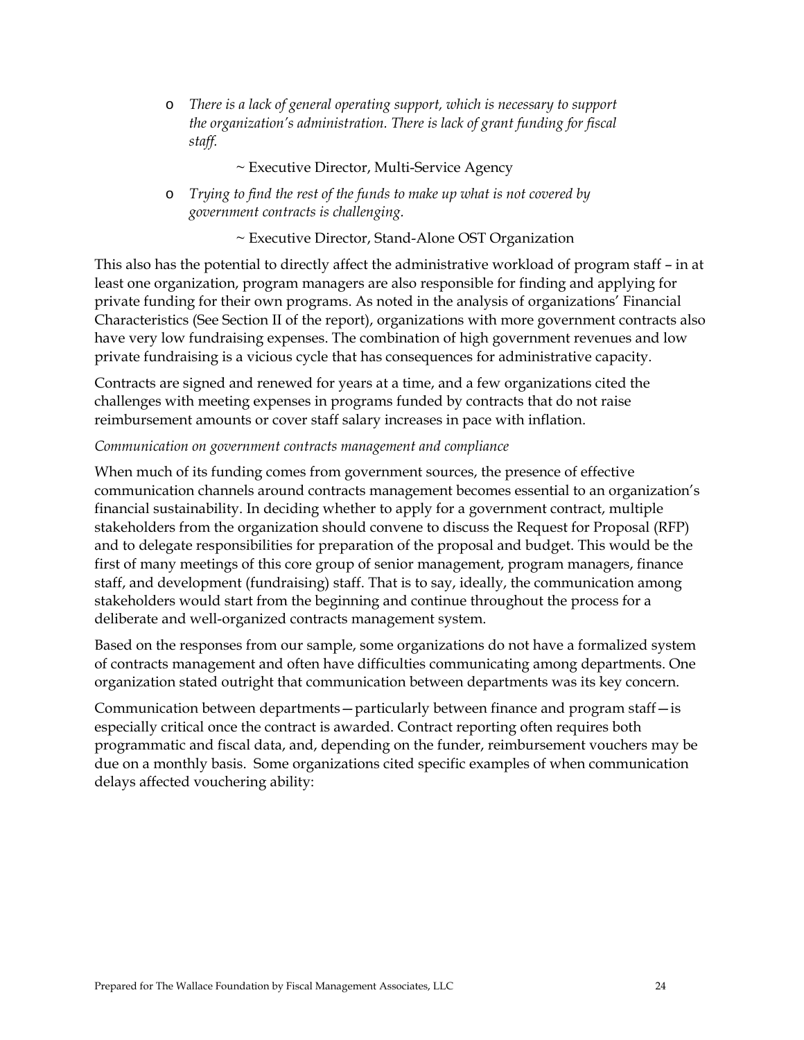o *There is a lack of general operating support, which is necessary to support the organization's administration. There is lack of grant funding for fiscal staff.* 

#### ~ Executive Director, Multi-Service Agency

o *Trying to find the rest of the funds to make up what is not covered by government contracts is challenging.* 

~ Executive Director, Stand-Alone OST Organization

This also has the potential to directly affect the administrative workload of program staff – in at least one organization, program managers are also responsible for finding and applying for private funding for their own programs. As noted in the analysis of organizations' Financial Characteristics (See Section II of the report), organizations with more government contracts also have very low fundraising expenses. The combination of high government revenues and low private fundraising is a vicious cycle that has consequences for administrative capacity.

Contracts are signed and renewed for years at a time, and a few organizations cited the challenges with meeting expenses in programs funded by contracts that do not raise reimbursement amounts or cover staff salary increases in pace with inflation.

#### *Communication on government contracts management and compliance*

When much of its funding comes from government sources, the presence of effective communication channels around contracts management becomes essential to an organization's financial sustainability. In deciding whether to apply for a government contract, multiple stakeholders from the organization should convene to discuss the Request for Proposal (RFP) and to delegate responsibilities for preparation of the proposal and budget. This would be the first of many meetings of this core group of senior management, program managers, finance staff, and development (fundraising) staff. That is to say, ideally, the communication among stakeholders would start from the beginning and continue throughout the process for a deliberate and well-organized contracts management system.

Based on the responses from our sample, some organizations do not have a formalized system of contracts management and often have difficulties communicating among departments. One organization stated outright that communication between departments was its key concern.

Communication between departments—particularly between finance and program staff—is especially critical once the contract is awarded. Contract reporting often requires both programmatic and fiscal data, and, depending on the funder, reimbursement vouchers may be due on a monthly basis. Some organizations cited specific examples of when communication delays affected vouchering ability: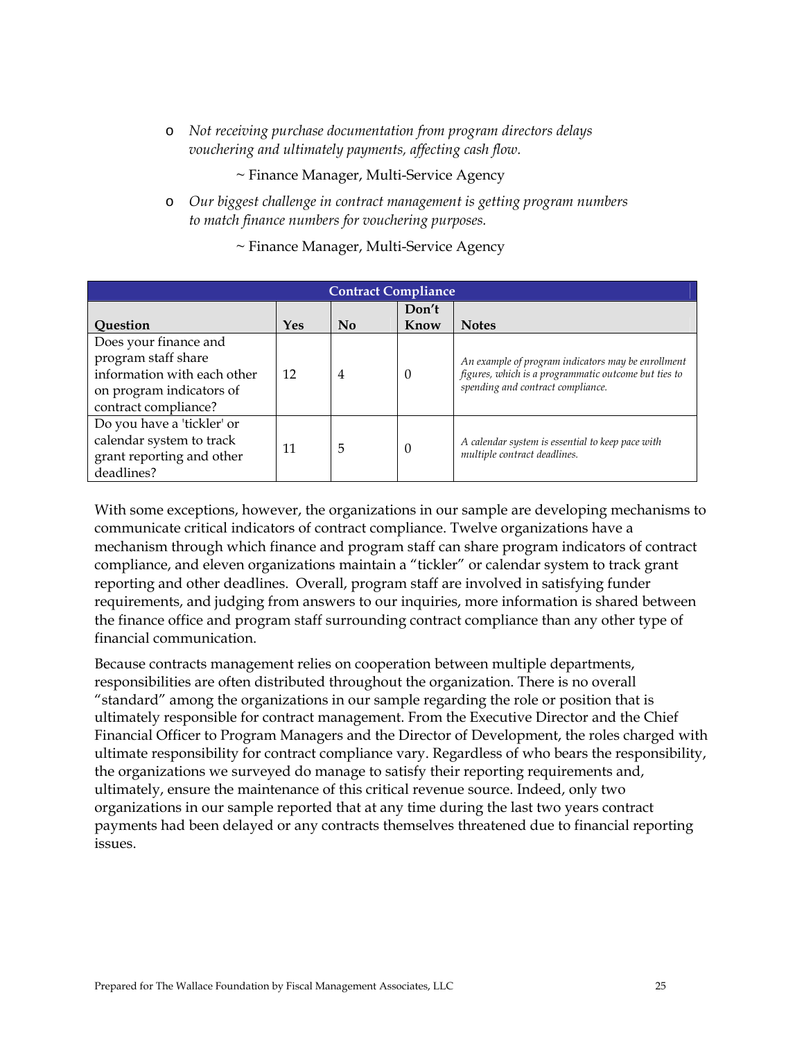o *Not receiving purchase documentation from program directors delays vouchering and ultimately payments, affecting cash flow.* 

~ Finance Manager, Multi-Service Agency

o *Our biggest challenge in contract management is getting program numbers to match finance numbers for vouchering purposes.* 

| ~ Finance Manager, Multi-Service Agency |  |
|-----------------------------------------|--|
|-----------------------------------------|--|

| <b>Contract Compliance</b>                         |     |    |          |                                                                                                                                                 |  |  |  |
|----------------------------------------------------|-----|----|----------|-------------------------------------------------------------------------------------------------------------------------------------------------|--|--|--|
|                                                    |     |    | Don't    |                                                                                                                                                 |  |  |  |
| Question                                           | Yes | No | Know     | <b>Notes</b>                                                                                                                                    |  |  |  |
| Does your finance and                              |     |    |          |                                                                                                                                                 |  |  |  |
| program staff share<br>information with each other | 12  | 4  | $\Omega$ | An example of program indicators may be enrollment<br>figures, which is a programmatic outcome but ties to<br>spending and contract compliance. |  |  |  |
| on program indicators of                           |     |    |          |                                                                                                                                                 |  |  |  |
| contract compliance?                               |     |    |          |                                                                                                                                                 |  |  |  |
| Do you have a 'tickler' or                         |     |    |          |                                                                                                                                                 |  |  |  |
| calendar system to track                           | 11  | 5  | $\Omega$ | A calendar system is essential to keep pace with                                                                                                |  |  |  |
| grant reporting and other                          |     |    |          | multiple contract deadlines.                                                                                                                    |  |  |  |
| deadlines?                                         |     |    |          |                                                                                                                                                 |  |  |  |

With some exceptions, however, the organizations in our sample are developing mechanisms to communicate critical indicators of contract compliance. Twelve organizations have a mechanism through which finance and program staff can share program indicators of contract compliance, and eleven organizations maintain a "tickler" or calendar system to track grant reporting and other deadlines. Overall, program staff are involved in satisfying funder requirements, and judging from answers to our inquiries, more information is shared between the finance office and program staff surrounding contract compliance than any other type of financial communication.

Because contracts management relies on cooperation between multiple departments, responsibilities are often distributed throughout the organization. There is no overall "standard" among the organizations in our sample regarding the role or position that is ultimately responsible for contract management. From the Executive Director and the Chief Financial Officer to Program Managers and the Director of Development, the roles charged with ultimate responsibility for contract compliance vary. Regardless of who bears the responsibility, the organizations we surveyed do manage to satisfy their reporting requirements and, ultimately, ensure the maintenance of this critical revenue source. Indeed, only two organizations in our sample reported that at any time during the last two years contract payments had been delayed or any contracts themselves threatened due to financial reporting issues.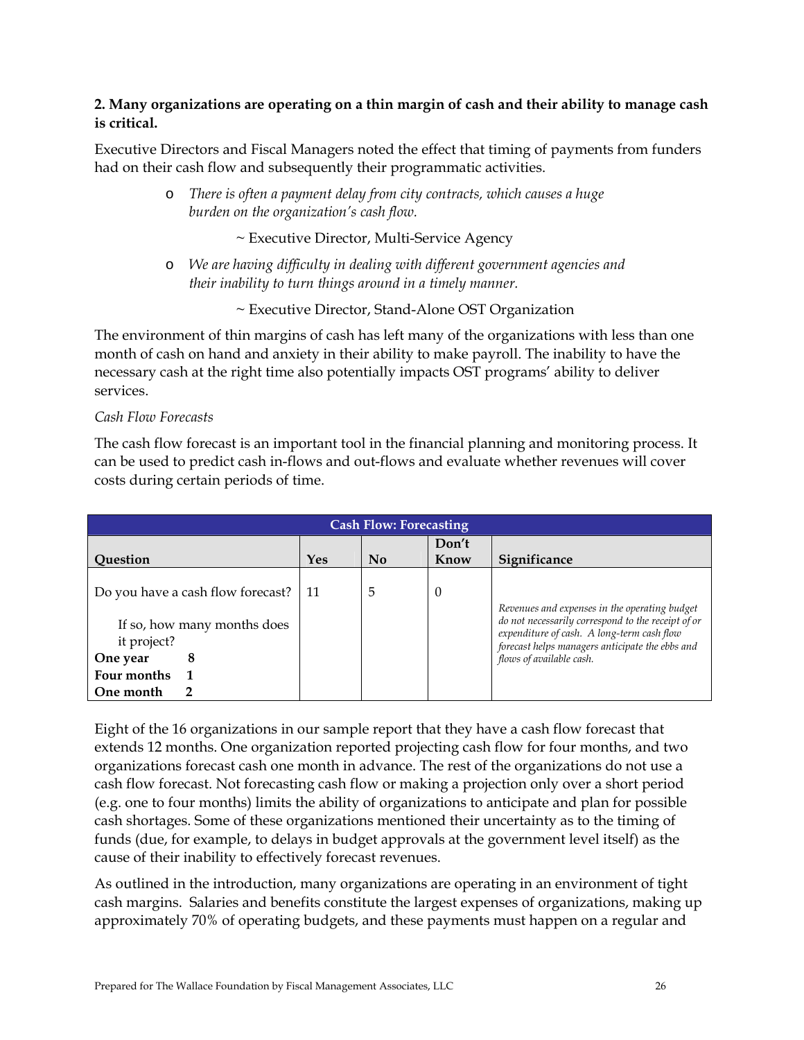## **2. Many organizations are operating on a thin margin of cash and their ability to manage cash is critical.**

Executive Directors and Fiscal Managers noted the effect that timing of payments from funders had on their cash flow and subsequently their programmatic activities.

> o *There is often a payment delay from city contracts, which causes a huge burden on the organization's cash flow.*

> > ~ Executive Director, Multi-Service Agency

o *We are having difficulty in dealing with different government agencies and their inability to turn things around in a timely manner.* 

~ Executive Director, Stand-Alone OST Organization

The environment of thin margins of cash has left many of the organizations with less than one month of cash on hand and anxiety in their ability to make payroll. The inability to have the necessary cash at the right time also potentially impacts OST programs' ability to deliver services.

#### *Cash Flow Forecasts*

The cash flow forecast is an important tool in the financial planning and monitoring process. It can be used to predict cash in-flows and out-flows and evaluate whether revenues will cover costs during certain periods of time.

| <b>Cash Flow: Forecasting</b>     |     |                           |               |                                                                                               |  |  |  |
|-----------------------------------|-----|---------------------------|---------------|-----------------------------------------------------------------------------------------------|--|--|--|
| <b>Ouestion</b>                   | Yes | $\mathbf{N}$ <sub>0</sub> | Don't<br>Know | Significance                                                                                  |  |  |  |
|                                   |     |                           |               |                                                                                               |  |  |  |
| Do you have a cash flow forecast? | -11 | 5                         | U             | Revenues and expenses in the operating budget                                                 |  |  |  |
| If so, how many months does       |     |                           |               | do not necessarily correspond to the receipt of or                                            |  |  |  |
| it project?                       |     |                           |               | expenditure of cash. A long-term cash flow<br>forecast helps managers anticipate the ebbs and |  |  |  |
| 8<br>One year                     |     |                           |               | flows of available cash.                                                                      |  |  |  |
| Four months                       |     |                           |               |                                                                                               |  |  |  |
| One month                         |     |                           |               |                                                                                               |  |  |  |

Eight of the 16 organizations in our sample report that they have a cash flow forecast that extends 12 months. One organization reported projecting cash flow for four months, and two organizations forecast cash one month in advance. The rest of the organizations do not use a cash flow forecast. Not forecasting cash flow or making a projection only over a short period (e.g. one to four months) limits the ability of organizations to anticipate and plan for possible cash shortages. Some of these organizations mentioned their uncertainty as to the timing of funds (due, for example, to delays in budget approvals at the government level itself) as the cause of their inability to effectively forecast revenues.

As outlined in the introduction, many organizations are operating in an environment of tight cash margins. Salaries and benefits constitute the largest expenses of organizations, making up approximately 70% of operating budgets, and these payments must happen on a regular and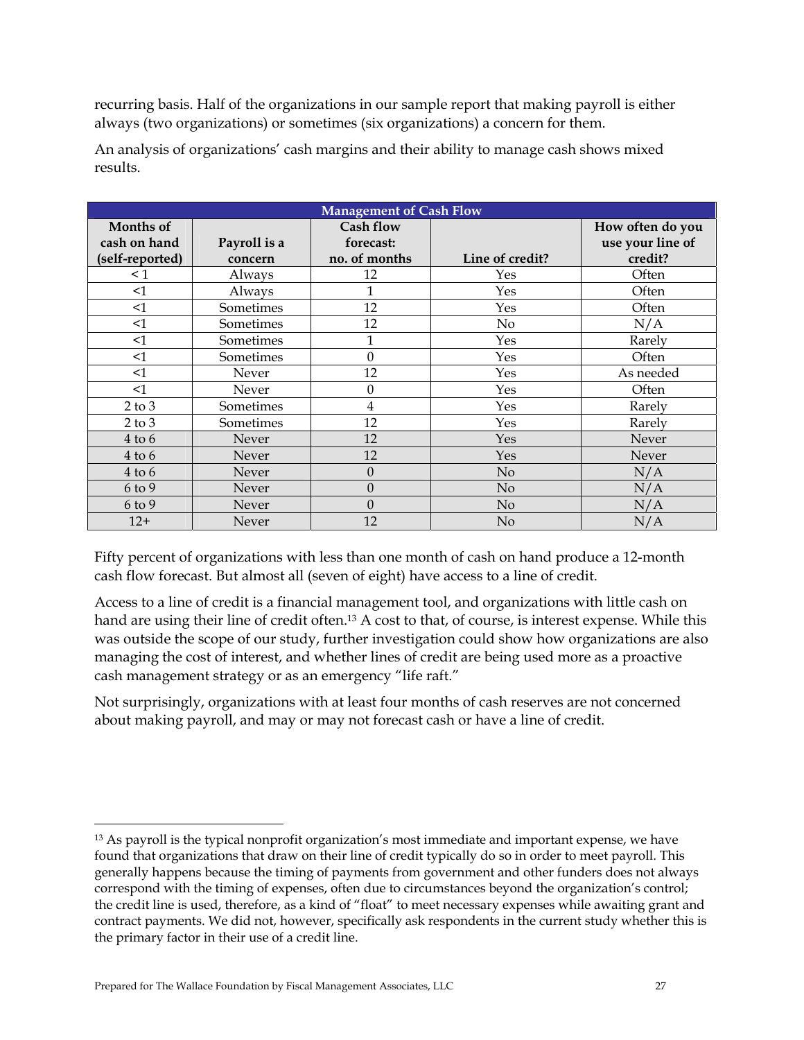recurring basis. Half of the organizations in our sample report that making payroll is either always (two organizations) or sometimes (six organizations) a concern for them.

| <b>Management of Cash Flow</b>               |                         |                                         |                 |                                                 |  |  |  |  |
|----------------------------------------------|-------------------------|-----------------------------------------|-----------------|-------------------------------------------------|--|--|--|--|
| Months of<br>cash on hand<br>(self-reported) | Payroll is a<br>concern | Cash flow<br>forecast:<br>no. of months | Line of credit? | How often do you<br>use your line of<br>credit? |  |  |  |  |
| $\leq 1$                                     | Always                  | 12                                      | Yes             | Often                                           |  |  |  |  |
| $\leq$ 1                                     | Always                  | 1                                       | Yes             | Often                                           |  |  |  |  |
| $\leq$ 1                                     | Sometimes               | 12                                      | Yes             | Often                                           |  |  |  |  |
| $\leq$ 1                                     | Sometimes               | 12                                      | No              | N/A                                             |  |  |  |  |
| $\leq$ 1                                     | Sometimes               | $\mathbf{1}$                            | Yes             | Rarely                                          |  |  |  |  |
| $\leq$ 1                                     | Sometimes               | $\theta$                                | Yes             | Often                                           |  |  |  |  |
| <1                                           | Never                   | 12                                      | Yes             | As needed                                       |  |  |  |  |
| $\leq$ 1                                     | Never                   | 0                                       | Yes             | Often                                           |  |  |  |  |
| $2$ to $3$                                   | Sometimes               | $\overline{4}$                          | Yes             | Rarely                                          |  |  |  |  |
| $2$ to $3$                                   | Sometimes               | 12                                      | Yes             | Rarely                                          |  |  |  |  |
| $4$ to $6$                                   | Never                   | 12                                      | Yes             | Never                                           |  |  |  |  |
| $4$ to $6$                                   | Never                   | 12                                      | Yes             | Never                                           |  |  |  |  |
| $4$ to $6$                                   | <b>Never</b>            | $\theta$                                | No              | N/A                                             |  |  |  |  |
| 6 to 9                                       | Never                   | $\boldsymbol{0}$                        | No              | N/A                                             |  |  |  |  |
| 6 to 9                                       | Never                   | $\mathbf{0}$                            | No              | N/A                                             |  |  |  |  |
| $12+$                                        | Never                   | 12                                      | No              | N/A                                             |  |  |  |  |

An analysis of organizations' cash margins and their ability to manage cash shows mixed results.

Fifty percent of organizations with less than one month of cash on hand produce a 12-month cash flow forecast. But almost all (seven of eight) have access to a line of credit.

Access to a line of credit is a financial management tool, and organizations with little cash on hand are using their line of credit often.<sup>13</sup> A cost to that, of course, is interest expense. While this was outside the scope of our study, further investigation could show how organizations are also managing the cost of interest, and whether lines of credit are being used more as a proactive cash management strategy or as an emergency "life raft."

Not surprisingly, organizations with at least four months of cash reserves are not concerned about making payroll, and may or may not forecast cash or have a line of credit.

<u>.</u>

<sup>&</sup>lt;sup>13</sup> As payroll is the typical nonprofit organization's most immediate and important expense, we have found that organizations that draw on their line of credit typically do so in order to meet payroll. This generally happens because the timing of payments from government and other funders does not always correspond with the timing of expenses, often due to circumstances beyond the organization's control; the credit line is used, therefore, as a kind of "float" to meet necessary expenses while awaiting grant and contract payments. We did not, however, specifically ask respondents in the current study whether this is the primary factor in their use of a credit line.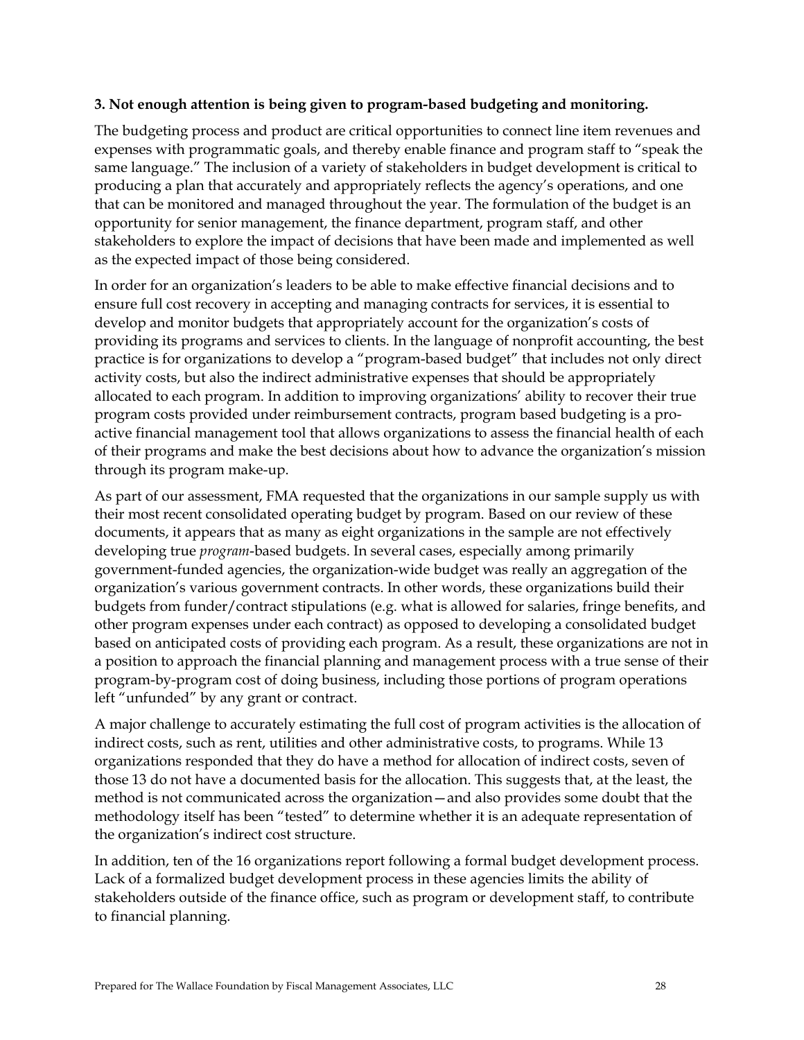### **3. Not enough attention is being given to program-based budgeting and monitoring.**

The budgeting process and product are critical opportunities to connect line item revenues and expenses with programmatic goals, and thereby enable finance and program staff to "speak the same language." The inclusion of a variety of stakeholders in budget development is critical to producing a plan that accurately and appropriately reflects the agency's operations, and one that can be monitored and managed throughout the year. The formulation of the budget is an opportunity for senior management, the finance department, program staff, and other stakeholders to explore the impact of decisions that have been made and implemented as well as the expected impact of those being considered.

In order for an organization's leaders to be able to make effective financial decisions and to ensure full cost recovery in accepting and managing contracts for services, it is essential to develop and monitor budgets that appropriately account for the organization's costs of providing its programs and services to clients. In the language of nonprofit accounting, the best practice is for organizations to develop a "program-based budget" that includes not only direct activity costs, but also the indirect administrative expenses that should be appropriately allocated to each program. In addition to improving organizations' ability to recover their true program costs provided under reimbursement contracts, program based budgeting is a proactive financial management tool that allows organizations to assess the financial health of each of their programs and make the best decisions about how to advance the organization's mission through its program make-up.

As part of our assessment, FMA requested that the organizations in our sample supply us with their most recent consolidated operating budget by program. Based on our review of these documents, it appears that as many as eight organizations in the sample are not effectively developing true *program*-based budgets. In several cases, especially among primarily government-funded agencies, the organization-wide budget was really an aggregation of the organization's various government contracts. In other words, these organizations build their budgets from funder/contract stipulations (e.g. what is allowed for salaries, fringe benefits, and other program expenses under each contract) as opposed to developing a consolidated budget based on anticipated costs of providing each program. As a result, these organizations are not in a position to approach the financial planning and management process with a true sense of their program-by-program cost of doing business, including those portions of program operations left "unfunded" by any grant or contract.

A major challenge to accurately estimating the full cost of program activities is the allocation of indirect costs, such as rent, utilities and other administrative costs, to programs. While 13 organizations responded that they do have a method for allocation of indirect costs, seven of those 13 do not have a documented basis for the allocation. This suggests that, at the least, the method is not communicated across the organization—and also provides some doubt that the methodology itself has been "tested" to determine whether it is an adequate representation of the organization's indirect cost structure.

In addition, ten of the 16 organizations report following a formal budget development process. Lack of a formalized budget development process in these agencies limits the ability of stakeholders outside of the finance office, such as program or development staff, to contribute to financial planning.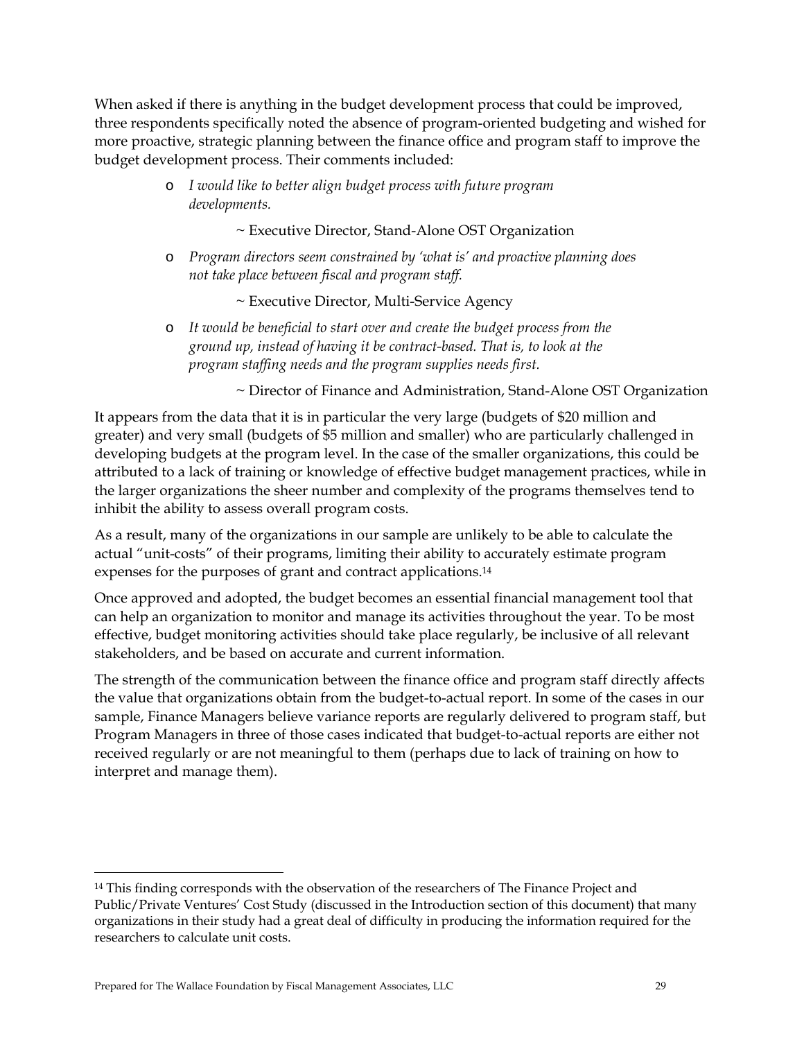When asked if there is anything in the budget development process that could be improved, three respondents specifically noted the absence of program-oriented budgeting and wished for more proactive, strategic planning between the finance office and program staff to improve the budget development process. Their comments included:

> o *I would like to better align budget process with future program developments.*

> > ~ Executive Director, Stand-Alone OST Organization

o *Program directors seem constrained by 'what is' and proactive planning does not take place between fiscal and program staff.* 

~ Executive Director, Multi-Service Agency

o *It would be beneficial to start over and create the budget process from the ground up, instead of having it be contract-based. That is, to look at the program staffing needs and the program supplies needs first.* 

~ Director of Finance and Administration, Stand-Alone OST Organization

It appears from the data that it is in particular the very large (budgets of \$20 million and greater) and very small (budgets of \$5 million and smaller) who are particularly challenged in developing budgets at the program level. In the case of the smaller organizations, this could be attributed to a lack of training or knowledge of effective budget management practices, while in the larger organizations the sheer number and complexity of the programs themselves tend to inhibit the ability to assess overall program costs.

As a result, many of the organizations in our sample are unlikely to be able to calculate the actual "unit-costs" of their programs, limiting their ability to accurately estimate program expenses for the purposes of grant and contract applications.14

Once approved and adopted, the budget becomes an essential financial management tool that can help an organization to monitor and manage its activities throughout the year. To be most effective, budget monitoring activities should take place regularly, be inclusive of all relevant stakeholders, and be based on accurate and current information.

The strength of the communication between the finance office and program staff directly affects the value that organizations obtain from the budget-to-actual report. In some of the cases in our sample, Finance Managers believe variance reports are regularly delivered to program staff, but Program Managers in three of those cases indicated that budget-to-actual reports are either not received regularly or are not meaningful to them (perhaps due to lack of training on how to interpret and manage them).

 $\ddot{\phantom{a}}$ 

<sup>&</sup>lt;sup>14</sup> This finding corresponds with the observation of the researchers of The Finance Project and Public/Private Ventures' Cost Study (discussed in the Introduction section of this document) that many organizations in their study had a great deal of difficulty in producing the information required for the researchers to calculate unit costs.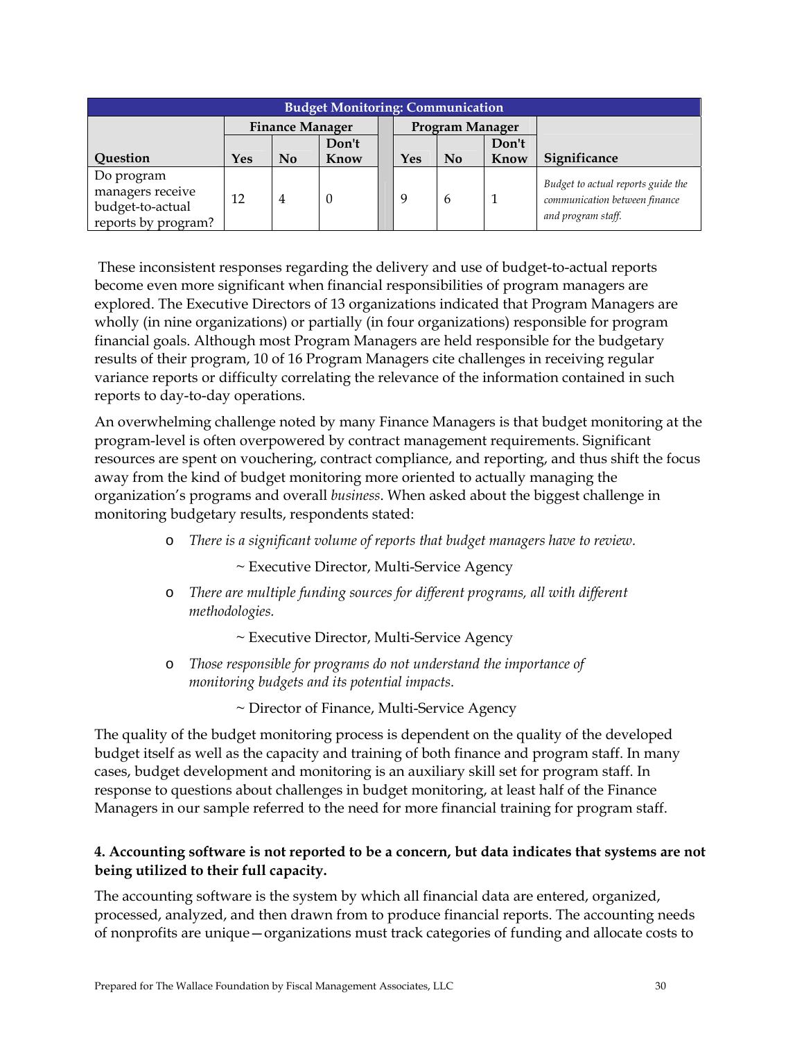| <b>Budget Monitoring: Communication</b> |                        |                |       |  |                 |                           |       |                                    |
|-----------------------------------------|------------------------|----------------|-------|--|-----------------|---------------------------|-------|------------------------------------|
|                                         | <b>Finance Manager</b> |                |       |  | Program Manager |                           |       |                                    |
|                                         |                        |                | Don't |  |                 |                           | Don't |                                    |
| Question                                | Yes                    | No             | Know  |  | Yes             | $\mathbf{N}$ <sub>0</sub> | Know  | Significance                       |
| Do program                              |                        |                |       |  |                 |                           |       | Budget to actual reports guide the |
| managers receive                        | 12                     | $\overline{4}$ | 0     |  | 9               | $\mathbf{b}$              |       | communication between finance      |
| budget-to-actual                        |                        |                |       |  |                 |                           |       |                                    |
| reports by program?                     |                        |                |       |  |                 |                           |       | and program staff.                 |

 These inconsistent responses regarding the delivery and use of budget-to-actual reports become even more significant when financial responsibilities of program managers are explored. The Executive Directors of 13 organizations indicated that Program Managers are wholly (in nine organizations) or partially (in four organizations) responsible for program financial goals. Although most Program Managers are held responsible for the budgetary results of their program, 10 of 16 Program Managers cite challenges in receiving regular variance reports or difficulty correlating the relevance of the information contained in such reports to day-to-day operations.

An overwhelming challenge noted by many Finance Managers is that budget monitoring at the program-level is often overpowered by contract management requirements. Significant resources are spent on vouchering, contract compliance, and reporting, and thus shift the focus away from the kind of budget monitoring more oriented to actually managing the organization's programs and overall *business*. When asked about the biggest challenge in monitoring budgetary results, respondents stated:

o *There is a significant volume of reports that budget managers have to review.* 

~ Executive Director, Multi-Service Agency

o *There are multiple funding sources for different programs, all with different methodologies.* 

~ Executive Director, Multi-Service Agency

o *Those responsible for programs do not understand the importance of monitoring budgets and its potential impacts.* 

~ Director of Finance, Multi-Service Agency

The quality of the budget monitoring process is dependent on the quality of the developed budget itself as well as the capacity and training of both finance and program staff. In many cases, budget development and monitoring is an auxiliary skill set for program staff. In response to questions about challenges in budget monitoring, at least half of the Finance Managers in our sample referred to the need for more financial training for program staff.

### **4. Accounting software is not reported to be a concern, but data indicates that systems are not being utilized to their full capacity.**

The accounting software is the system by which all financial data are entered, organized, processed, analyzed, and then drawn from to produce financial reports. The accounting needs of nonprofits are unique—organizations must track categories of funding and allocate costs to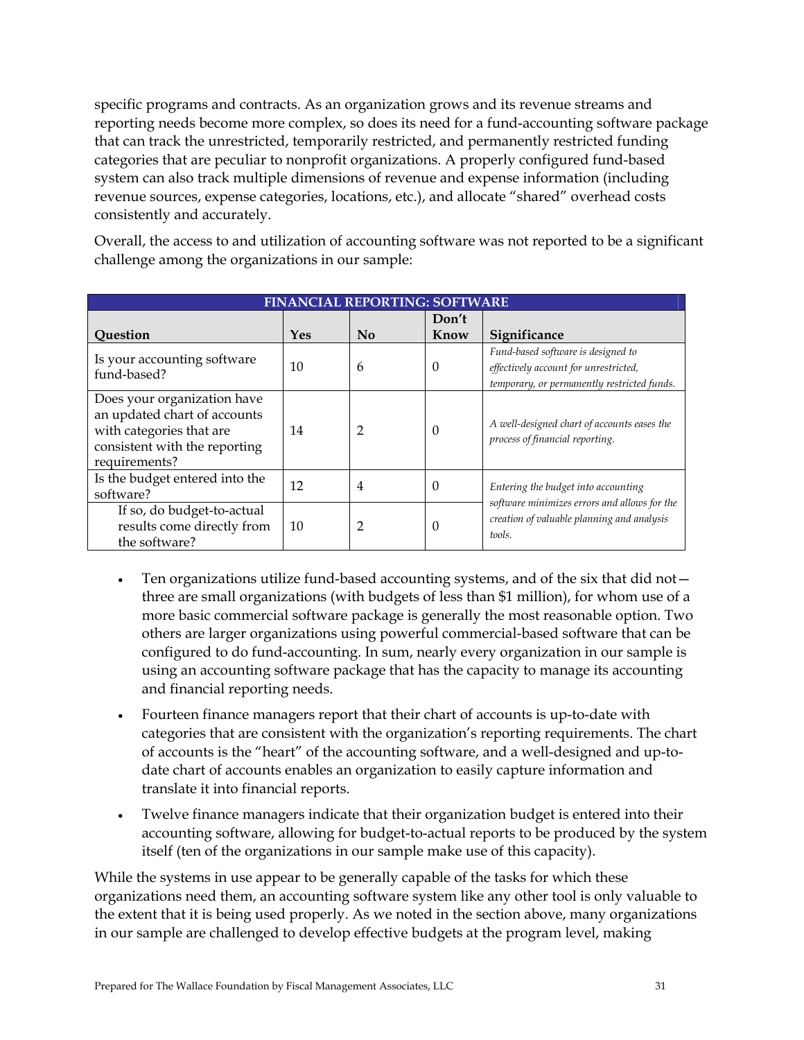specific programs and contracts. As an organization grows and its revenue streams and reporting needs become more complex, so does its need for a fund-accounting software package that can track the unrestricted, temporarily restricted, and permanently restricted funding categories that are peculiar to nonprofit organizations. A properly configured fund-based system can also track multiple dimensions of revenue and expense information (including revenue sources, expense categories, locations, etc.), and allocate "shared" overhead costs consistently and accurately.

Overall, the access to and utilization of accounting software was not reported to be a significant challenge among the organizations in our sample:

| <b>FINANCIAL REPORTING: SOFTWARE</b>                                                                                                      |     |                           |               |                                                                                                                            |  |  |  |
|-------------------------------------------------------------------------------------------------------------------------------------------|-----|---------------------------|---------------|----------------------------------------------------------------------------------------------------------------------------|--|--|--|
| Question                                                                                                                                  | Yes | $\mathbf{N}$ <sub>0</sub> | Don't<br>Know | Significance                                                                                                               |  |  |  |
| Is your accounting software<br>fund-based?                                                                                                | 10  | 6                         | $\Omega$      | Fund-based software is designed to<br>effectively account for unrestricted,<br>temporary, or permanently restricted funds. |  |  |  |
| Does your organization have<br>an updated chart of accounts<br>with categories that are<br>consistent with the reporting<br>requirements? | 14  | 2                         | $\Omega$      | A well-designed chart of accounts eases the<br>process of financial reporting.                                             |  |  |  |
| Is the budget entered into the<br>software?                                                                                               | 12  | 4                         | $\Omega$      | Entering the budget into accounting                                                                                        |  |  |  |
| If so, do budget-to-actual<br>results come directly from<br>the software?                                                                 | 10  | 2                         | 0             | software minimizes errors and allows for the<br>creation of valuable planning and analysis<br>tools.                       |  |  |  |

- Ten organizations utilize fund-based accounting systems, and of the six that did not three are small organizations (with budgets of less than \$1 million), for whom use of a more basic commercial software package is generally the most reasonable option. Two others are larger organizations using powerful commercial-based software that can be configured to do fund-accounting. In sum, nearly every organization in our sample is using an accounting software package that has the capacity to manage its accounting and financial reporting needs.
- Fourteen finance managers report that their chart of accounts is up-to-date with categories that are consistent with the organization's reporting requirements. The chart of accounts is the "heart" of the accounting software, and a well-designed and up-todate chart of accounts enables an organization to easily capture information and translate it into financial reports.
- Twelve finance managers indicate that their organization budget is entered into their accounting software, allowing for budget-to-actual reports to be produced by the system itself (ten of the organizations in our sample make use of this capacity).

While the systems in use appear to be generally capable of the tasks for which these organizations need them, an accounting software system like any other tool is only valuable to the extent that it is being used properly. As we noted in the section above, many organizations in our sample are challenged to develop effective budgets at the program level, making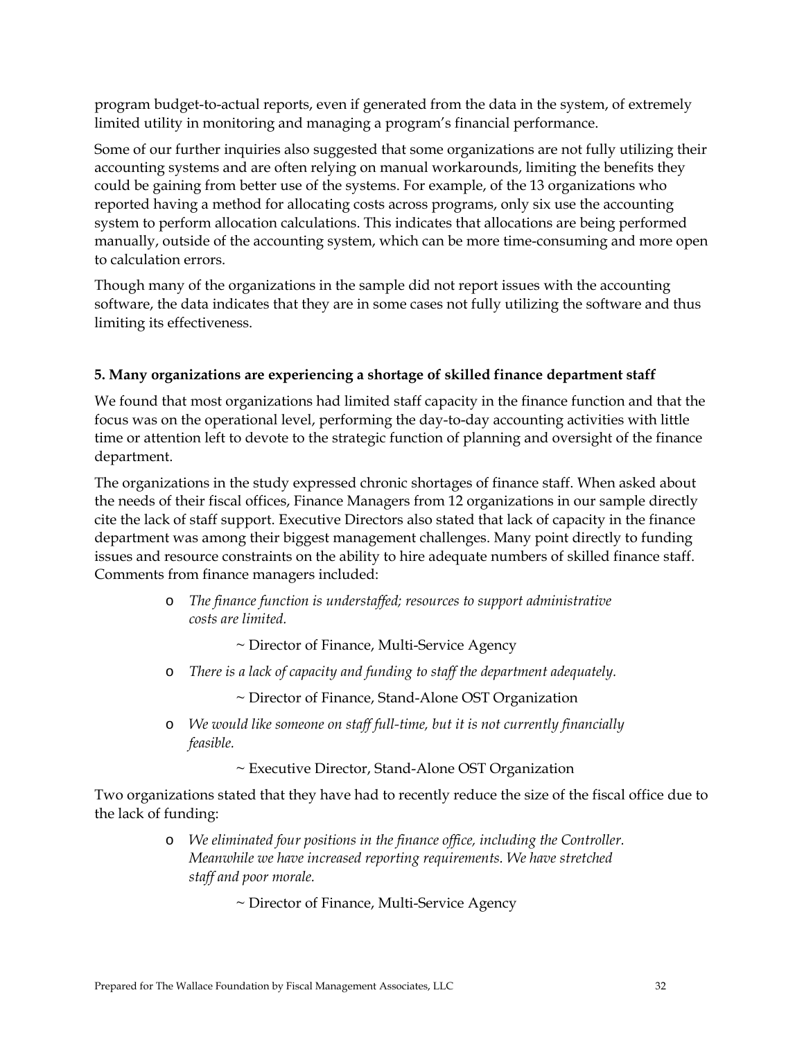program budget-to-actual reports, even if generated from the data in the system, of extremely limited utility in monitoring and managing a program's financial performance.

Some of our further inquiries also suggested that some organizations are not fully utilizing their accounting systems and are often relying on manual workarounds, limiting the benefits they could be gaining from better use of the systems. For example, of the 13 organizations who reported having a method for allocating costs across programs, only six use the accounting system to perform allocation calculations. This indicates that allocations are being performed manually, outside of the accounting system, which can be more time-consuming and more open to calculation errors.

Though many of the organizations in the sample did not report issues with the accounting software, the data indicates that they are in some cases not fully utilizing the software and thus limiting its effectiveness.

### **5. Many organizations are experiencing a shortage of skilled finance department staff**

We found that most organizations had limited staff capacity in the finance function and that the focus was on the operational level, performing the day-to-day accounting activities with little time or attention left to devote to the strategic function of planning and oversight of the finance department.

The organizations in the study expressed chronic shortages of finance staff. When asked about the needs of their fiscal offices, Finance Managers from 12 organizations in our sample directly cite the lack of staff support. Executive Directors also stated that lack of capacity in the finance department was among their biggest management challenges. Many point directly to funding issues and resource constraints on the ability to hire adequate numbers of skilled finance staff. Comments from finance managers included:

> o *The finance function is understaffed; resources to support administrative costs are limited.*

> > ~ Director of Finance, Multi-Service Agency

o *There is a lack of capacity and funding to staff the department adequately.* 

~ Director of Finance, Stand-Alone OST Organization

o *We would like someone on staff full-time, but it is not currently financially feasible.* 

~ Executive Director, Stand-Alone OST Organization

Two organizations stated that they have had to recently reduce the size of the fiscal office due to the lack of funding:

> o *We eliminated four positions in the finance office, including the Controller. Meanwhile we have increased reporting requirements. We have stretched staff and poor morale.*

> > ~ Director of Finance, Multi-Service Agency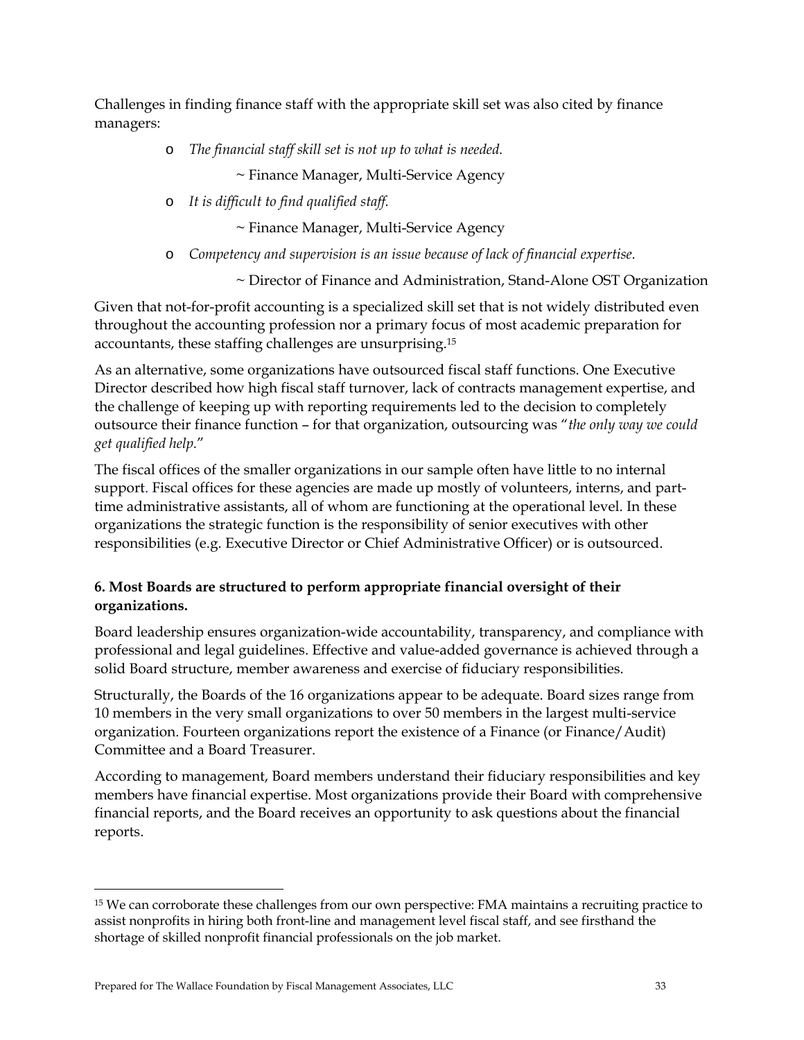Challenges in finding finance staff with the appropriate skill set was also cited by finance managers:

o *The financial staff skill set is not up to what is needed.* 

~ Finance Manager, Multi-Service Agency

o *It is difficult to find qualified staff.* 

~ Finance Manager, Multi-Service Agency

o *Competency and supervision is an issue because of lack of financial expertise.* 

~ Director of Finance and Administration, Stand-Alone OST Organization

Given that not-for-profit accounting is a specialized skill set that is not widely distributed even throughout the accounting profession nor a primary focus of most academic preparation for accountants, these staffing challenges are unsurprising.15

As an alternative, some organizations have outsourced fiscal staff functions. One Executive Director described how high fiscal staff turnover, lack of contracts management expertise, and the challenge of keeping up with reporting requirements led to the decision to completely outsource their finance function – for that organization, outsourcing was "*the only way we could get qualified help.*"

The fiscal offices of the smaller organizations in our sample often have little to no internal support. Fiscal offices for these agencies are made up mostly of volunteers, interns, and parttime administrative assistants, all of whom are functioning at the operational level. In these organizations the strategic function is the responsibility of senior executives with other responsibilities (e.g. Executive Director or Chief Administrative Officer) or is outsourced.

## **6. Most Boards are structured to perform appropriate financial oversight of their organizations.**

Board leadership ensures organization-wide accountability, transparency, and compliance with professional and legal guidelines. Effective and value-added governance is achieved through a solid Board structure, member awareness and exercise of fiduciary responsibilities.

Structurally, the Boards of the 16 organizations appear to be adequate. Board sizes range from 10 members in the very small organizations to over 50 members in the largest multi-service organization. Fourteen organizations report the existence of a Finance (or Finance/Audit) Committee and a Board Treasurer.

According to management, Board members understand their fiduciary responsibilities and key members have financial expertise. Most organizations provide their Board with comprehensive financial reports, and the Board receives an opportunity to ask questions about the financial reports.

-

<sup>15</sup> We can corroborate these challenges from our own perspective: FMA maintains a recruiting practice to assist nonprofits in hiring both front-line and management level fiscal staff, and see firsthand the shortage of skilled nonprofit financial professionals on the job market.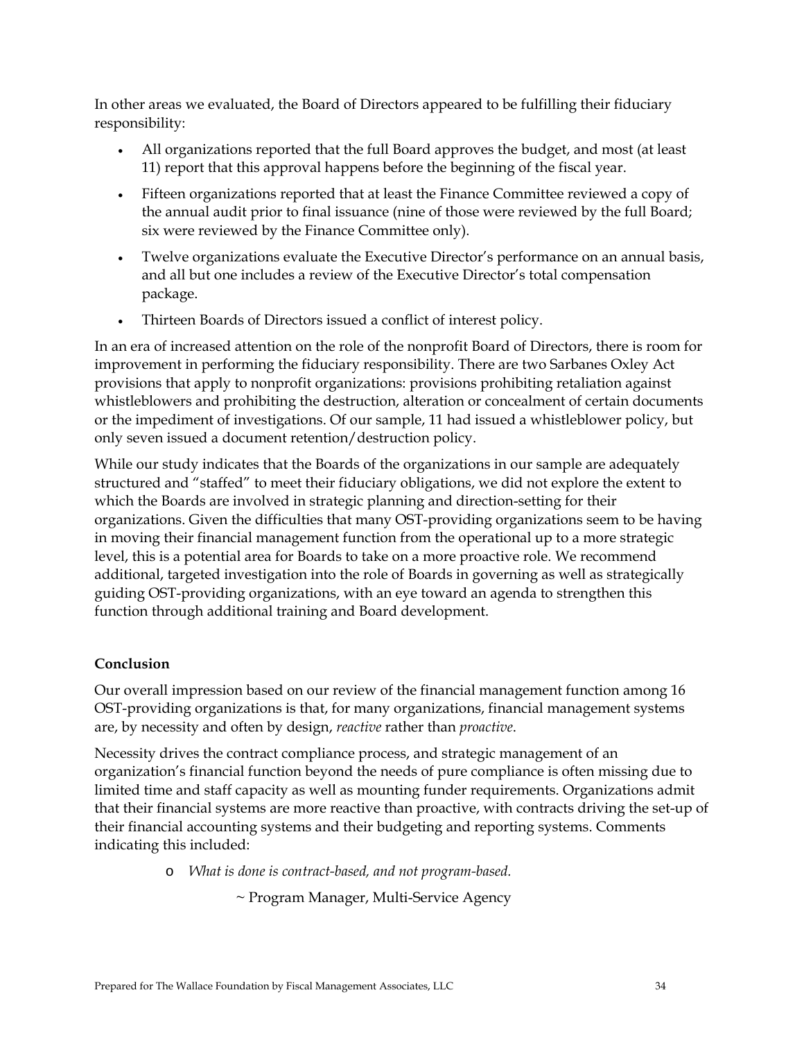In other areas we evaluated, the Board of Directors appeared to be fulfilling their fiduciary responsibility:

- All organizations reported that the full Board approves the budget, and most (at least 11) report that this approval happens before the beginning of the fiscal year.
- Fifteen organizations reported that at least the Finance Committee reviewed a copy of the annual audit prior to final issuance (nine of those were reviewed by the full Board; six were reviewed by the Finance Committee only).
- Twelve organizations evaluate the Executive Director's performance on an annual basis, and all but one includes a review of the Executive Director's total compensation package.
- Thirteen Boards of Directors issued a conflict of interest policy.

In an era of increased attention on the role of the nonprofit Board of Directors, there is room for improvement in performing the fiduciary responsibility. There are two Sarbanes Oxley Act provisions that apply to nonprofit organizations: provisions prohibiting retaliation against whistleblowers and prohibiting the destruction, alteration or concealment of certain documents or the impediment of investigations. Of our sample, 11 had issued a whistleblower policy, but only seven issued a document retention/destruction policy.

While our study indicates that the Boards of the organizations in our sample are adequately structured and "staffed" to meet their fiduciary obligations, we did not explore the extent to which the Boards are involved in strategic planning and direction-setting for their organizations. Given the difficulties that many OST-providing organizations seem to be having in moving their financial management function from the operational up to a more strategic level, this is a potential area for Boards to take on a more proactive role. We recommend additional, targeted investigation into the role of Boards in governing as well as strategically guiding OST-providing organizations, with an eye toward an agenda to strengthen this function through additional training and Board development.

## **Conclusion**

Our overall impression based on our review of the financial management function among 16 OST-providing organizations is that, for many organizations, financial management systems are, by necessity and often by design, *reactive* rather than *proactive*.

Necessity drives the contract compliance process, and strategic management of an organization's financial function beyond the needs of pure compliance is often missing due to limited time and staff capacity as well as mounting funder requirements. Organizations admit that their financial systems are more reactive than proactive, with contracts driving the set-up of their financial accounting systems and their budgeting and reporting systems. Comments indicating this included:

o *What is done is contract-based, and not program-based.* 

~ Program Manager, Multi-Service Agency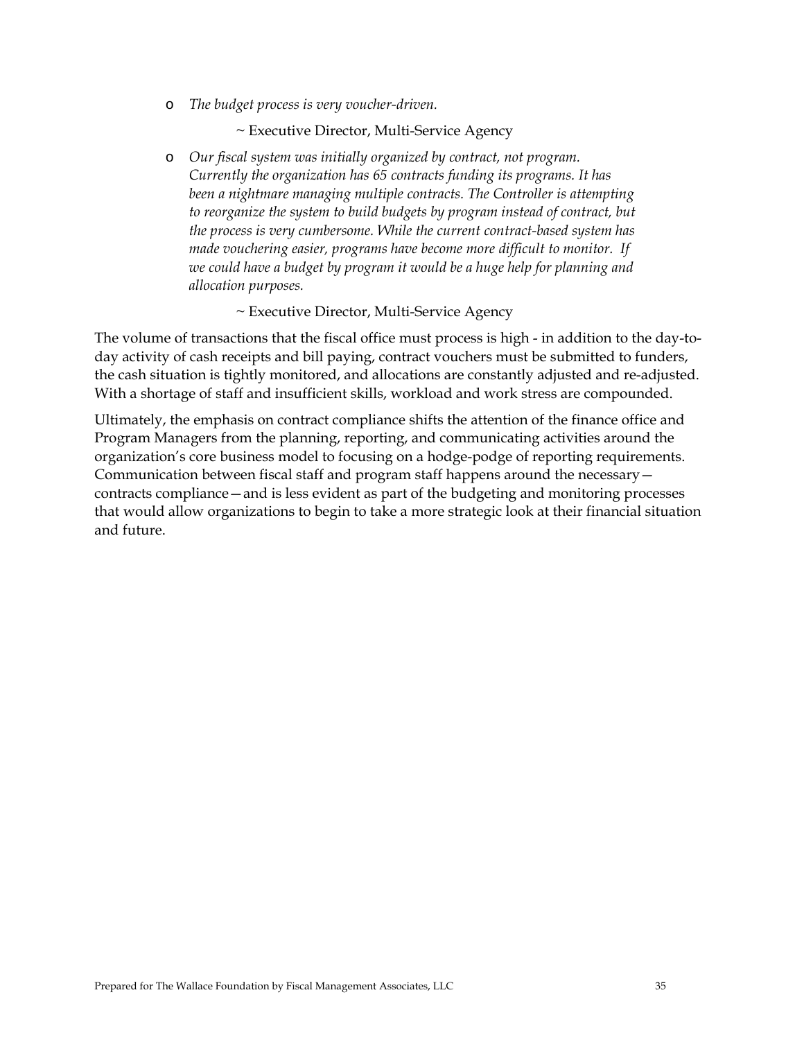o *The budget process is very voucher-driven.* 

~ Executive Director, Multi-Service Agency

o *Our fiscal system was initially organized by contract, not program. Currently the organization has 65 contracts funding its programs. It has been a nightmare managing multiple contracts. The Controller is attempting to reorganize the system to build budgets by program instead of contract, but the process is very cumbersome. While the current contract-based system has made vouchering easier, programs have become more difficult to monitor. If we could have a budget by program it would be a huge help for planning and allocation purposes.* 

~ Executive Director, Multi-Service Agency

The volume of transactions that the fiscal office must process is high - in addition to the day-today activity of cash receipts and bill paying, contract vouchers must be submitted to funders, the cash situation is tightly monitored, and allocations are constantly adjusted and re-adjusted. With a shortage of staff and insufficient skills, workload and work stress are compounded.

Ultimately, the emphasis on contract compliance shifts the attention of the finance office and Program Managers from the planning, reporting, and communicating activities around the organization's core business model to focusing on a hodge-podge of reporting requirements. Communication between fiscal staff and program staff happens around the necessary contracts compliance—and is less evident as part of the budgeting and monitoring processes that would allow organizations to begin to take a more strategic look at their financial situation and future.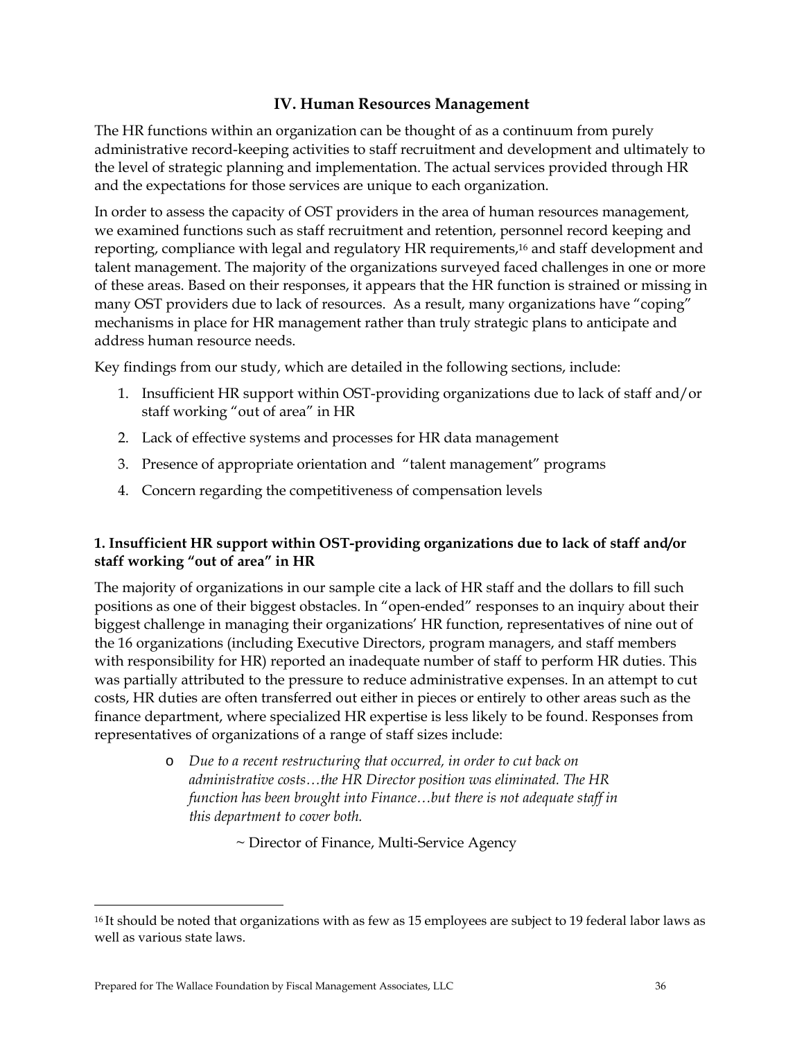# **IV. Human Resources Management**

The HR functions within an organization can be thought of as a continuum from purely administrative record-keeping activities to staff recruitment and development and ultimately to the level of strategic planning and implementation. The actual services provided through HR and the expectations for those services are unique to each organization.

In order to assess the capacity of OST providers in the area of human resources management, we examined functions such as staff recruitment and retention, personnel record keeping and reporting, compliance with legal and regulatory HR requirements,16 and staff development and talent management. The majority of the organizations surveyed faced challenges in one or more of these areas. Based on their responses, it appears that the HR function is strained or missing in many OST providers due to lack of resources. As a result, many organizations have "coping" mechanisms in place for HR management rather than truly strategic plans to anticipate and address human resource needs.

Key findings from our study, which are detailed in the following sections, include:

- 1. Insufficient HR support within OST-providing organizations due to lack of staff and/or staff working "out of area" in HR
- 2. Lack of effective systems and processes for HR data management
- 3. Presence of appropriate orientation and "talent management" programs
- 4. Concern regarding the competitiveness of compensation levels

# **1. Insufficient HR support within OST-providing organizations due to lack of staff and/or staff working "out of area" in HR**

The majority of organizations in our sample cite a lack of HR staff and the dollars to fill such positions as one of their biggest obstacles. In "open-ended" responses to an inquiry about their biggest challenge in managing their organizations' HR function, representatives of nine out of the 16 organizations (including Executive Directors, program managers, and staff members with responsibility for HR) reported an inadequate number of staff to perform HR duties. This was partially attributed to the pressure to reduce administrative expenses. In an attempt to cut costs, HR duties are often transferred out either in pieces or entirely to other areas such as the finance department, where specialized HR expertise is less likely to be found. Responses from representatives of organizations of a range of staff sizes include:

> o *Due to a recent restructuring that occurred, in order to cut back on administrative costs…the HR Director position was eliminated. The HR function has been brought into Finance…but there is not adequate staff in this department to cover both.*

> > ~ Director of Finance, Multi-Service Agency

<u>.</u>

<sup>&</sup>lt;sup>16</sup> It should be noted that organizations with as few as 15 employees are subject to 19 federal labor laws as well as various state laws.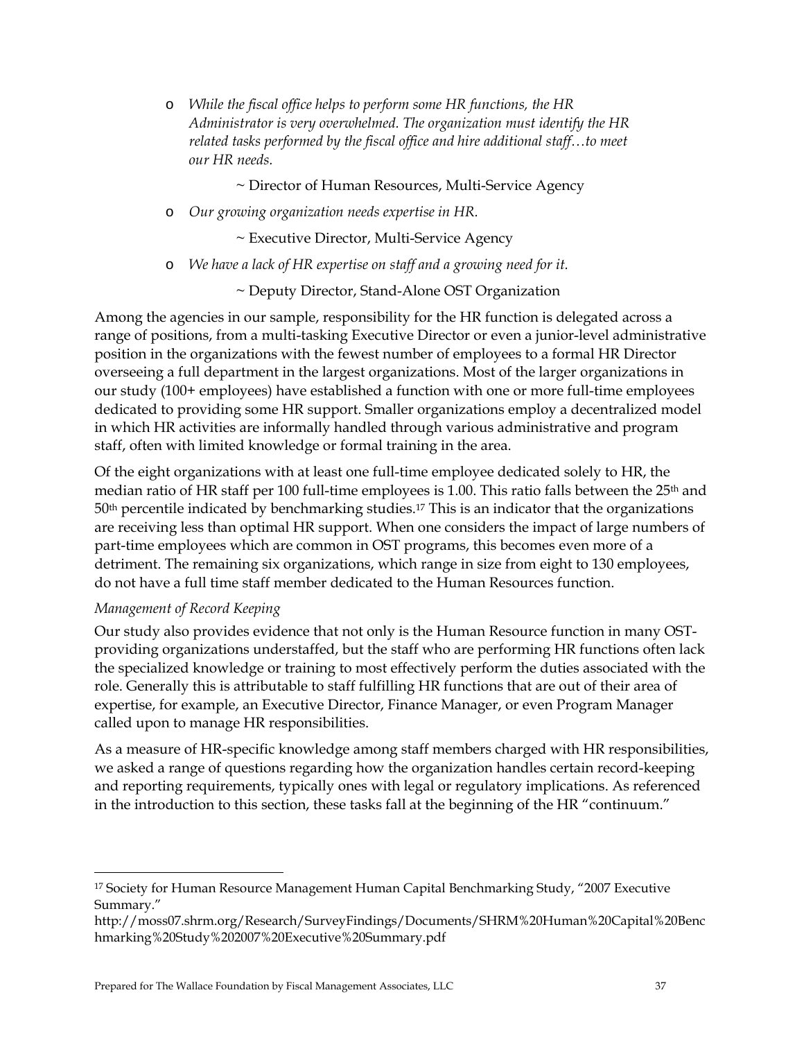o *While the fiscal office helps to perform some HR functions, the HR Administrator is very overwhelmed. The organization must identify the HR related tasks performed by the fiscal office and hire additional staff…to meet our HR needs.* 

~ Director of Human Resources, Multi-Service Agency

o *Our growing organization needs expertise in HR.* 

~ Executive Director, Multi-Service Agency

o *We have a lack of HR expertise on staff and a growing need for it.* 

~ Deputy Director, Stand-Alone OST Organization

Among the agencies in our sample, responsibility for the HR function is delegated across a range of positions, from a multi-tasking Executive Director or even a junior-level administrative position in the organizations with the fewest number of employees to a formal HR Director overseeing a full department in the largest organizations. Most of the larger organizations in our study (100+ employees) have established a function with one or more full-time employees dedicated to providing some HR support. Smaller organizations employ a decentralized model in which HR activities are informally handled through various administrative and program staff, often with limited knowledge or formal training in the area.

Of the eight organizations with at least one full-time employee dedicated solely to HR, the median ratio of HR staff per 100 full-time employees is 1.00. This ratio falls between the 25<sup>th</sup> and  $50<sup>th</sup>$  percentile indicated by benchmarking studies.<sup>17</sup> This is an indicator that the organizations are receiving less than optimal HR support. When one considers the impact of large numbers of part-time employees which are common in OST programs, this becomes even more of a detriment. The remaining six organizations, which range in size from eight to 130 employees, do not have a full time staff member dedicated to the Human Resources function.

## *Management of Record Keeping*

 $\ddot{\phantom{a}}$ 

Our study also provides evidence that not only is the Human Resource function in many OSTproviding organizations understaffed, but the staff who are performing HR functions often lack the specialized knowledge or training to most effectively perform the duties associated with the role. Generally this is attributable to staff fulfilling HR functions that are out of their area of expertise, for example, an Executive Director, Finance Manager, or even Program Manager called upon to manage HR responsibilities.

As a measure of HR-specific knowledge among staff members charged with HR responsibilities, we asked a range of questions regarding how the organization handles certain record-keeping and reporting requirements, typically ones with legal or regulatory implications. As referenced in the introduction to this section, these tasks fall at the beginning of the HR "continuum."

<sup>&</sup>lt;sup>17</sup> Society for Human Resource Management Human Capital Benchmarking Study, "2007 Executive Summary."

http://moss07.shrm.org/Research/SurveyFindings/Documents/SHRM%20Human%20Capital%20Benc hmarking%20Study%202007%20Executive%20Summary.pdf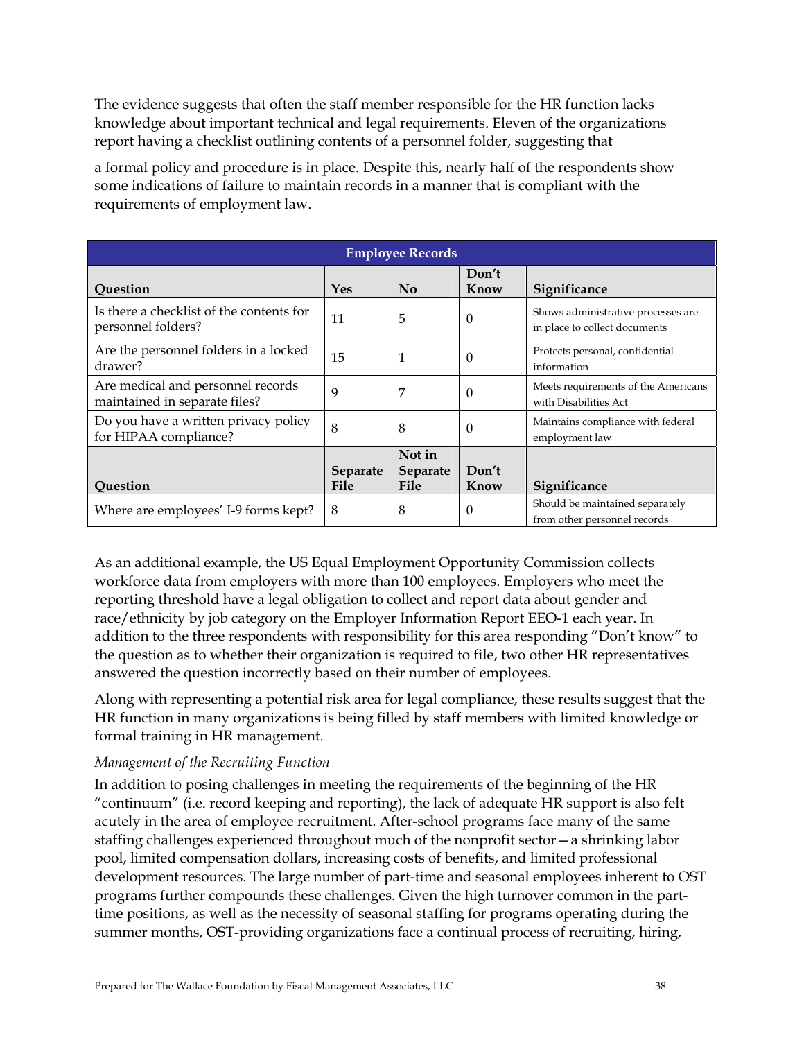The evidence suggests that often the staff member responsible for the HR function lacks knowledge about important technical and legal requirements. Eleven of the organizations report having a checklist outlining contents of a personnel folder, suggesting that

a formal policy and procedure is in place. Despite this, nearly half of the respondents show some indications of failure to maintain records in a manner that is compliant with the requirements of employment law.

| <b>Employee Records</b>                                            |                 |                           |               |                                                                     |  |  |
|--------------------------------------------------------------------|-----------------|---------------------------|---------------|---------------------------------------------------------------------|--|--|
| Question                                                           | <b>Yes</b>      | N <sub>0</sub>            | Don't<br>Know | Significance                                                        |  |  |
| Is there a checklist of the contents for<br>personnel folders?     | 11              | 5                         | $\Omega$      | Shows administrative processes are<br>in place to collect documents |  |  |
| Are the personnel folders in a locked<br>drawer?                   | 15              | 1                         | $\Omega$      | Protects personal, confidential<br>information                      |  |  |
| Are medical and personnel records<br>maintained in separate files? | 9               | 7                         | $\Omega$      | Meets requirements of the Americans<br>with Disabilities Act        |  |  |
| Do you have a written privacy policy<br>for HIPAA compliance?      | 8               | 8                         | $\theta$      | Maintains compliance with federal<br>employment law                 |  |  |
|                                                                    | <b>Separate</b> | Not in<br><b>Separate</b> | Don't         |                                                                     |  |  |
| Question                                                           | <b>File</b>     | File                      | Know          | Significance                                                        |  |  |
| Where are employees' I-9 forms kept?                               | 8               | 8                         | $\theta$      | Should be maintained separately<br>from other personnel records     |  |  |

As an additional example, the US Equal Employment Opportunity Commission collects workforce data from employers with more than 100 employees. Employers who meet the reporting threshold have a legal obligation to collect and report data about gender and race/ethnicity by job category on the Employer Information Report EEO-1 each year. In addition to the three respondents with responsibility for this area responding "Don't know" to the question as to whether their organization is required to file, two other HR representatives answered the question incorrectly based on their number of employees.

Along with representing a potential risk area for legal compliance, these results suggest that the HR function in many organizations is being filled by staff members with limited knowledge or formal training in HR management.

# *Management of the Recruiting Function*

In addition to posing challenges in meeting the requirements of the beginning of the HR "continuum" (i.e. record keeping and reporting), the lack of adequate HR support is also felt acutely in the area of employee recruitment. After-school programs face many of the same staffing challenges experienced throughout much of the nonprofit sector—a shrinking labor pool, limited compensation dollars, increasing costs of benefits, and limited professional development resources. The large number of part-time and seasonal employees inherent to OST programs further compounds these challenges. Given the high turnover common in the parttime positions, as well as the necessity of seasonal staffing for programs operating during the summer months, OST-providing organizations face a continual process of recruiting, hiring,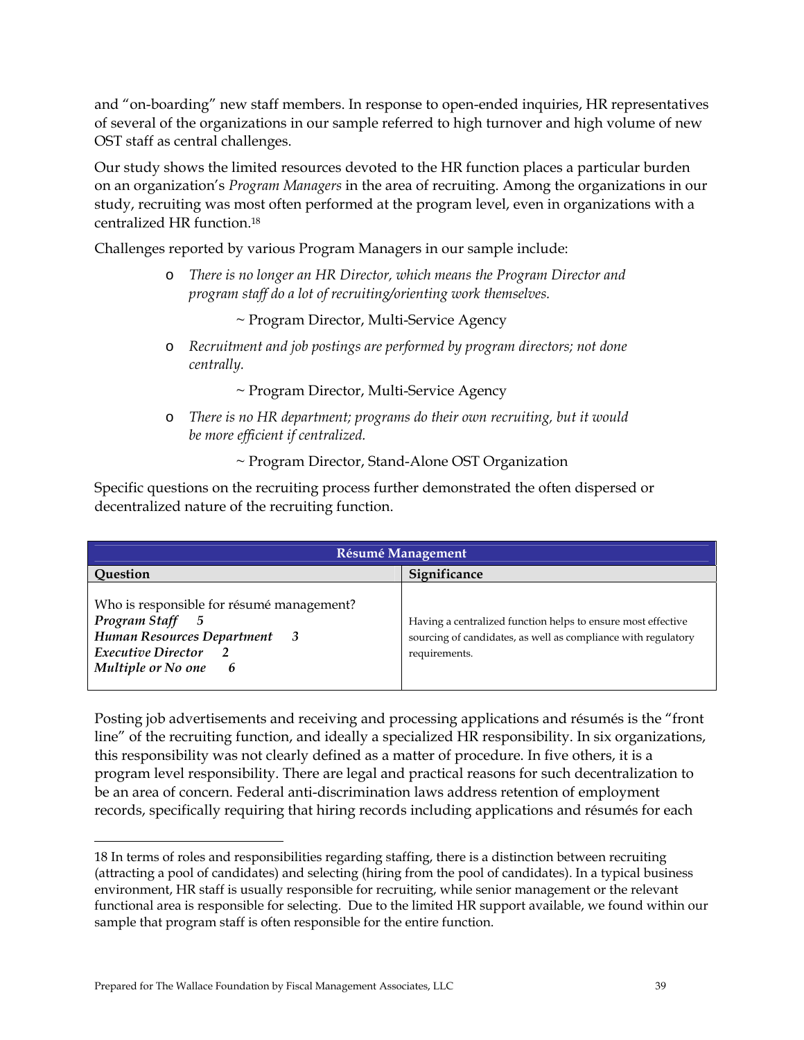and "on-boarding" new staff members. In response to open-ended inquiries, HR representatives of several of the organizations in our sample referred to high turnover and high volume of new OST staff as central challenges.

Our study shows the limited resources devoted to the HR function places a particular burden on an organization's *Program Managers* in the area of recruiting. Among the organizations in our study, recruiting was most often performed at the program level, even in organizations with a centralized HR function.18

Challenges reported by various Program Managers in our sample include:

o *There is no longer an HR Director, which means the Program Director and program staff do a lot of recruiting/orienting work themselves.* 

~ Program Director, Multi-Service Agency

o *Recruitment and job postings are performed by program directors; not done centrally.* 

~ Program Director, Multi-Service Agency

o *There is no HR department; programs do their own recruiting, but it would be more efficient if centralized.* 

~ Program Director, Stand-Alone OST Organization

Specific questions on the recruiting process further demonstrated the often dispersed or decentralized nature of the recruiting function.

| <b>Résumé Management</b>                                                                                                                                   |                                                                                                                                                |  |  |  |
|------------------------------------------------------------------------------------------------------------------------------------------------------------|------------------------------------------------------------------------------------------------------------------------------------------------|--|--|--|
| Question                                                                                                                                                   | <b>Significance</b>                                                                                                                            |  |  |  |
| Who is responsible for résumé management?<br>Program Staff<br>5<br>Human Resources Department<br>3<br>Executive Director<br>Multiple or No one<br>$\bm{b}$ | Having a centralized function helps to ensure most effective<br>sourcing of candidates, as well as compliance with regulatory<br>requirements. |  |  |  |

Posting job advertisements and receiving and processing applications and résumés is the "front line" of the recruiting function, and ideally a specialized HR responsibility. In six organizations, this responsibility was not clearly defined as a matter of procedure. In five others, it is a program level responsibility. There are legal and practical reasons for such decentralization to be an area of concern. Federal anti-discrimination laws address retention of employment records, specifically requiring that hiring records including applications and résumés for each

 $\overline{a}$ 

<sup>18</sup> In terms of roles and responsibilities regarding staffing, there is a distinction between recruiting (attracting a pool of candidates) and selecting (hiring from the pool of candidates). In a typical business environment, HR staff is usually responsible for recruiting, while senior management or the relevant functional area is responsible for selecting. Due to the limited HR support available, we found within our sample that program staff is often responsible for the entire function.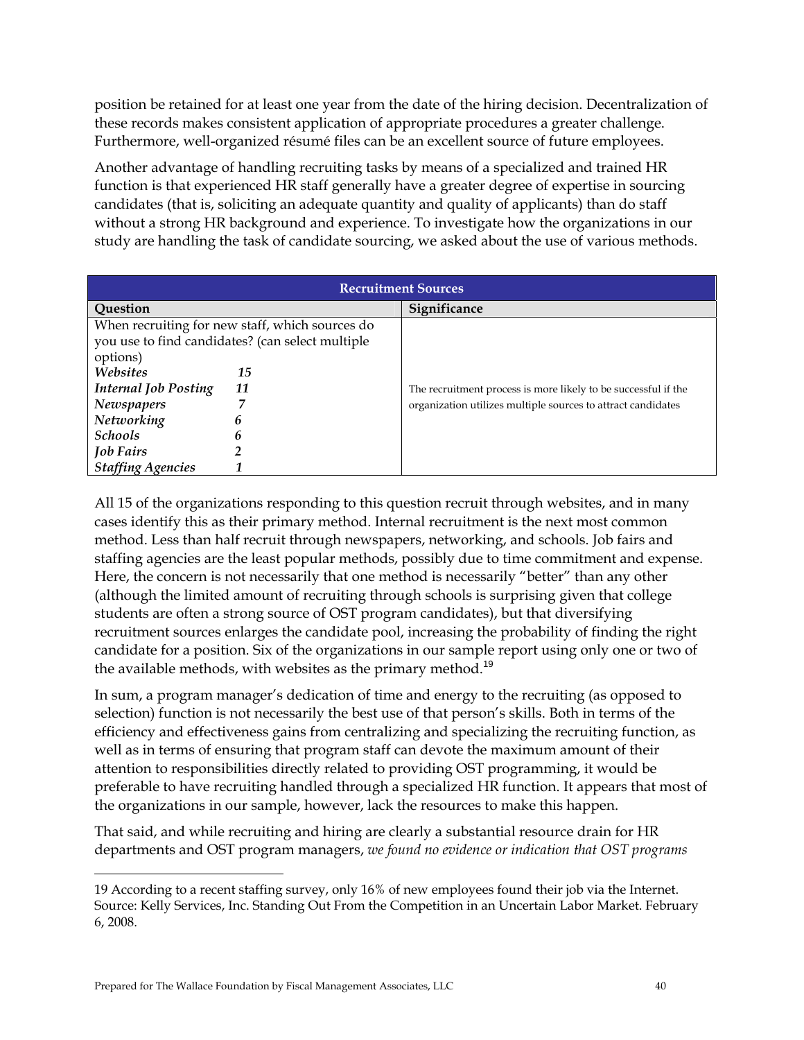position be retained for at least one year from the date of the hiring decision. Decentralization of these records makes consistent application of appropriate procedures a greater challenge. Furthermore, well-organized résumé files can be an excellent source of future employees.

Another advantage of handling recruiting tasks by means of a specialized and trained HR function is that experienced HR staff generally have a greater degree of expertise in sourcing candidates (that is, soliciting an adequate quantity and quality of applicants) than do staff without a strong HR background and experience. To investigate how the organizations in our study are handling the task of candidate sourcing, we asked about the use of various methods.

| <b>Recruitment Sources</b>  |                                                  |                                                                |  |  |
|-----------------------------|--------------------------------------------------|----------------------------------------------------------------|--|--|
| Question                    |                                                  | Significance                                                   |  |  |
|                             | When recruiting for new staff, which sources do  |                                                                |  |  |
|                             | you use to find candidates? (can select multiple |                                                                |  |  |
| options)                    |                                                  |                                                                |  |  |
| Websites                    | 15                                               |                                                                |  |  |
| <b>Internal Job Posting</b> | 11                                               | The recruitment process is more likely to be successful if the |  |  |
| <b>Newspapers</b>           |                                                  | organization utilizes multiple sources to attract candidates   |  |  |
| Networking                  | 6                                                |                                                                |  |  |
| <b>Schools</b>              | h                                                |                                                                |  |  |
| <b>Job Fairs</b>            |                                                  |                                                                |  |  |
| <b>Staffing Agencies</b>    |                                                  |                                                                |  |  |

All 15 of the organizations responding to this question recruit through websites, and in many cases identify this as their primary method. Internal recruitment is the next most common method. Less than half recruit through newspapers, networking, and schools. Job fairs and staffing agencies are the least popular methods, possibly due to time commitment and expense. Here, the concern is not necessarily that one method is necessarily "better" than any other (although the limited amount of recruiting through schools is surprising given that college students are often a strong source of OST program candidates), but that diversifying recruitment sources enlarges the candidate pool, increasing the probability of finding the right candidate for a position. Six of the organizations in our sample report using only one or two of the available methods, with websites as the primary method.<sup>19</sup>

In sum, a program manager's dedication of time and energy to the recruiting (as opposed to selection) function is not necessarily the best use of that person's skills. Both in terms of the efficiency and effectiveness gains from centralizing and specializing the recruiting function, as well as in terms of ensuring that program staff can devote the maximum amount of their attention to responsibilities directly related to providing OST programming, it would be preferable to have recruiting handled through a specialized HR function. It appears that most of the organizations in our sample, however, lack the resources to make this happen.

That said, and while recruiting and hiring are clearly a substantial resource drain for HR departments and OST program managers, *we found no evidence or indication that OST programs* 

 $\overline{a}$ 

<sup>19</sup> According to a recent staffing survey, only 16% of new employees found their job via the Internet. Source: Kelly Services, Inc. Standing Out From the Competition in an Uncertain Labor Market. February 6, 2008.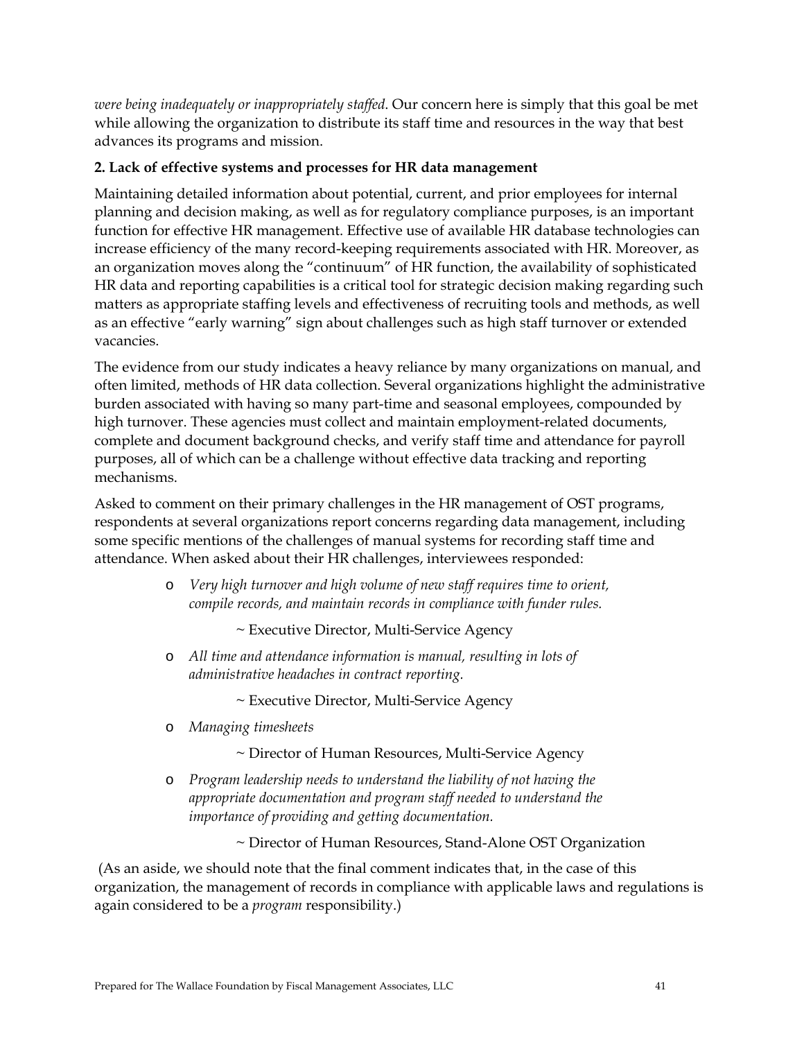*were being inadequately or inappropriately staffed*. Our concern here is simply that this goal be met while allowing the organization to distribute its staff time and resources in the way that best advances its programs and mission.

## **2. Lack of effective systems and processes for HR data management**

Maintaining detailed information about potential, current, and prior employees for internal planning and decision making, as well as for regulatory compliance purposes, is an important function for effective HR management. Effective use of available HR database technologies can increase efficiency of the many record-keeping requirements associated with HR. Moreover, as an organization moves along the "continuum" of HR function, the availability of sophisticated HR data and reporting capabilities is a critical tool for strategic decision making regarding such matters as appropriate staffing levels and effectiveness of recruiting tools and methods, as well as an effective "early warning" sign about challenges such as high staff turnover or extended vacancies.

The evidence from our study indicates a heavy reliance by many organizations on manual, and often limited, methods of HR data collection. Several organizations highlight the administrative burden associated with having so many part-time and seasonal employees, compounded by high turnover. These agencies must collect and maintain employment-related documents, complete and document background checks, and verify staff time and attendance for payroll purposes, all of which can be a challenge without effective data tracking and reporting mechanisms.

Asked to comment on their primary challenges in the HR management of OST programs, respondents at several organizations report concerns regarding data management, including some specific mentions of the challenges of manual systems for recording staff time and attendance. When asked about their HR challenges, interviewees responded:

> o *Very high turnover and high volume of new staff requires time to orient, compile records, and maintain records in compliance with funder rules.*

> > ~ Executive Director, Multi-Service Agency

o *All time and attendance information is manual, resulting in lots of administrative headaches in contract reporting.* 

~ Executive Director, Multi-Service Agency

- o *Managing timesheets* 
	- ~ Director of Human Resources, Multi-Service Agency
- o *Program leadership needs to understand the liability of not having the appropriate documentation and program staff needed to understand the importance of providing and getting documentation.*

~ Director of Human Resources, Stand-Alone OST Organization

 (As an aside, we should note that the final comment indicates that, in the case of this organization, the management of records in compliance with applicable laws and regulations is again considered to be a *program* responsibility.)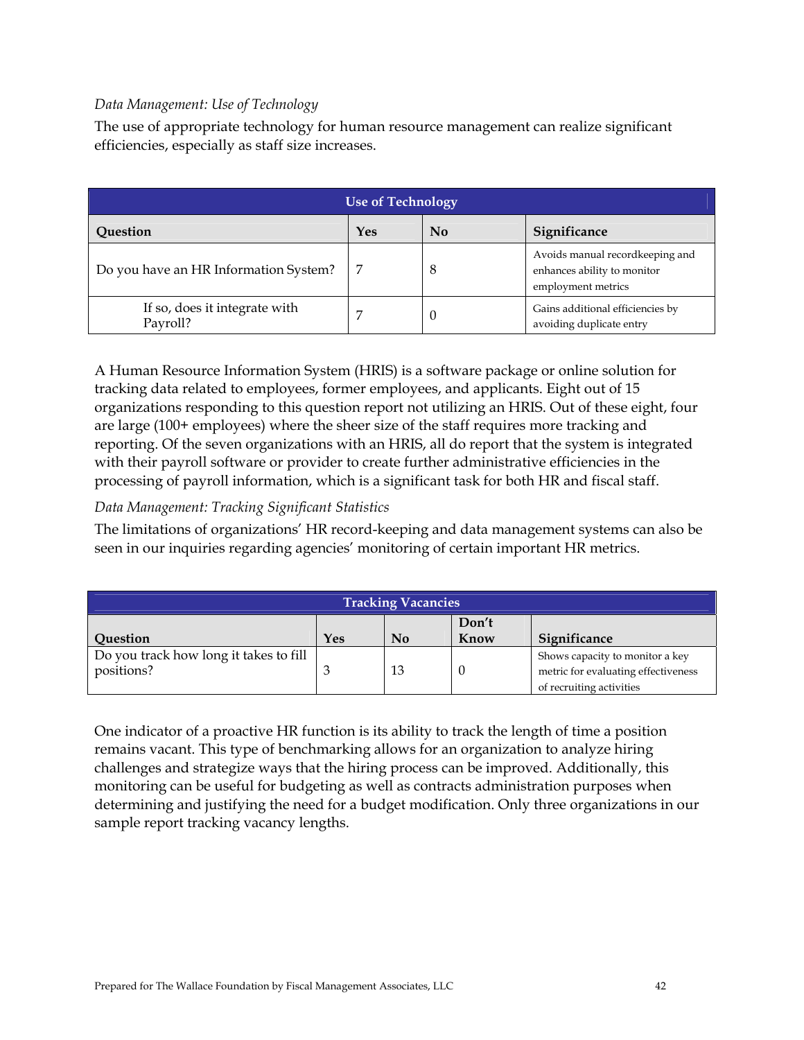## *Data Management: Use of Technology*

The use of appropriate technology for human resource management can realize significant efficiencies, especially as staff size increases.

| <b>Use of Technology</b>                  |     |    |                                                                                      |  |  |
|-------------------------------------------|-----|----|--------------------------------------------------------------------------------------|--|--|
| Question                                  | Yes | No | Significance                                                                         |  |  |
| Do you have an HR Information System?     |     | 8  | Avoids manual recordkeeping and<br>enhances ability to monitor<br>employment metrics |  |  |
| If so, does it integrate with<br>Payroll? |     | U  | Gains additional efficiencies by<br>avoiding duplicate entry                         |  |  |

A Human Resource Information System (HRIS) is a software package or online solution for tracking data related to employees, former employees, and applicants. Eight out of 15 organizations responding to this question report not utilizing an HRIS. Out of these eight, four are large (100+ employees) where the sheer size of the staff requires more tracking and reporting. Of the seven organizations with an HRIS, all do report that the system is integrated with their payroll software or provider to create further administrative efficiencies in the processing of payroll information, which is a significant task for both HR and fiscal staff.

## *Data Management: Tracking Significant Statistics*

The limitations of organizations' HR record-keeping and data management systems can also be seen in our inquiries regarding agencies' monitoring of certain important HR metrics.

| <b>Tracking Vacancies</b>                                          |  |    |  |                                                                                                    |  |
|--------------------------------------------------------------------|--|----|--|----------------------------------------------------------------------------------------------------|--|
| Don't<br>Significance<br>Know<br>Yes<br>N <sub>0</sub><br>Question |  |    |  |                                                                                                    |  |
| Do you track how long it takes to fill<br>positions?               |  | 13 |  | Shows capacity to monitor a key<br>metric for evaluating effectiveness<br>of recruiting activities |  |

One indicator of a proactive HR function is its ability to track the length of time a position remains vacant. This type of benchmarking allows for an organization to analyze hiring challenges and strategize ways that the hiring process can be improved. Additionally, this monitoring can be useful for budgeting as well as contracts administration purposes when determining and justifying the need for a budget modification. Only three organizations in our sample report tracking vacancy lengths.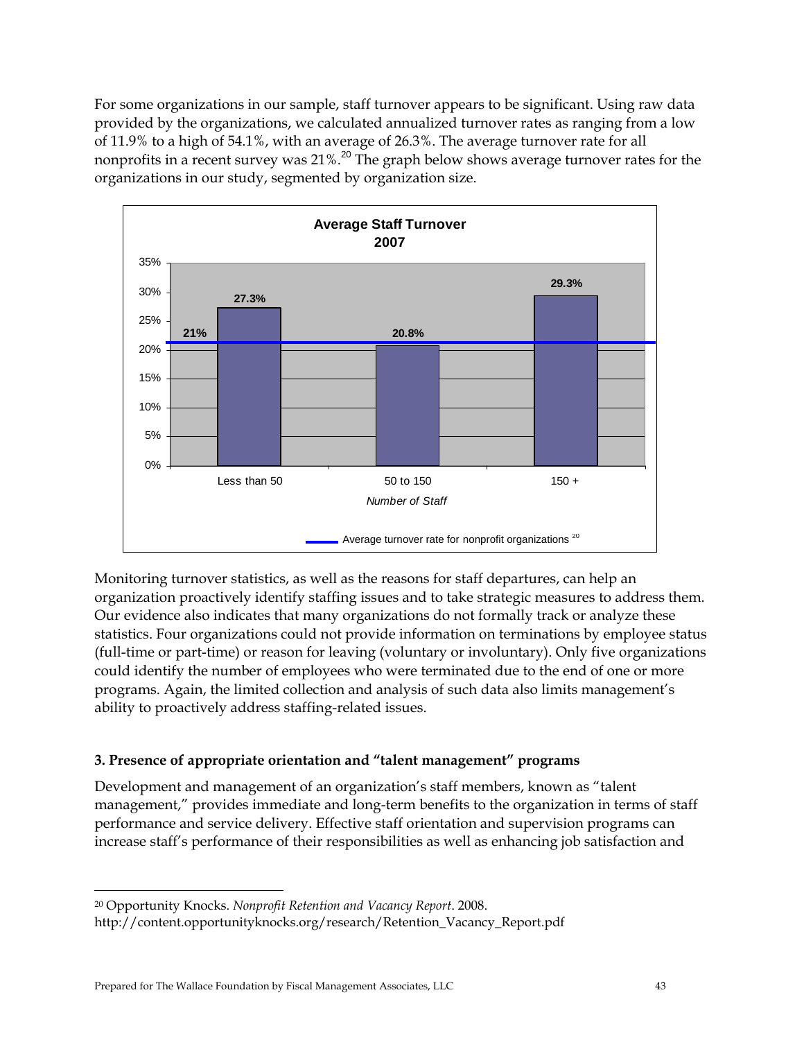For some organizations in our sample, staff turnover appears to be significant. Using raw data provided by the organizations, we calculated annualized turnover rates as ranging from a low of 11.9% to a high of 54.1%, with an average of 26.3%. The average turnover rate for all nonprofits in a recent survey was 21%.<sup>20</sup> The graph below shows average turnover rates for the organizations in our study, segmented by organization size.



Monitoring turnover statistics, as well as the reasons for staff departures, can help an organization proactively identify staffing issues and to take strategic measures to address them. Our evidence also indicates that many organizations do not formally track or analyze these statistics. Four organizations could not provide information on terminations by employee status (full-time or part-time) or reason for leaving (voluntary or involuntary). Only five organizations could identify the number of employees who were terminated due to the end of one or more programs. Again, the limited collection and analysis of such data also limits management's ability to proactively address staffing-related issues.

# **3. Presence of appropriate orientation and "talent management" programs**

Development and management of an organization's staff members, known as "talent management," provides immediate and long-term benefits to the organization in terms of staff performance and service delivery. Effective staff orientation and supervision programs can increase staff's performance of their responsibilities as well as enhancing job satisfaction and

 $\overline{a}$ 

<sup>20</sup> Opportunity Knocks. *Nonprofit Retention and Vacancy Report*. 2008.

http://content.opportunityknocks.org/research/Retention\_Vacancy\_Report.pdf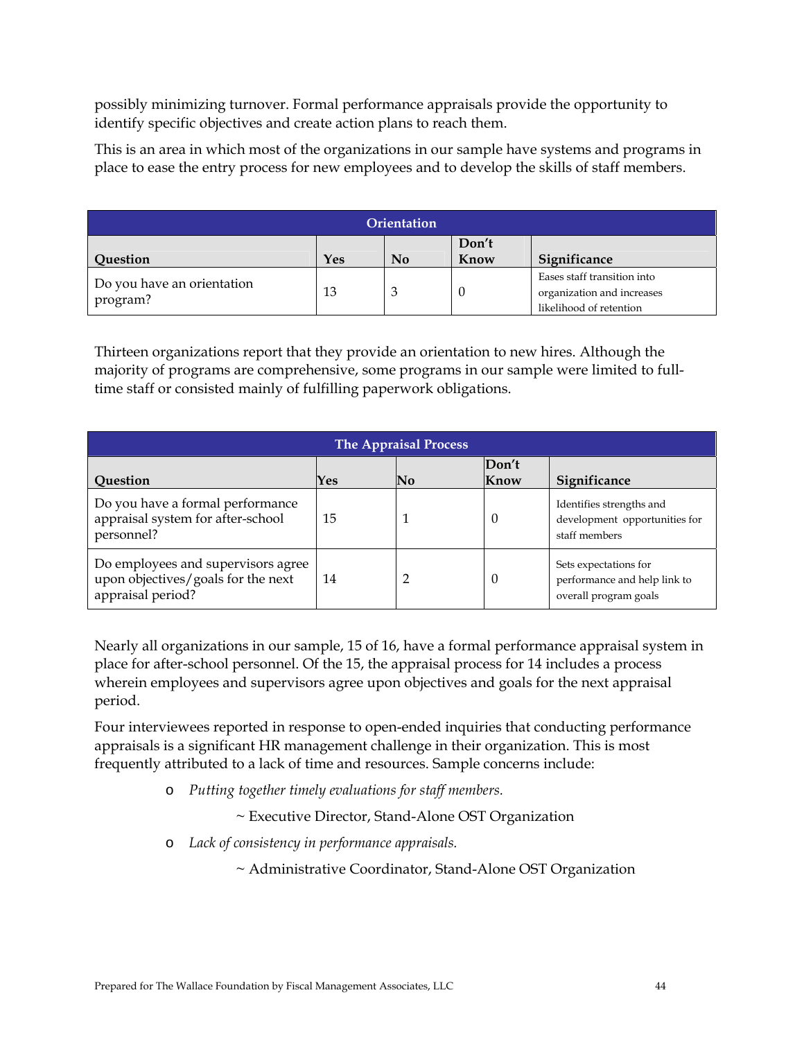possibly minimizing turnover. Formal performance appraisals provide the opportunity to identify specific objectives and create action plans to reach them.

This is an area in which most of the organizations in our sample have systems and programs in place to ease the entry process for new employees and to develop the skills of staff members.

| <b>Orientation</b>                     |     |                           |               |                                                                                      |  |  |
|----------------------------------------|-----|---------------------------|---------------|--------------------------------------------------------------------------------------|--|--|
| <b>Ouestion</b>                        | Yes | $\mathbf{N}$ <sub>0</sub> | Don't<br>Know | Significance                                                                         |  |  |
| Do you have an orientation<br>program? | 13  | 3                         |               | Eases staff transition into<br>organization and increases<br>likelihood of retention |  |  |

Thirteen organizations report that they provide an orientation to new hires. Although the majority of programs are comprehensive, some programs in our sample were limited to fulltime staff or consisted mainly of fulfilling paperwork obligations.

| <b>The Appraisal Process</b>                                                                  |     |                           |               |                                                                                |  |
|-----------------------------------------------------------------------------------------------|-----|---------------------------|---------------|--------------------------------------------------------------------------------|--|
| Question                                                                                      | Yes | $\overline{\mathbf{N}}$ o | Don't<br>Know | Significance                                                                   |  |
| Do you have a formal performance<br>appraisal system for after-school<br>personnel?           | 15  |                           | $\theta$      | Identifies strengths and<br>development opportunities for<br>staff members     |  |
| Do employees and supervisors agree<br>upon objectives/goals for the next<br>appraisal period? | 14  |                           | $\cup$        | Sets expectations for<br>performance and help link to<br>overall program goals |  |

Nearly all organizations in our sample, 15 of 16, have a formal performance appraisal system in place for after-school personnel. Of the 15, the appraisal process for 14 includes a process wherein employees and supervisors agree upon objectives and goals for the next appraisal period.

Four interviewees reported in response to open-ended inquiries that conducting performance appraisals is a significant HR management challenge in their organization. This is most frequently attributed to a lack of time and resources. Sample concerns include:

o *Putting together timely evaluations for staff members.* 

~ Executive Director, Stand-Alone OST Organization

o *Lack of consistency in performance appraisals.* 

~ Administrative Coordinator, Stand-Alone OST Organization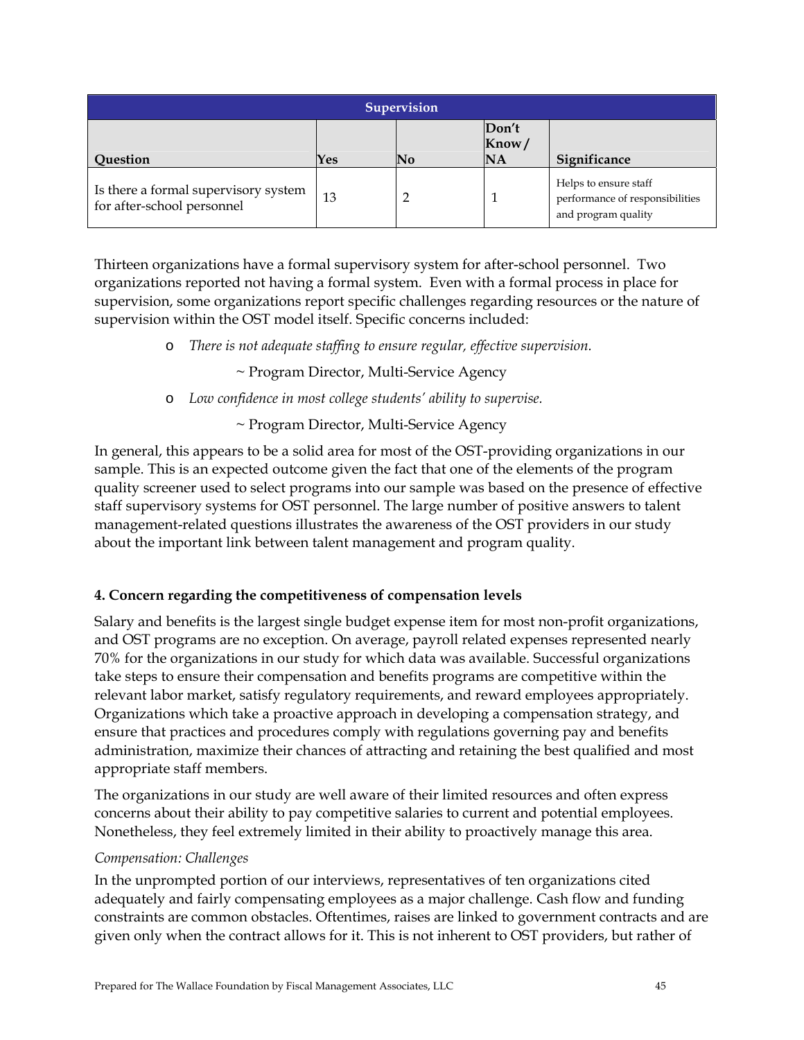| <b>Supervision</b>                                                 |     |    |                             |                                                                                 |  |  |
|--------------------------------------------------------------------|-----|----|-----------------------------|---------------------------------------------------------------------------------|--|--|
| <b>Question</b>                                                    | Yes | No | Don't<br>Know/<br><b>NA</b> | Significance                                                                    |  |  |
| Is there a formal supervisory system<br>for after-school personnel | 13  |    |                             | Helps to ensure staff<br>performance of responsibilities<br>and program quality |  |  |

Thirteen organizations have a formal supervisory system for after-school personnel. Two organizations reported not having a formal system. Even with a formal process in place for supervision, some organizations report specific challenges regarding resources or the nature of supervision within the OST model itself. Specific concerns included:

o *There is not adequate staffing to ensure regular, effective supervision.* 

~ Program Director, Multi-Service Agency

o *Low confidence in most college students' ability to supervise.* 

~ Program Director, Multi-Service Agency

In general, this appears to be a solid area for most of the OST-providing organizations in our sample. This is an expected outcome given the fact that one of the elements of the program quality screener used to select programs into our sample was based on the presence of effective staff supervisory systems for OST personnel. The large number of positive answers to talent management-related questions illustrates the awareness of the OST providers in our study about the important link between talent management and program quality.

# **4. Concern regarding the competitiveness of compensation levels**

Salary and benefits is the largest single budget expense item for most non-profit organizations, and OST programs are no exception. On average, payroll related expenses represented nearly 70% for the organizations in our study for which data was available. Successful organizations take steps to ensure their compensation and benefits programs are competitive within the relevant labor market, satisfy regulatory requirements, and reward employees appropriately. Organizations which take a proactive approach in developing a compensation strategy, and ensure that practices and procedures comply with regulations governing pay and benefits administration, maximize their chances of attracting and retaining the best qualified and most appropriate staff members.

The organizations in our study are well aware of their limited resources and often express concerns about their ability to pay competitive salaries to current and potential employees. Nonetheless, they feel extremely limited in their ability to proactively manage this area.

## *Compensation: Challenges*

In the unprompted portion of our interviews, representatives of ten organizations cited adequately and fairly compensating employees as a major challenge. Cash flow and funding constraints are common obstacles. Oftentimes, raises are linked to government contracts and are given only when the contract allows for it. This is not inherent to OST providers, but rather of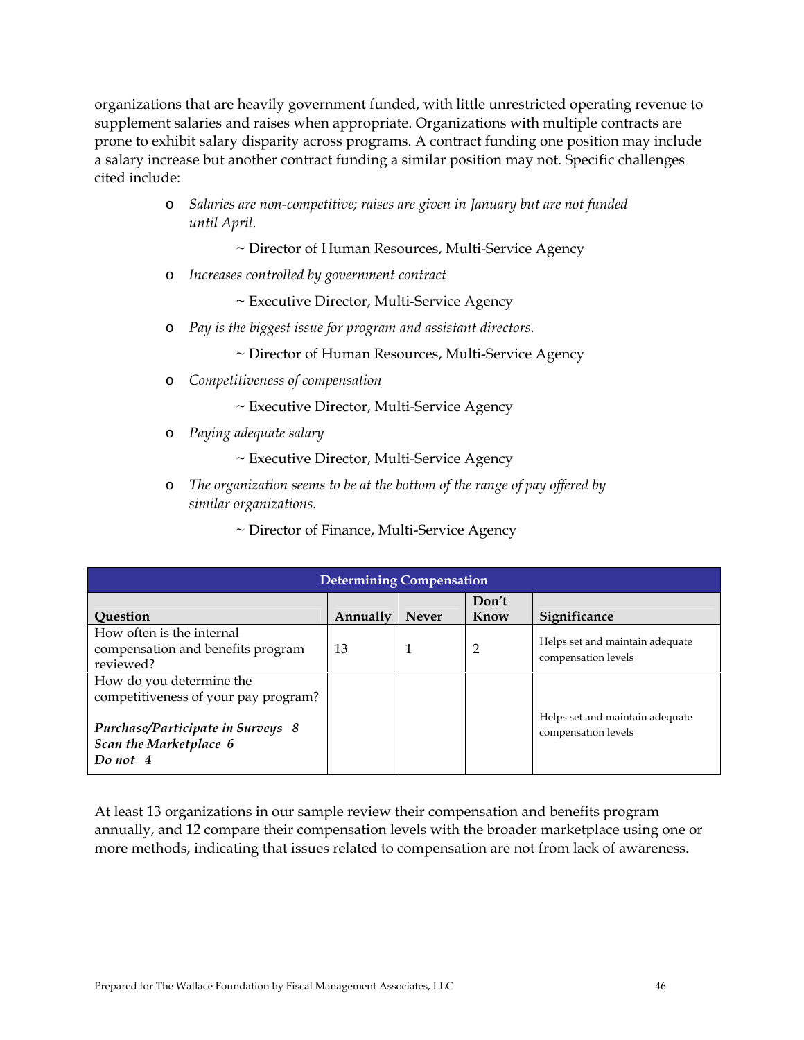organizations that are heavily government funded, with little unrestricted operating revenue to supplement salaries and raises when appropriate. Organizations with multiple contracts are prone to exhibit salary disparity across programs. A contract funding one position may include a salary increase but another contract funding a similar position may not. Specific challenges cited include:

- o *Salaries are non-competitive; raises are given in January but are not funded until April.* 
	- ~ Director of Human Resources, Multi-Service Agency
- o *Increases controlled by government contract*

~ Executive Director, Multi-Service Agency

o *Pay is the biggest issue for program and assistant directors.* 

~ Director of Human Resources, Multi-Service Agency

- o *Competitiveness of compensation* 
	- ~ Executive Director, Multi-Service Agency
- o *Paying adequate salary*

~ Executive Director, Multi-Service Agency

o *The organization seems to be at the bottom of the range of pay offered by similar organizations.* 

~ Director of Finance, Multi-Service Agency

| <b>Determining Compensation</b>                                                                                                                    |          |              |       |                                                        |  |  |
|----------------------------------------------------------------------------------------------------------------------------------------------------|----------|--------------|-------|--------------------------------------------------------|--|--|
|                                                                                                                                                    |          |              | Don't |                                                        |  |  |
| <b>Ouestion</b>                                                                                                                                    | Annually | <b>Never</b> | Know  | Significance                                           |  |  |
| How often is the internal<br>compensation and benefits program<br>reviewed?                                                                        | 13       |              | 2     | Helps set and maintain adequate<br>compensation levels |  |  |
| How do you determine the<br>competitiveness of your pay program?<br><b>Purchase/Participate in Surveys 8</b><br>Scan the Marketplace 6<br>Do not 4 |          |              |       | Helps set and maintain adequate<br>compensation levels |  |  |

At least 13 organizations in our sample review their compensation and benefits program annually, and 12 compare their compensation levels with the broader marketplace using one or more methods, indicating that issues related to compensation are not from lack of awareness.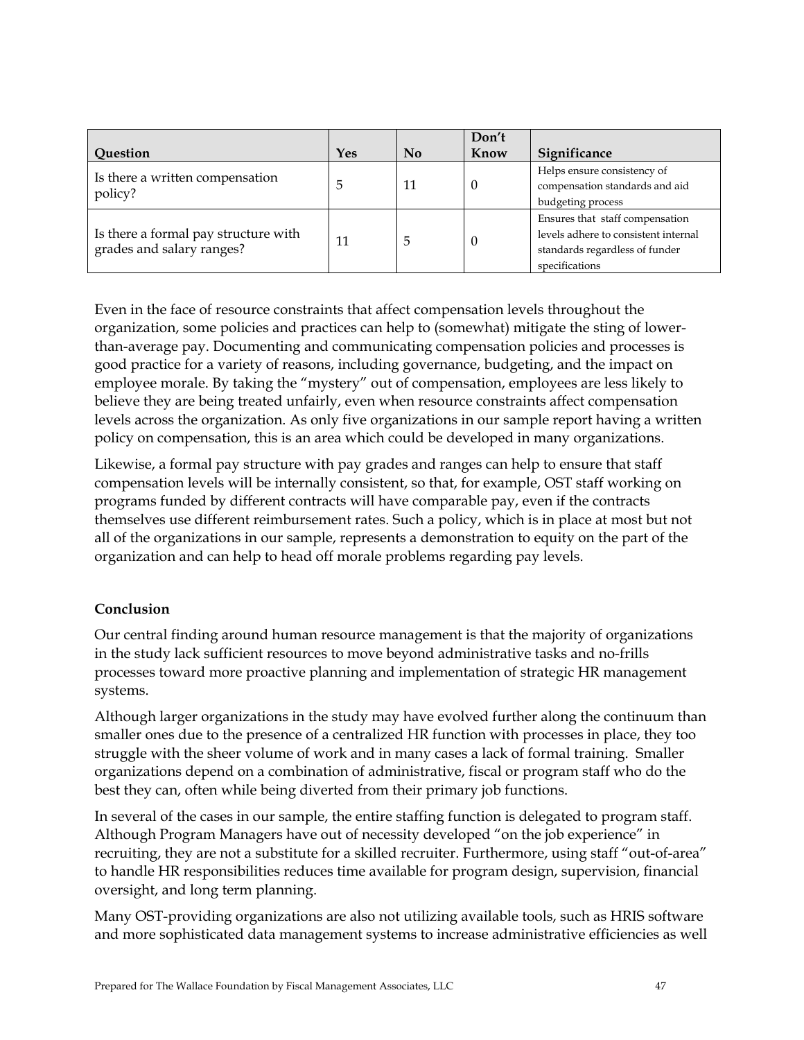|                                      |     |                           | Don't    |                                      |
|--------------------------------------|-----|---------------------------|----------|--------------------------------------|
| Question                             | Yes | $\mathbf{N}$ <sub>0</sub> | Know     | Significance                         |
| Is there a written compensation      |     |                           |          | Helps ensure consistency of          |
| policy?                              | 5   | 11                        | 0        | compensation standards and aid       |
|                                      |     |                           |          | budgeting process                    |
|                                      |     |                           |          | Ensures that staff compensation      |
| Is there a formal pay structure with | 11  | 5                         | $\Omega$ | levels adhere to consistent internal |
| grades and salary ranges?            |     |                           |          | standards regardless of funder       |
|                                      |     |                           |          | specifications                       |

Even in the face of resource constraints that affect compensation levels throughout the organization, some policies and practices can help to (somewhat) mitigate the sting of lowerthan-average pay. Documenting and communicating compensation policies and processes is good practice for a variety of reasons, including governance, budgeting, and the impact on employee morale. By taking the "mystery" out of compensation, employees are less likely to believe they are being treated unfairly, even when resource constraints affect compensation levels across the organization. As only five organizations in our sample report having a written policy on compensation, this is an area which could be developed in many organizations.

Likewise, a formal pay structure with pay grades and ranges can help to ensure that staff compensation levels will be internally consistent, so that, for example, OST staff working on programs funded by different contracts will have comparable pay, even if the contracts themselves use different reimbursement rates. Such a policy, which is in place at most but not all of the organizations in our sample, represents a demonstration to equity on the part of the organization and can help to head off morale problems regarding pay levels.

# **Conclusion**

Our central finding around human resource management is that the majority of organizations in the study lack sufficient resources to move beyond administrative tasks and no-frills processes toward more proactive planning and implementation of strategic HR management systems.

Although larger organizations in the study may have evolved further along the continuum than smaller ones due to the presence of a centralized HR function with processes in place, they too struggle with the sheer volume of work and in many cases a lack of formal training. Smaller organizations depend on a combination of administrative, fiscal or program staff who do the best they can, often while being diverted from their primary job functions.

In several of the cases in our sample, the entire staffing function is delegated to program staff. Although Program Managers have out of necessity developed "on the job experience" in recruiting, they are not a substitute for a skilled recruiter. Furthermore, using staff "out-of-area" to handle HR responsibilities reduces time available for program design, supervision, financial oversight, and long term planning.

Many OST-providing organizations are also not utilizing available tools, such as HRIS software and more sophisticated data management systems to increase administrative efficiencies as well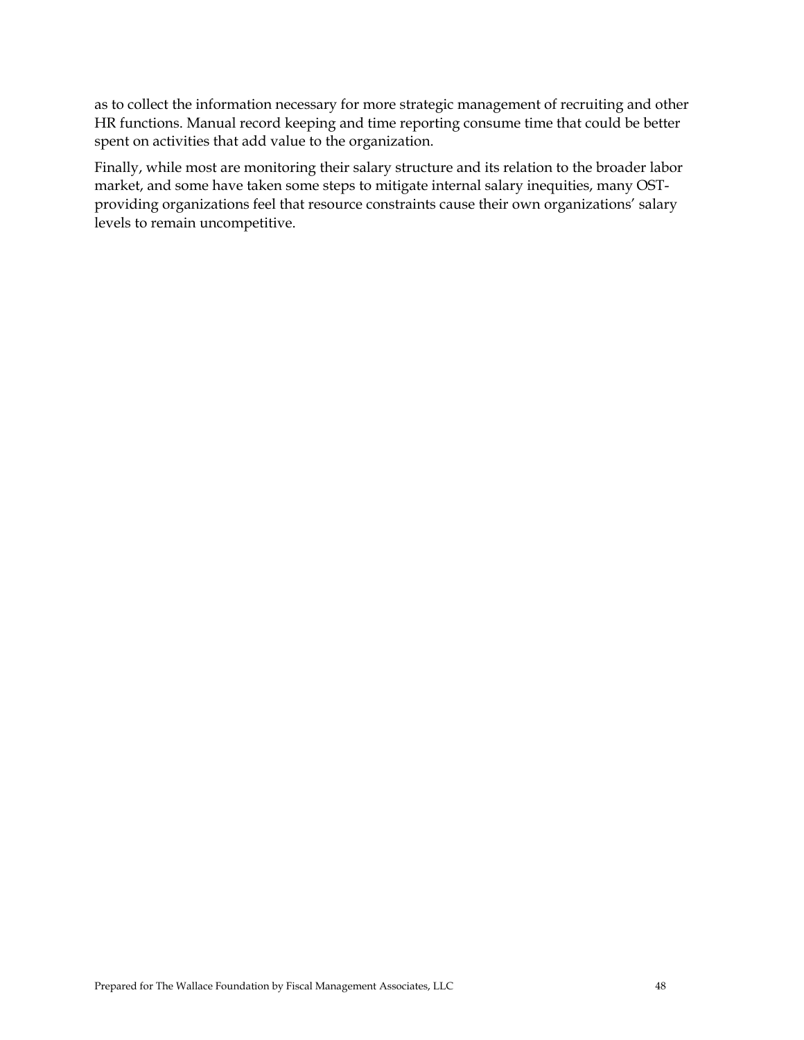as to collect the information necessary for more strategic management of recruiting and other HR functions. Manual record keeping and time reporting consume time that could be better spent on activities that add value to the organization.

Finally, while most are monitoring their salary structure and its relation to the broader labor market, and some have taken some steps to mitigate internal salary inequities, many OSTproviding organizations feel that resource constraints cause their own organizations' salary levels to remain uncompetitive.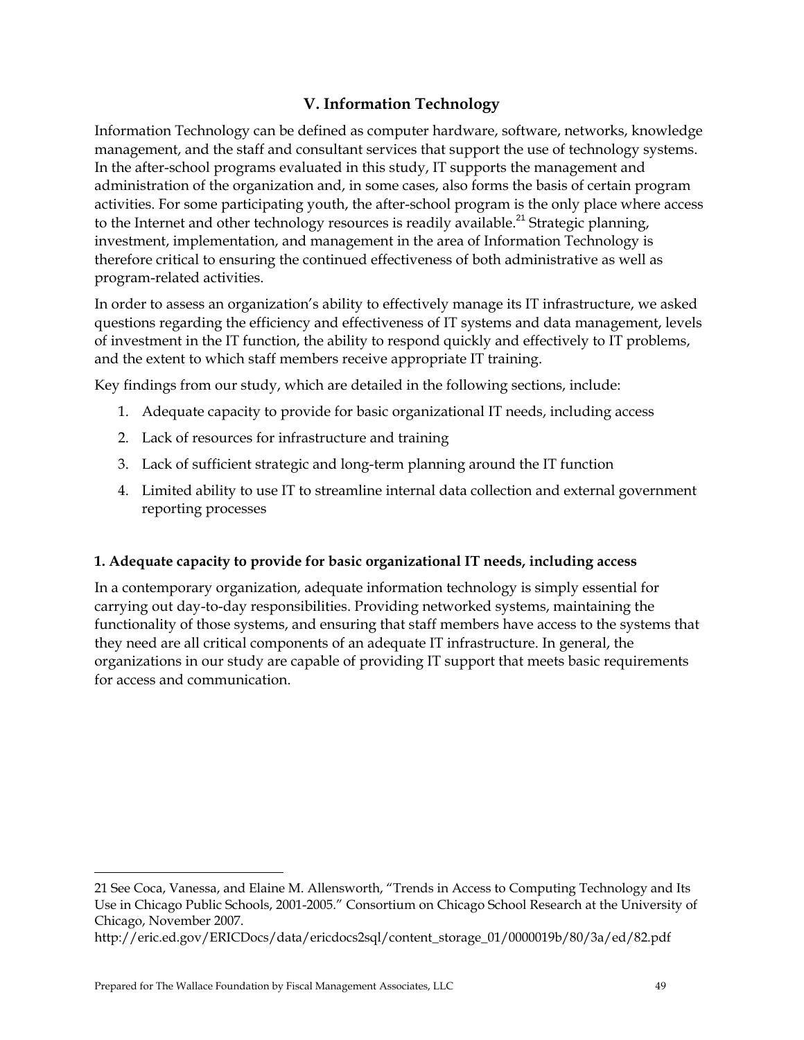# **V. Information Technology**

Information Technology can be defined as computer hardware, software, networks, knowledge management, and the staff and consultant services that support the use of technology systems. In the after-school programs evaluated in this study, IT supports the management and administration of the organization and, in some cases, also forms the basis of certain program activities. For some participating youth, the after-school program is the only place where access to the Internet and other technology resources is readily available.<sup>21</sup> Strategic planning, investment, implementation, and management in the area of Information Technology is therefore critical to ensuring the continued effectiveness of both administrative as well as program-related activities.

In order to assess an organization's ability to effectively manage its IT infrastructure, we asked questions regarding the efficiency and effectiveness of IT systems and data management, levels of investment in the IT function, the ability to respond quickly and effectively to IT problems, and the extent to which staff members receive appropriate IT training.

Key findings from our study, which are detailed in the following sections, include:

- 1. Adequate capacity to provide for basic organizational IT needs, including access
- 2. Lack of resources for infrastructure and training
- 3. Lack of sufficient strategic and long-term planning around the IT function
- 4. Limited ability to use IT to streamline internal data collection and external government reporting processes

# **1. Adequate capacity to provide for basic organizational IT needs, including access**

In a contemporary organization, adequate information technology is simply essential for carrying out day-to-day responsibilities. Providing networked systems, maintaining the functionality of those systems, and ensuring that staff members have access to the systems that they need are all critical components of an adequate IT infrastructure. In general, the organizations in our study are capable of providing IT support that meets basic requirements for access and communication.

-

<sup>21</sup> See Coca, Vanessa, and Elaine M. Allensworth, "Trends in Access to Computing Technology and Its Use in Chicago Public Schools, 2001-2005." Consortium on Chicago School Research at the University of Chicago, November 2007.

http://eric.ed.gov/ERICDocs/data/ericdocs2sql/content\_storage\_01/0000019b/80/3a/ed/82.pdf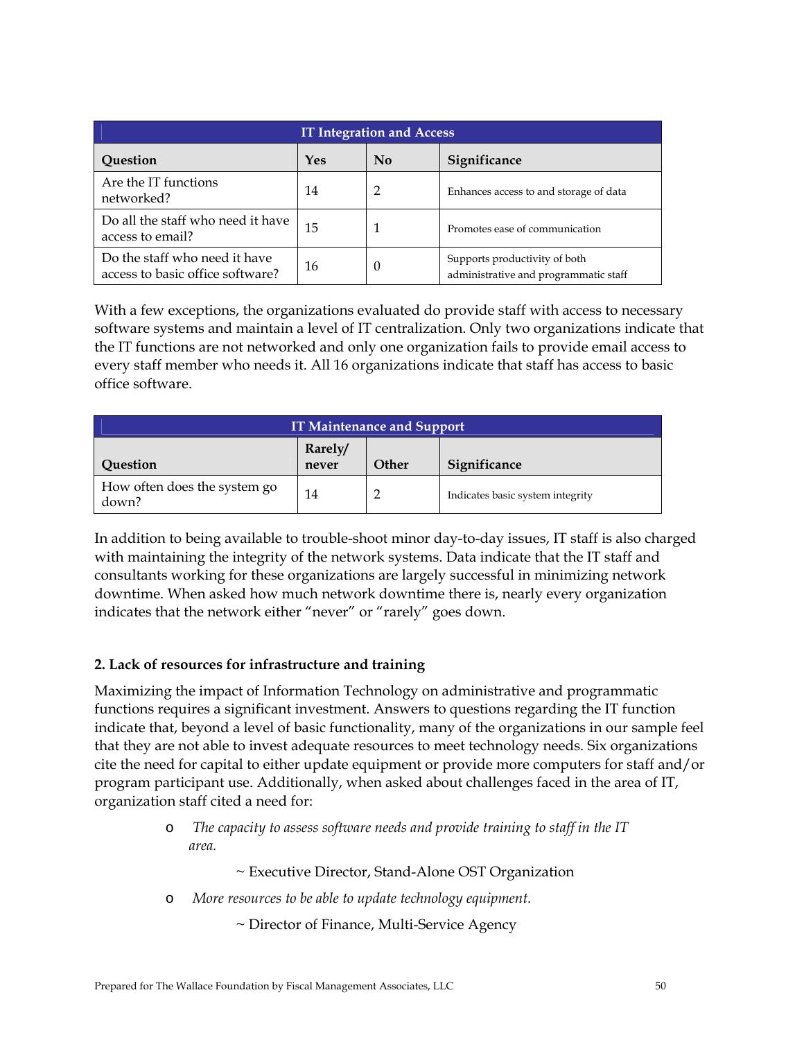| <b>IT Integration and Access</b>                                  |     |          |                                                                        |  |  |
|-------------------------------------------------------------------|-----|----------|------------------------------------------------------------------------|--|--|
| Question                                                          | Yes | No       | Significance                                                           |  |  |
| Are the IT functions<br>networked?                                | 14  | 2        | Enhances access to and storage of data                                 |  |  |
| Do all the staff who need it have<br>access to email?             | 15  | 1        | Promotes ease of communication                                         |  |  |
| Do the staff who need it have<br>access to basic office software? | 16  | $\theta$ | Supports productivity of both<br>administrative and programmatic staff |  |  |

With a few exceptions, the organizations evaluated do provide staff with access to necessary software systems and maintain a level of IT centralization. Only two organizations indicate that the IT functions are not networked and only one organization fails to provide email access to every staff member who needs it. All 16 organizations indicate that staff has access to basic office software.

| <b>IT Maintenance and Support</b>     |                  |              |                                  |  |  |
|---------------------------------------|------------------|--------------|----------------------------------|--|--|
| Question                              | Rarely/<br>never | <b>Other</b> | Significance                     |  |  |
| How often does the system go<br>down? | 14               |              | Indicates basic system integrity |  |  |

In addition to being available to trouble-shoot minor day-to-day issues, IT staff is also charged with maintaining the integrity of the network systems. Data indicate that the IT staff and consultants working for these organizations are largely successful in minimizing network downtime. When asked how much network downtime there is, nearly every organization indicates that the network either "never" or "rarely" goes down.

# **2. Lack of resources for infrastructure and training**

Maximizing the impact of Information Technology on administrative and programmatic functions requires a significant investment. Answers to questions regarding the IT function indicate that, beyond a level of basic functionality, many of the organizations in our sample feel that they are not able to invest adequate resources to meet technology needs. Six organizations cite the need for capital to either update equipment or provide more computers for staff and/or program participant use. Additionally, when asked about challenges faced in the area of IT, organization staff cited a need for:

> o *The capacity to assess software needs and provide training to staff in the IT area.*

> > ~ Executive Director, Stand-Alone OST Organization

o *More resources to be able to update technology equipment.* 

~ Director of Finance, Multi-Service Agency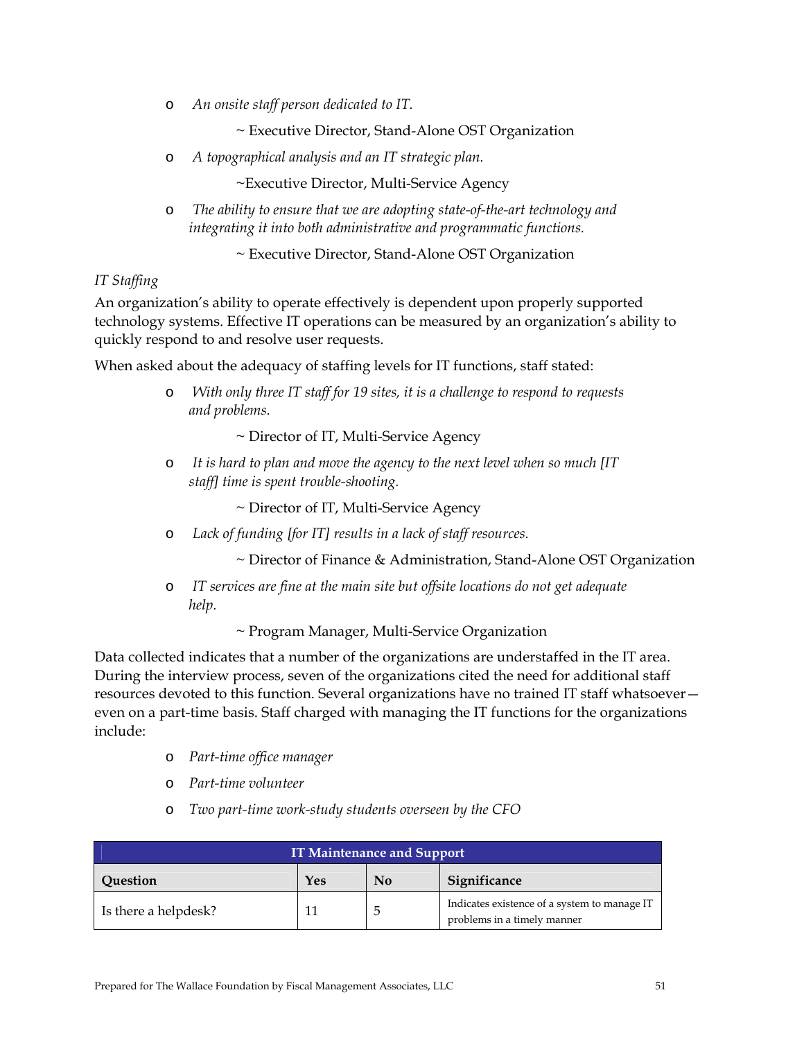o *An onsite staff person dedicated to IT.* 

~ Executive Director, Stand-Alone OST Organization

o *A topographical analysis and an IT strategic plan.* 

~Executive Director, Multi-Service Agency

o *The ability to ensure that we are adopting state-of-the-art technology and integrating it into both administrative and programmatic functions.* 

~ Executive Director, Stand-Alone OST Organization

## *IT Staffing*

An organization's ability to operate effectively is dependent upon properly supported technology systems. Effective IT operations can be measured by an organization's ability to quickly respond to and resolve user requests.

When asked about the adequacy of staffing levels for IT functions, staff stated:

o *With only three IT staff for 19 sites, it is a challenge to respond to requests and problems.* 

~ Director of IT, Multi-Service Agency

o *It is hard to plan and move the agency to the next level when so much [IT staff] time is spent trouble-shooting.* 

~ Director of IT, Multi-Service Agency

o *Lack of funding [for IT] results in a lack of staff resources.* 

~ Director of Finance & Administration, Stand-Alone OST Organization

o *IT services are fine at the main site but offsite locations do not get adequate help.* 

~ Program Manager, Multi-Service Organization

Data collected indicates that a number of the organizations are understaffed in the IT area. During the interview process, seven of the organizations cited the need for additional staff resources devoted to this function. Several organizations have no trained IT staff whatsoever even on a part-time basis. Staff charged with managing the IT functions for the organizations include:

- o *Part-time office manager*
- o *Part-time volunteer*
- o *Two part-time work-study students overseen by the CFO*

| <b>IT Maintenance and Support</b> |  |              |                                                                             |  |
|-----------------------------------|--|--------------|-----------------------------------------------------------------------------|--|
| Yes<br>No<br>Question             |  | Significance |                                                                             |  |
| Is there a helpdesk?              |  |              | Indicates existence of a system to manage IT<br>problems in a timely manner |  |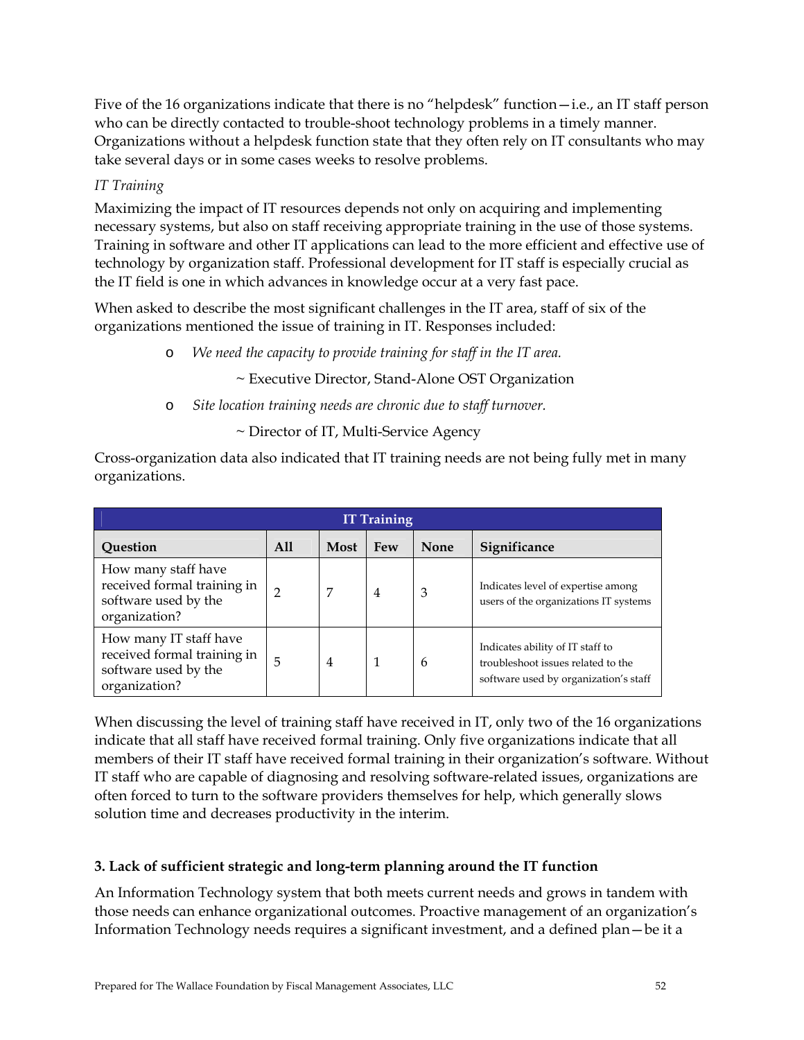Five of the 16 organizations indicate that there is no "helpdesk" function—i.e., an IT staff person who can be directly contacted to trouble-shoot technology problems in a timely manner. Organizations without a helpdesk function state that they often rely on IT consultants who may take several days or in some cases weeks to resolve problems.

## *IT Training*

Maximizing the impact of IT resources depends not only on acquiring and implementing necessary systems, but also on staff receiving appropriate training in the use of those systems. Training in software and other IT applications can lead to the more efficient and effective use of technology by organization staff. Professional development for IT staff is especially crucial as the IT field is one in which advances in knowledge occur at a very fast pace.

When asked to describe the most significant challenges in the IT area, staff of six of the organizations mentioned the issue of training in IT. Responses included:

- o *We need the capacity to provide training for staff in the IT area.* 
	- ~ Executive Director, Stand-Alone OST Organization
- o *Site location training needs are chronic due to staff turnover.* 
	- ~ Director of IT, Multi-Service Agency

Cross-organization data also indicated that IT training needs are not being fully met in many organizations.

| <b>IT Training</b>                                                                             |     |                |            |             |                                                                                                                 |
|------------------------------------------------------------------------------------------------|-----|----------------|------------|-------------|-----------------------------------------------------------------------------------------------------------------|
| Question                                                                                       | A11 | Most           | <b>Few</b> | <b>None</b> | Significance                                                                                                    |
| How many staff have<br>received formal training in<br>software used by the<br>organization?    | 2   | 7              | 4          | 3           | Indicates level of expertise among<br>users of the organizations IT systems                                     |
| How many IT staff have<br>received formal training in<br>software used by the<br>organization? | 5   | $\overline{4}$ | 1          | 6           | Indicates ability of IT staff to<br>troubleshoot issues related to the<br>software used by organization's staff |

When discussing the level of training staff have received in IT, only two of the 16 organizations indicate that all staff have received formal training. Only five organizations indicate that all members of their IT staff have received formal training in their organization's software. Without IT staff who are capable of diagnosing and resolving software-related issues, organizations are often forced to turn to the software providers themselves for help, which generally slows solution time and decreases productivity in the interim.

# **3. Lack of sufficient strategic and long-term planning around the IT function**

An Information Technology system that both meets current needs and grows in tandem with those needs can enhance organizational outcomes. Proactive management of an organization's Information Technology needs requires a significant investment, and a defined plan—be it a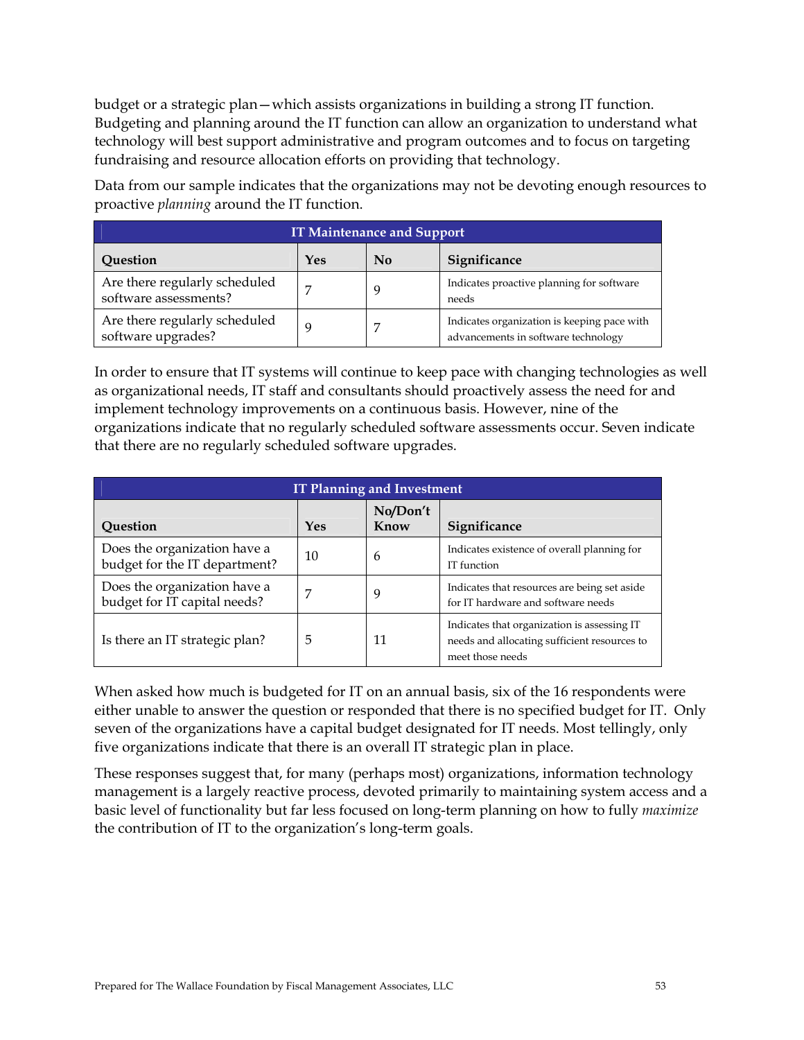budget or a strategic plan—which assists organizations in building a strong IT function. Budgeting and planning around the IT function can allow an organization to understand what technology will best support administrative and program outcomes and to focus on targeting fundraising and resource allocation efforts on providing that technology.

Data from our sample indicates that the organizations may not be devoting enough resources to proactive *planning* around the IT function.

| <b>IT Maintenance and Support</b>                      |     |    |                                                                                    |  |
|--------------------------------------------------------|-----|----|------------------------------------------------------------------------------------|--|
| Question                                               | Yes | No | Significance                                                                       |  |
| Are there regularly scheduled<br>software assessments? | 7   |    | Indicates proactive planning for software<br>needs                                 |  |
| Are there regularly scheduled<br>software upgrades?    | q   |    | Indicates organization is keeping pace with<br>advancements in software technology |  |

In order to ensure that IT systems will continue to keep pace with changing technologies as well as organizational needs, IT staff and consultants should proactively assess the need for and implement technology improvements on a continuous basis. However, nine of the organizations indicate that no regularly scheduled software assessments occur. Seven indicate that there are no regularly scheduled software upgrades.

| <b>IT Planning and Investment</b>                             |     |                  |                                                                                                                 |  |
|---------------------------------------------------------------|-----|------------------|-----------------------------------------------------------------------------------------------------------------|--|
| Question                                                      | Yes | No/Don't<br>Know | Significance                                                                                                    |  |
| Does the organization have a<br>budget for the IT department? | 10  | 6                | Indicates existence of overall planning for<br>IT function                                                      |  |
| Does the organization have a<br>budget for IT capital needs?  | 7   | 9                | Indicates that resources are being set aside<br>for IT hardware and software needs                              |  |
| Is there an IT strategic plan?                                | 5   | 11               | Indicates that organization is assessing IT<br>needs and allocating sufficient resources to<br>meet those needs |  |

When asked how much is budgeted for IT on an annual basis, six of the 16 respondents were either unable to answer the question or responded that there is no specified budget for IT. Only seven of the organizations have a capital budget designated for IT needs. Most tellingly, only five organizations indicate that there is an overall IT strategic plan in place.

These responses suggest that, for many (perhaps most) organizations, information technology management is a largely reactive process, devoted primarily to maintaining system access and a basic level of functionality but far less focused on long-term planning on how to fully *maximize* the contribution of IT to the organization's long-term goals.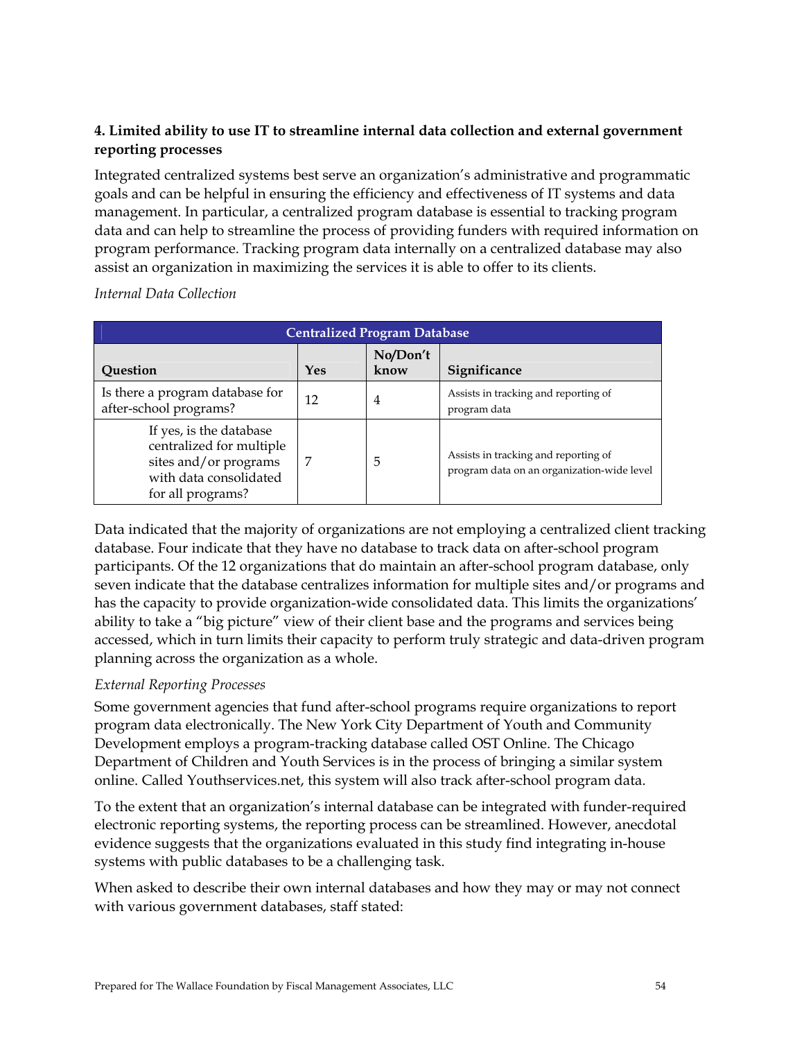# **4. Limited ability to use IT to streamline internal data collection and external government reporting processes**

Integrated centralized systems best serve an organization's administrative and programmatic goals and can be helpful in ensuring the efficiency and effectiveness of IT systems and data management. In particular, a centralized program database is essential to tracking program data and can help to streamline the process of providing funders with required information on program performance. Tracking program data internally on a centralized database may also assist an organization in maximizing the services it is able to offer to its clients.

| <b>Centralized Program Database</b>                                                                                         |     |                  |                                                                                    |  |
|-----------------------------------------------------------------------------------------------------------------------------|-----|------------------|------------------------------------------------------------------------------------|--|
| Question                                                                                                                    | Yes | No/Don't<br>know | Significance                                                                       |  |
| Is there a program database for<br>after-school programs?                                                                   | 12  | 4                | Assists in tracking and reporting of<br>program data                               |  |
| If yes, is the database<br>centralized for multiple<br>sites and/or programs<br>with data consolidated<br>for all programs? | 7   | 5                | Assists in tracking and reporting of<br>program data on an organization-wide level |  |

## *Internal Data Collection*

Data indicated that the majority of organizations are not employing a centralized client tracking database. Four indicate that they have no database to track data on after-school program participants. Of the 12 organizations that do maintain an after-school program database, only seven indicate that the database centralizes information for multiple sites and/or programs and has the capacity to provide organization-wide consolidated data. This limits the organizations' ability to take a "big picture" view of their client base and the programs and services being accessed, which in turn limits their capacity to perform truly strategic and data-driven program planning across the organization as a whole.

## *External Reporting Processes*

Some government agencies that fund after-school programs require organizations to report program data electronically. The New York City Department of Youth and Community Development employs a program-tracking database called OST Online. The Chicago Department of Children and Youth Services is in the process of bringing a similar system online. Called Youthservices.net, this system will also track after-school program data.

To the extent that an organization's internal database can be integrated with funder-required electronic reporting systems, the reporting process can be streamlined. However, anecdotal evidence suggests that the organizations evaluated in this study find integrating in-house systems with public databases to be a challenging task.

When asked to describe their own internal databases and how they may or may not connect with various government databases, staff stated: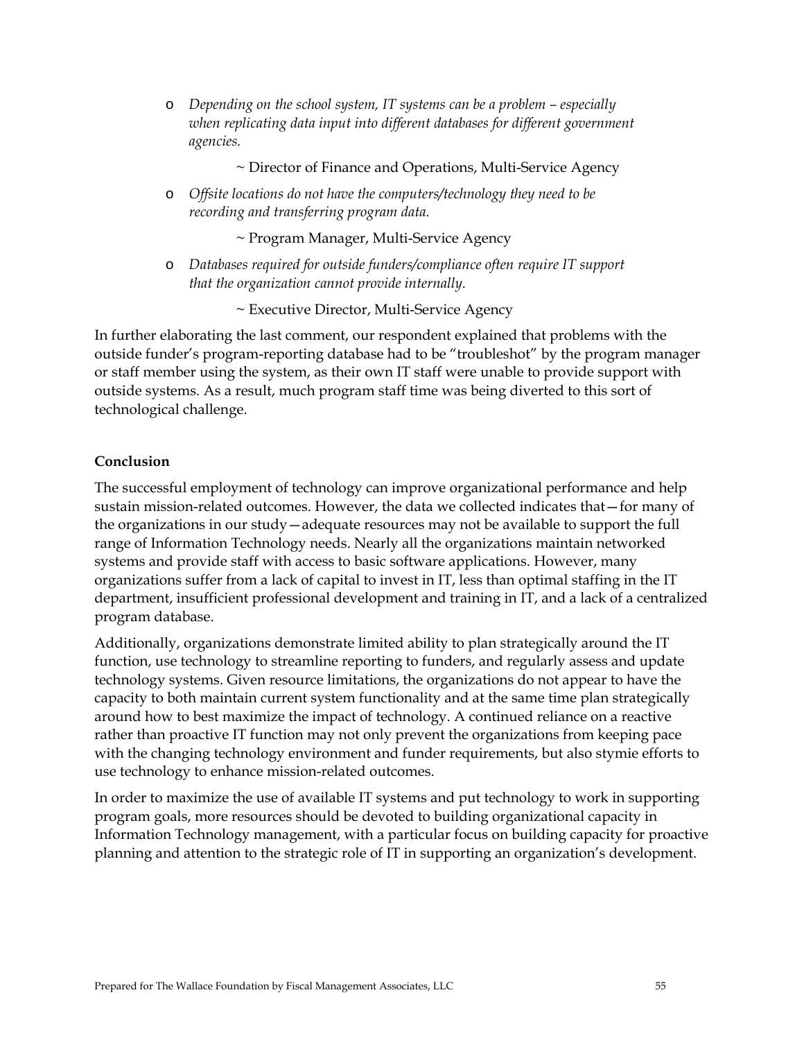- o *Depending on the school system, IT systems can be a problem especially when replicating data input into different databases for different government agencies.* 
	- ~ Director of Finance and Operations, Multi-Service Agency
- o *Offsite locations do not have the computers/technology they need to be recording and transferring program data.*

~ Program Manager, Multi-Service Agency

o *Databases required for outside funders/compliance often require IT support that the organization cannot provide internally.* 

~ Executive Director, Multi-Service Agency

In further elaborating the last comment, our respondent explained that problems with the outside funder's program-reporting database had to be "troubleshot" by the program manager or staff member using the system, as their own IT staff were unable to provide support with outside systems. As a result, much program staff time was being diverted to this sort of technological challenge.

#### **Conclusion**

The successful employment of technology can improve organizational performance and help sustain mission-related outcomes. However, the data we collected indicates that—for many of the organizations in our study—adequate resources may not be available to support the full range of Information Technology needs. Nearly all the organizations maintain networked systems and provide staff with access to basic software applications. However, many organizations suffer from a lack of capital to invest in IT, less than optimal staffing in the IT department, insufficient professional development and training in IT, and a lack of a centralized program database.

Additionally, organizations demonstrate limited ability to plan strategically around the IT function, use technology to streamline reporting to funders, and regularly assess and update technology systems. Given resource limitations, the organizations do not appear to have the capacity to both maintain current system functionality and at the same time plan strategically around how to best maximize the impact of technology. A continued reliance on a reactive rather than proactive IT function may not only prevent the organizations from keeping pace with the changing technology environment and funder requirements, but also stymie efforts to use technology to enhance mission-related outcomes.

In order to maximize the use of available IT systems and put technology to work in supporting program goals, more resources should be devoted to building organizational capacity in Information Technology management, with a particular focus on building capacity for proactive planning and attention to the strategic role of IT in supporting an organization's development.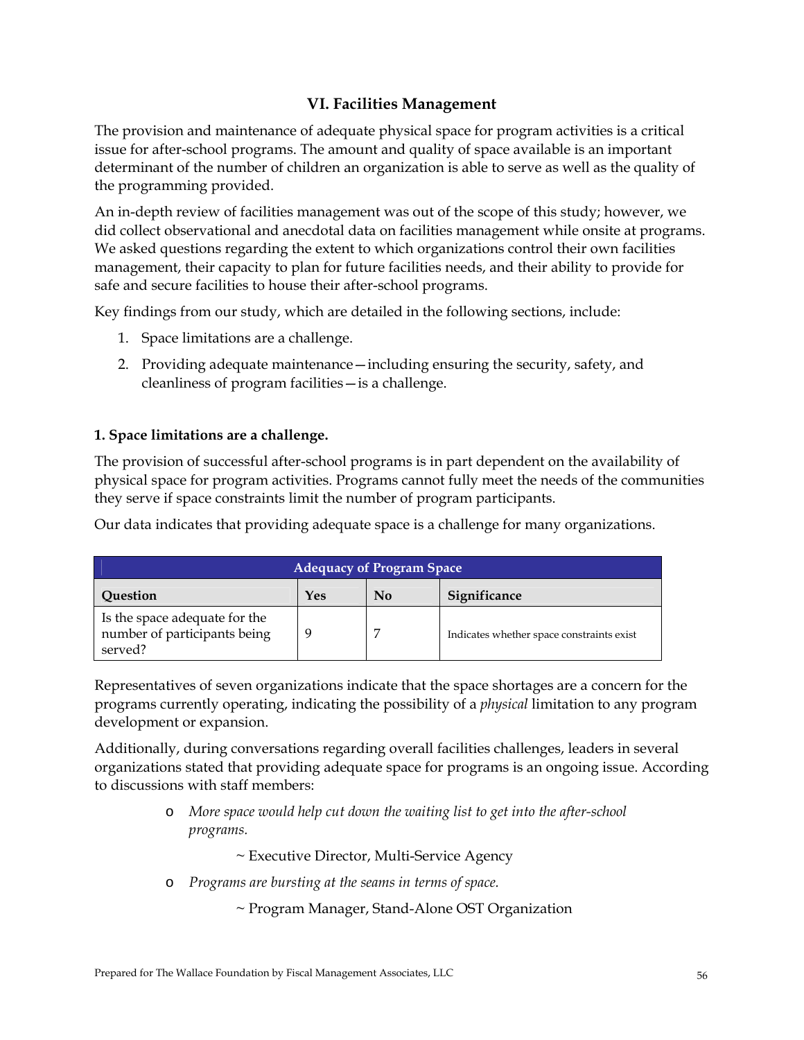# **VI. Facilities Management**

The provision and maintenance of adequate physical space for program activities is a critical issue for after-school programs. The amount and quality of space available is an important determinant of the number of children an organization is able to serve as well as the quality of the programming provided.

An in-depth review of facilities management was out of the scope of this study; however, we did collect observational and anecdotal data on facilities management while onsite at programs. We asked questions regarding the extent to which organizations control their own facilities management, their capacity to plan for future facilities needs, and their ability to provide for safe and secure facilities to house their after-school programs.

Key findings from our study, which are detailed in the following sections, include:

- 1. Space limitations are a challenge.
- 2. Providing adequate maintenance—including ensuring the security, safety, and cleanliness of program facilities—is a challenge.

## **1. Space limitations are a challenge.**

The provision of successful after-school programs is in part dependent on the availability of physical space for program activities. Programs cannot fully meet the needs of the communities they serve if space constraints limit the number of program participants.

Our data indicates that providing adequate space is a challenge for many organizations.

| <b>Adequacy of Program Space</b>                                         |     |          |                                           |  |
|--------------------------------------------------------------------------|-----|----------|-------------------------------------------|--|
| Ouestion                                                                 | Yes | $\bf No$ | Significance                              |  |
| Is the space adequate for the<br>number of participants being<br>served? | q   |          | Indicates whether space constraints exist |  |

Representatives of seven organizations indicate that the space shortages are a concern for the programs currently operating, indicating the possibility of a *physical* limitation to any program development or expansion.

Additionally, during conversations regarding overall facilities challenges, leaders in several organizations stated that providing adequate space for programs is an ongoing issue. According to discussions with staff members:

> o *More space would help cut down the waiting list to get into the after-school programs.*

> > ~ Executive Director, Multi-Service Agency

o *Programs are bursting at the seams in terms of space.* 

~ Program Manager, Stand-Alone OST Organization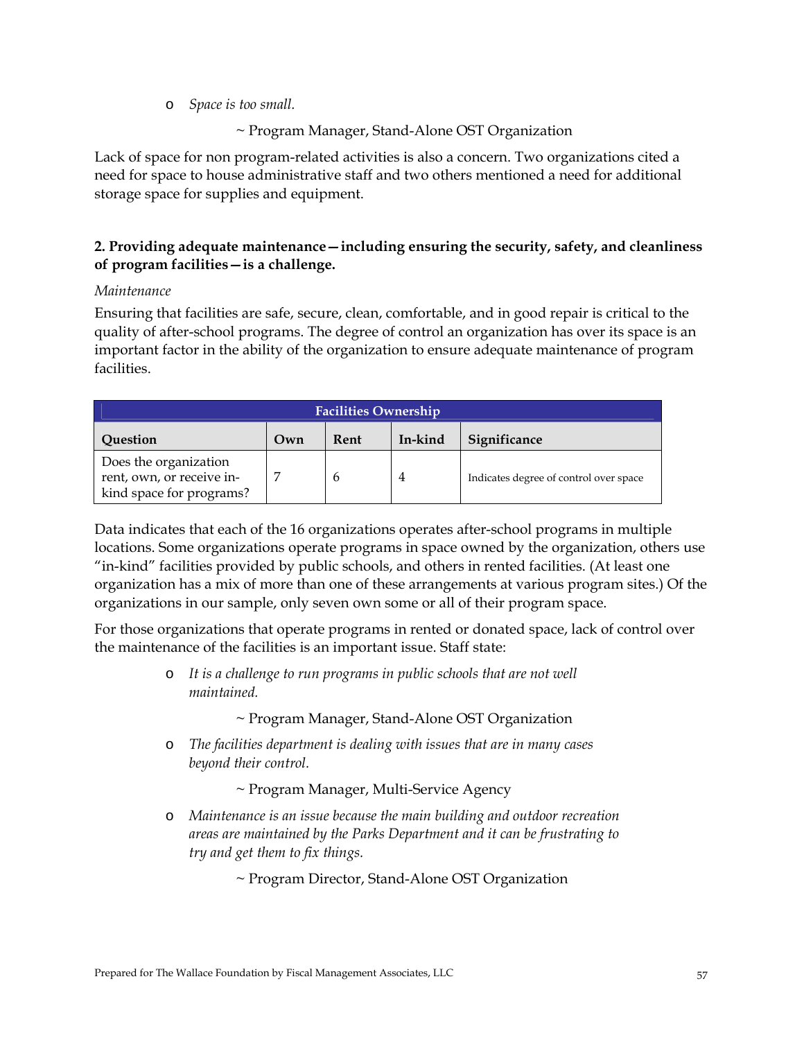o *Space is too small.* 

## ~ Program Manager, Stand-Alone OST Organization

Lack of space for non program-related activities is also a concern. Two organizations cited a need for space to house administrative staff and two others mentioned a need for additional storage space for supplies and equipment.

# **2. Providing adequate maintenance—including ensuring the security, safety, and cleanliness of program facilities—is a challenge.**

#### *Maintenance*

Ensuring that facilities are safe, secure, clean, comfortable, and in good repair is critical to the quality of after-school programs. The degree of control an organization has over its space is an important factor in the ability of the organization to ensure adequate maintenance of program facilities.

| <b>Facilities Ownership</b>                                                    |     |      |         |                                        |
|--------------------------------------------------------------------------------|-----|------|---------|----------------------------------------|
| Question                                                                       | Own | Rent | In-kind | Significance                           |
| Does the organization<br>rent, own, or receive in-<br>kind space for programs? |     | h    | 4       | Indicates degree of control over space |

Data indicates that each of the 16 organizations operates after-school programs in multiple locations. Some organizations operate programs in space owned by the organization, others use "in-kind" facilities provided by public schools, and others in rented facilities. (At least one organization has a mix of more than one of these arrangements at various program sites.) Of the organizations in our sample, only seven own some or all of their program space.

For those organizations that operate programs in rented or donated space, lack of control over the maintenance of the facilities is an important issue. Staff state:

> o *It is a challenge to run programs in public schools that are not well maintained.*

> > ~ Program Manager, Stand-Alone OST Organization

- o *The facilities department is dealing with issues that are in many cases beyond their control.* 
	- ~ Program Manager, Multi-Service Agency
- o *Maintenance is an issue because the main building and outdoor recreation areas are maintained by the Parks Department and it can be frustrating to try and get them to fix things.*

~ Program Director, Stand-Alone OST Organization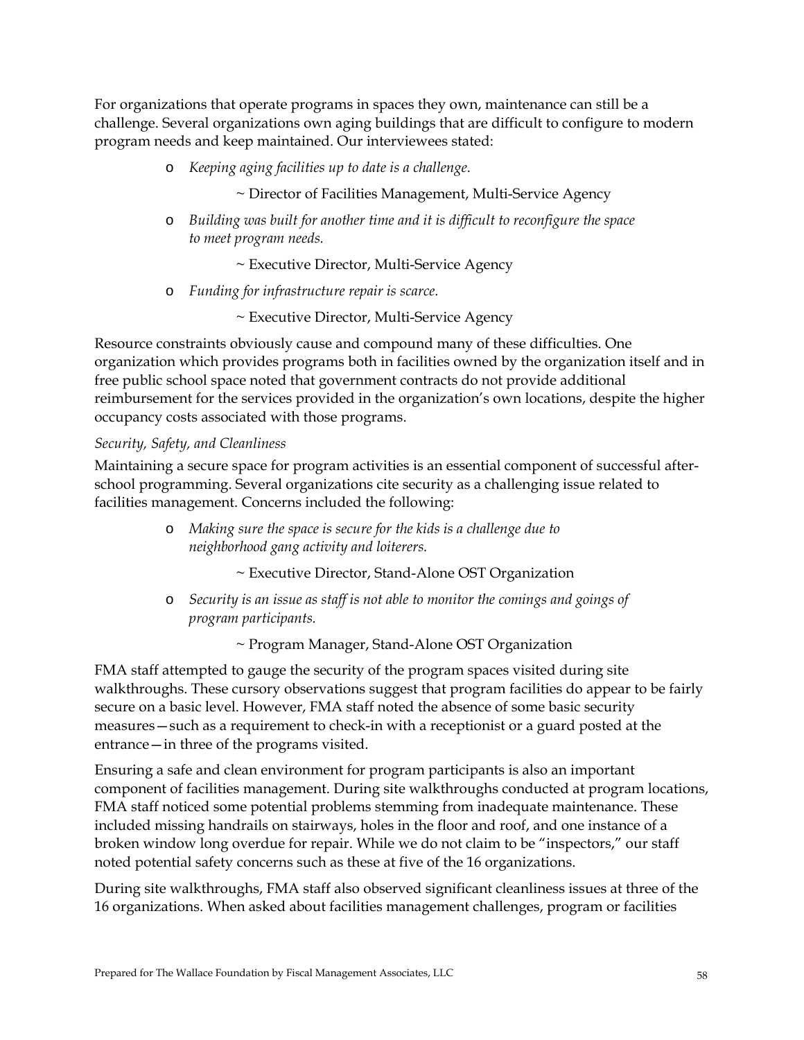For organizations that operate programs in spaces they own, maintenance can still be a challenge. Several organizations own aging buildings that are difficult to configure to modern program needs and keep maintained. Our interviewees stated:

o *Keeping aging facilities up to date is a challenge.* 

~ Director of Facilities Management, Multi-Service Agency

o *Building was built for another time and it is difficult to reconfigure the space to meet program needs.* 

~ Executive Director, Multi-Service Agency

o *Funding for infrastructure repair is scarce.* 

~ Executive Director, Multi-Service Agency

Resource constraints obviously cause and compound many of these difficulties. One organization which provides programs both in facilities owned by the organization itself and in free public school space noted that government contracts do not provide additional reimbursement for the services provided in the organization's own locations, despite the higher occupancy costs associated with those programs.

#### *Security, Safety, and Cleanliness*

Maintaining a secure space for program activities is an essential component of successful afterschool programming. Several organizations cite security as a challenging issue related to facilities management. Concerns included the following:

> o *Making sure the space is secure for the kids is a challenge due to neighborhood gang activity and loiterers.*

> > ~ Executive Director, Stand-Alone OST Organization

o *Security is an issue as staff is not able to monitor the comings and goings of program participants.* 

~ Program Manager, Stand-Alone OST Organization

FMA staff attempted to gauge the security of the program spaces visited during site walkthroughs. These cursory observations suggest that program facilities do appear to be fairly secure on a basic level. However, FMA staff noted the absence of some basic security measures—such as a requirement to check-in with a receptionist or a guard posted at the entrance—in three of the programs visited.

Ensuring a safe and clean environment for program participants is also an important component of facilities management. During site walkthroughs conducted at program locations, FMA staff noticed some potential problems stemming from inadequate maintenance. These included missing handrails on stairways, holes in the floor and roof, and one instance of a broken window long overdue for repair. While we do not claim to be "inspectors," our staff noted potential safety concerns such as these at five of the 16 organizations.

During site walkthroughs, FMA staff also observed significant cleanliness issues at three of the 16 organizations. When asked about facilities management challenges, program or facilities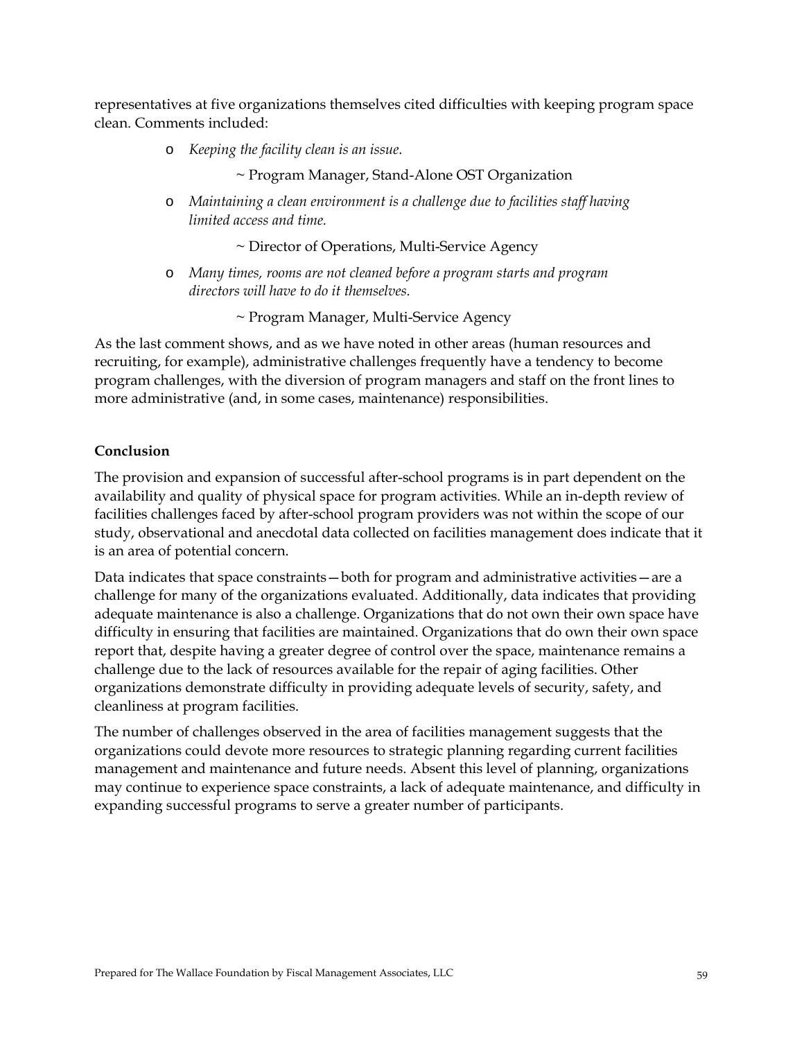representatives at five organizations themselves cited difficulties with keeping program space clean. Comments included:

o *Keeping the facility clean is an issue.* 

~ Program Manager, Stand-Alone OST Organization

o *Maintaining a clean environment is a challenge due to facilities staff having limited access and time.* 

~ Director of Operations, Multi-Service Agency

o *Many times, rooms are not cleaned before a program starts and program directors will have to do it themselves.* 

~ Program Manager, Multi-Service Agency

As the last comment shows, and as we have noted in other areas (human resources and recruiting, for example), administrative challenges frequently have a tendency to become program challenges, with the diversion of program managers and staff on the front lines to more administrative (and, in some cases, maintenance) responsibilities.

## **Conclusion**

The provision and expansion of successful after-school programs is in part dependent on the availability and quality of physical space for program activities. While an in-depth review of facilities challenges faced by after-school program providers was not within the scope of our study, observational and anecdotal data collected on facilities management does indicate that it is an area of potential concern.

Data indicates that space constraints—both for program and administrative activities—are a challenge for many of the organizations evaluated. Additionally, data indicates that providing adequate maintenance is also a challenge. Organizations that do not own their own space have difficulty in ensuring that facilities are maintained. Organizations that do own their own space report that, despite having a greater degree of control over the space, maintenance remains a challenge due to the lack of resources available for the repair of aging facilities. Other organizations demonstrate difficulty in providing adequate levels of security, safety, and cleanliness at program facilities.

The number of challenges observed in the area of facilities management suggests that the organizations could devote more resources to strategic planning regarding current facilities management and maintenance and future needs. Absent this level of planning, organizations may continue to experience space constraints, a lack of adequate maintenance, and difficulty in expanding successful programs to serve a greater number of participants.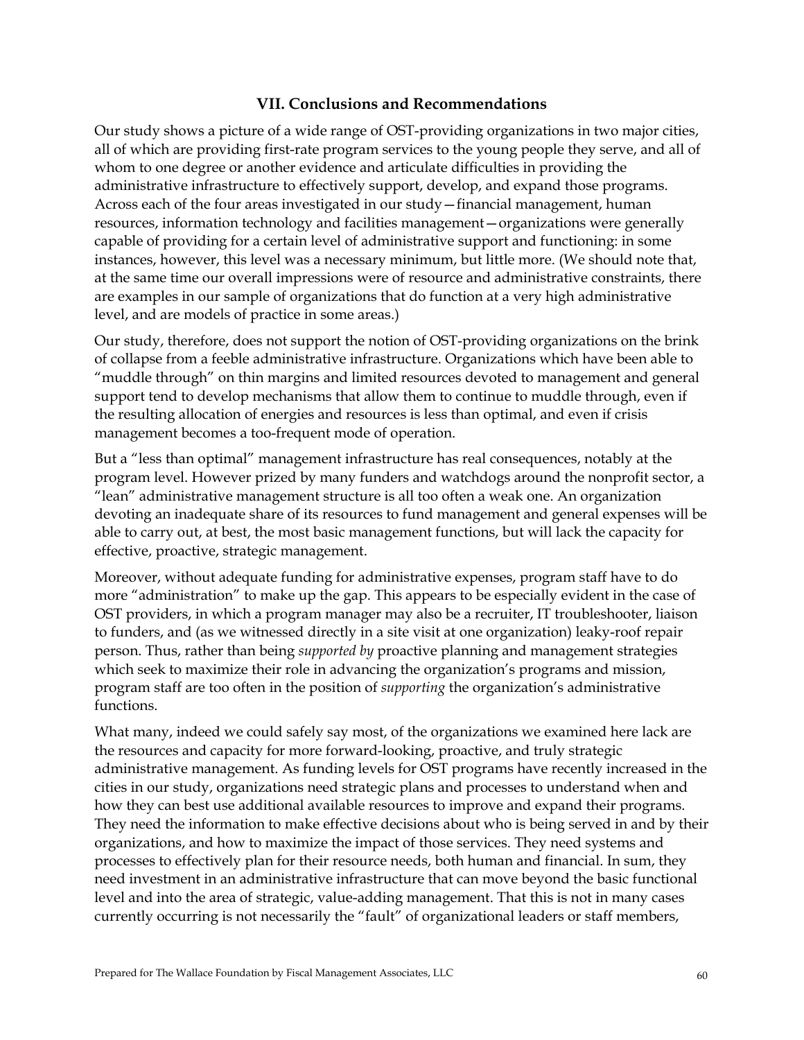## **VII. Conclusions and Recommendations**

Our study shows a picture of a wide range of OST-providing organizations in two major cities, all of which are providing first-rate program services to the young people they serve, and all of whom to one degree or another evidence and articulate difficulties in providing the administrative infrastructure to effectively support, develop, and expand those programs. Across each of the four areas investigated in our study—financial management, human resources, information technology and facilities management—organizations were generally capable of providing for a certain level of administrative support and functioning: in some instances, however, this level was a necessary minimum, but little more. (We should note that, at the same time our overall impressions were of resource and administrative constraints, there are examples in our sample of organizations that do function at a very high administrative level, and are models of practice in some areas.)

Our study, therefore, does not support the notion of OST-providing organizations on the brink of collapse from a feeble administrative infrastructure. Organizations which have been able to "muddle through" on thin margins and limited resources devoted to management and general support tend to develop mechanisms that allow them to continue to muddle through, even if the resulting allocation of energies and resources is less than optimal, and even if crisis management becomes a too-frequent mode of operation.

But a "less than optimal" management infrastructure has real consequences, notably at the program level. However prized by many funders and watchdogs around the nonprofit sector, a "lean" administrative management structure is all too often a weak one. An organization devoting an inadequate share of its resources to fund management and general expenses will be able to carry out, at best, the most basic management functions, but will lack the capacity for effective, proactive, strategic management.

Moreover, without adequate funding for administrative expenses, program staff have to do more "administration" to make up the gap. This appears to be especially evident in the case of OST providers, in which a program manager may also be a recruiter, IT troubleshooter, liaison to funders, and (as we witnessed directly in a site visit at one organization) leaky-roof repair person. Thus, rather than being *supported by* proactive planning and management strategies which seek to maximize their role in advancing the organization's programs and mission, program staff are too often in the position of *supporting* the organization's administrative functions.

What many, indeed we could safely say most, of the organizations we examined here lack are the resources and capacity for more forward-looking, proactive, and truly strategic administrative management. As funding levels for OST programs have recently increased in the cities in our study, organizations need strategic plans and processes to understand when and how they can best use additional available resources to improve and expand their programs. They need the information to make effective decisions about who is being served in and by their organizations, and how to maximize the impact of those services. They need systems and processes to effectively plan for their resource needs, both human and financial. In sum, they need investment in an administrative infrastructure that can move beyond the basic functional level and into the area of strategic, value-adding management. That this is not in many cases currently occurring is not necessarily the "fault" of organizational leaders or staff members,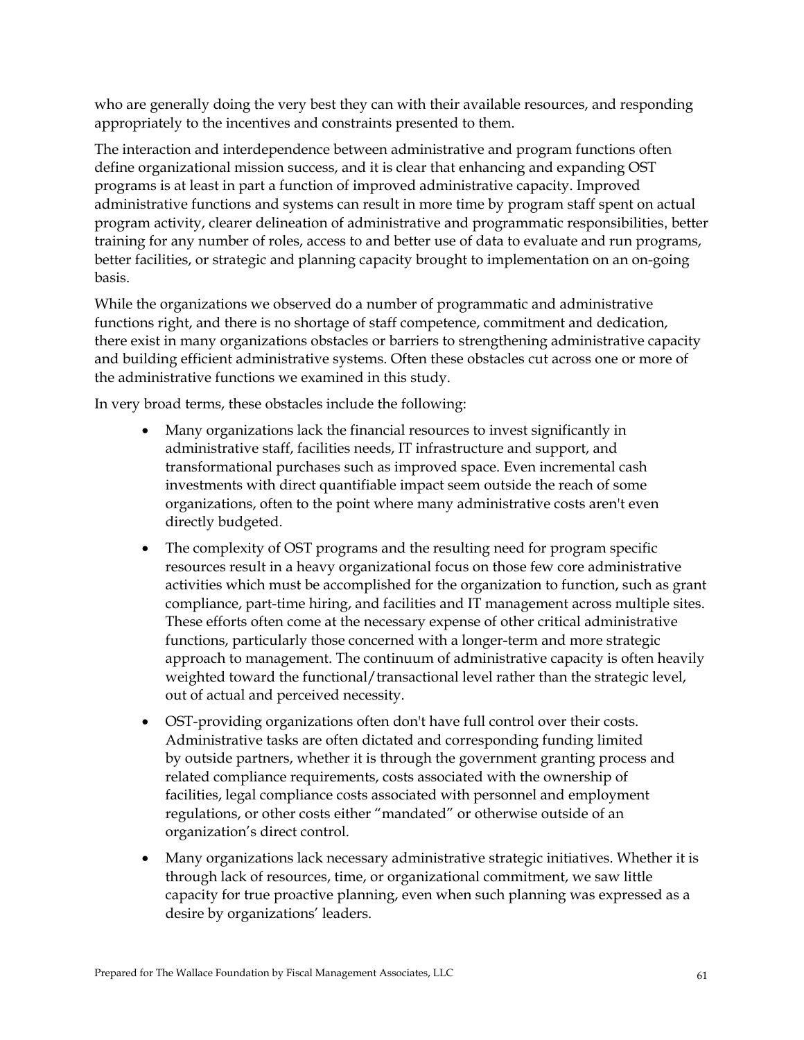who are generally doing the very best they can with their available resources, and responding appropriately to the incentives and constraints presented to them.

The interaction and interdependence between administrative and program functions often define organizational mission success, and it is clear that enhancing and expanding OST programs is at least in part a function of improved administrative capacity. Improved administrative functions and systems can result in more time by program staff spent on actual program activity, clearer delineation of administrative and programmatic responsibilities, better training for any number of roles, access to and better use of data to evaluate and run programs, better facilities, or strategic and planning capacity brought to implementation on an on-going basis.

While the organizations we observed do a number of programmatic and administrative functions right, and there is no shortage of staff competence, commitment and dedication, there exist in many organizations obstacles or barriers to strengthening administrative capacity and building efficient administrative systems. Often these obstacles cut across one or more of the administrative functions we examined in this study.

In very broad terms, these obstacles include the following:

- Many organizations lack the financial resources to invest significantly in administrative staff, facilities needs, IT infrastructure and support, and transformational purchases such as improved space. Even incremental cash investments with direct quantifiable impact seem outside the reach of some organizations, often to the point where many administrative costs aren't even directly budgeted.
- The complexity of OST programs and the resulting need for program specific resources result in a heavy organizational focus on those few core administrative activities which must be accomplished for the organization to function, such as grant compliance, part-time hiring, and facilities and IT management across multiple sites. These efforts often come at the necessary expense of other critical administrative functions, particularly those concerned with a longer-term and more strategic approach to management. The continuum of administrative capacity is often heavily weighted toward the functional/transactional level rather than the strategic level, out of actual and perceived necessity.
- OST-providing organizations often don't have full control over their costs. Administrative tasks are often dictated and corresponding funding limited by outside partners, whether it is through the government granting process and related compliance requirements, costs associated with the ownership of facilities, legal compliance costs associated with personnel and employment regulations, or other costs either "mandated" or otherwise outside of an organization's direct control.
- Many organizations lack necessary administrative strategic initiatives. Whether it is through lack of resources, time, or organizational commitment, we saw little capacity for true proactive planning, even when such planning was expressed as a desire by organizations' leaders.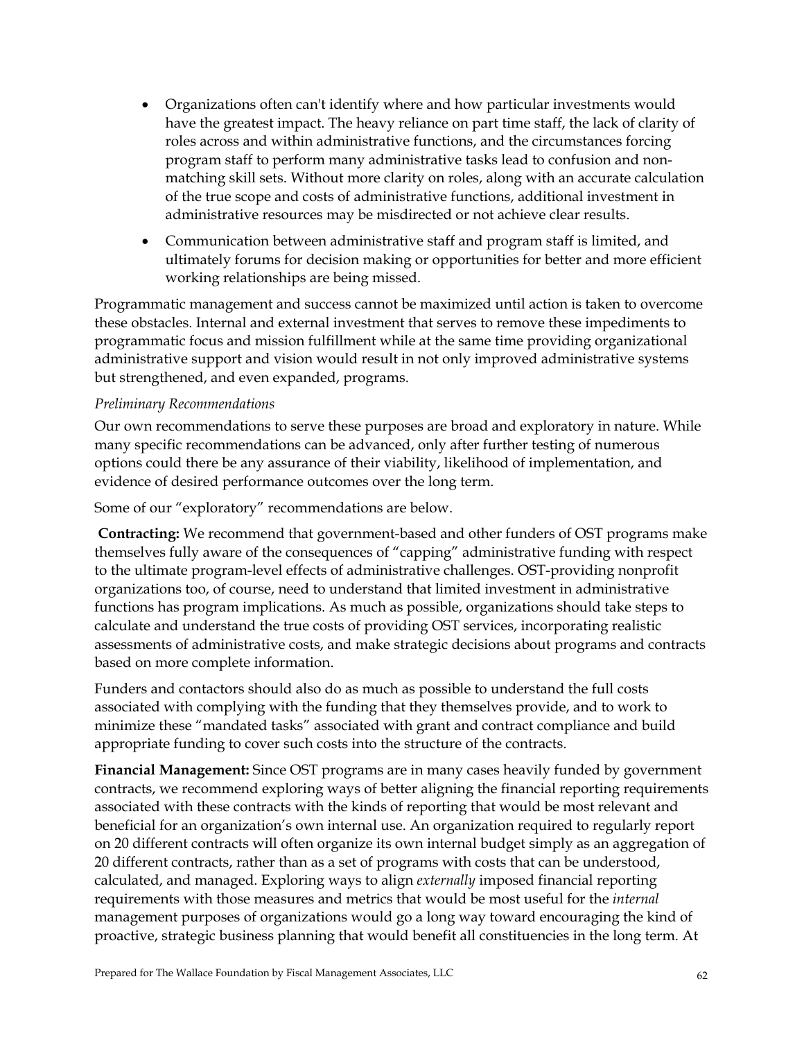- Organizations often can't identify where and how particular investments would have the greatest impact. The heavy reliance on part time staff, the lack of clarity of roles across and within administrative functions, and the circumstances forcing program staff to perform many administrative tasks lead to confusion and nonmatching skill sets. Without more clarity on roles, along with an accurate calculation of the true scope and costs of administrative functions, additional investment in administrative resources may be misdirected or not achieve clear results.
- Communication between administrative staff and program staff is limited, and ultimately forums for decision making or opportunities for better and more efficient working relationships are being missed.

Programmatic management and success cannot be maximized until action is taken to overcome these obstacles. Internal and external investment that serves to remove these impediments to programmatic focus and mission fulfillment while at the same time providing organizational administrative support and vision would result in not only improved administrative systems but strengthened, and even expanded, programs.

## *Preliminary Recommendations*

Our own recommendations to serve these purposes are broad and exploratory in nature. While many specific recommendations can be advanced, only after further testing of numerous options could there be any assurance of their viability, likelihood of implementation, and evidence of desired performance outcomes over the long term.

Some of our "exploratory" recommendations are below.

**Contracting:** We recommend that government-based and other funders of OST programs make themselves fully aware of the consequences of "capping" administrative funding with respect to the ultimate program-level effects of administrative challenges. OST-providing nonprofit organizations too, of course, need to understand that limited investment in administrative functions has program implications. As much as possible, organizations should take steps to calculate and understand the true costs of providing OST services, incorporating realistic assessments of administrative costs, and make strategic decisions about programs and contracts based on more complete information.

Funders and contactors should also do as much as possible to understand the full costs associated with complying with the funding that they themselves provide, and to work to minimize these "mandated tasks" associated with grant and contract compliance and build appropriate funding to cover such costs into the structure of the contracts.

**Financial Management:** Since OST programs are in many cases heavily funded by government contracts, we recommend exploring ways of better aligning the financial reporting requirements associated with these contracts with the kinds of reporting that would be most relevant and beneficial for an organization's own internal use. An organization required to regularly report on 20 different contracts will often organize its own internal budget simply as an aggregation of 20 different contracts, rather than as a set of programs with costs that can be understood, calculated, and managed. Exploring ways to align *externally* imposed financial reporting requirements with those measures and metrics that would be most useful for the *internal* management purposes of organizations would go a long way toward encouraging the kind of proactive, strategic business planning that would benefit all constituencies in the long term. At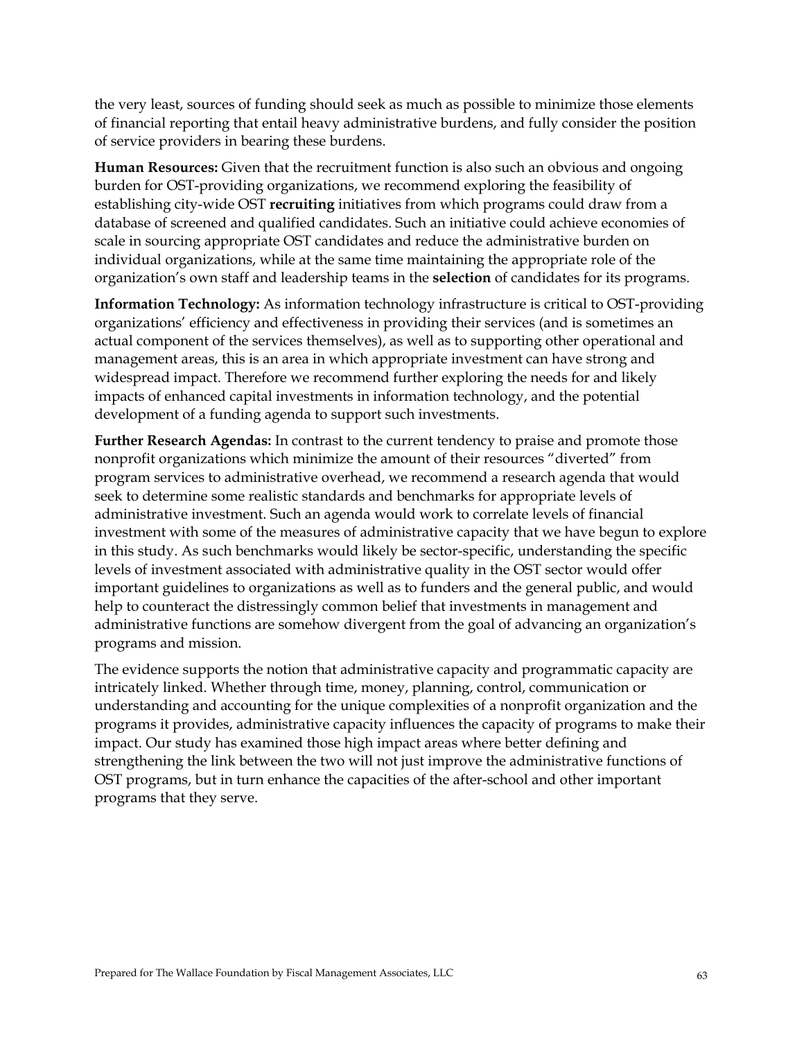the very least, sources of funding should seek as much as possible to minimize those elements of financial reporting that entail heavy administrative burdens, and fully consider the position of service providers in bearing these burdens.

**Human Resources:** Given that the recruitment function is also such an obvious and ongoing burden for OST-providing organizations, we recommend exploring the feasibility of establishing city-wide OST **recruiting** initiatives from which programs could draw from a database of screened and qualified candidates. Such an initiative could achieve economies of scale in sourcing appropriate OST candidates and reduce the administrative burden on individual organizations, while at the same time maintaining the appropriate role of the organization's own staff and leadership teams in the **selection** of candidates for its programs.

**Information Technology:** As information technology infrastructure is critical to OST-providing organizations' efficiency and effectiveness in providing their services (and is sometimes an actual component of the services themselves), as well as to supporting other operational and management areas, this is an area in which appropriate investment can have strong and widespread impact. Therefore we recommend further exploring the needs for and likely impacts of enhanced capital investments in information technology, and the potential development of a funding agenda to support such investments.

**Further Research Agendas:** In contrast to the current tendency to praise and promote those nonprofit organizations which minimize the amount of their resources "diverted" from program services to administrative overhead, we recommend a research agenda that would seek to determine some realistic standards and benchmarks for appropriate levels of administrative investment. Such an agenda would work to correlate levels of financial investment with some of the measures of administrative capacity that we have begun to explore in this study. As such benchmarks would likely be sector-specific, understanding the specific levels of investment associated with administrative quality in the OST sector would offer important guidelines to organizations as well as to funders and the general public, and would help to counteract the distressingly common belief that investments in management and administrative functions are somehow divergent from the goal of advancing an organization's programs and mission.

The evidence supports the notion that administrative capacity and programmatic capacity are intricately linked. Whether through time, money, planning, control, communication or understanding and accounting for the unique complexities of a nonprofit organization and the programs it provides, administrative capacity influences the capacity of programs to make their impact. Our study has examined those high impact areas where better defining and strengthening the link between the two will not just improve the administrative functions of OST programs, but in turn enhance the capacities of the after-school and other important programs that they serve.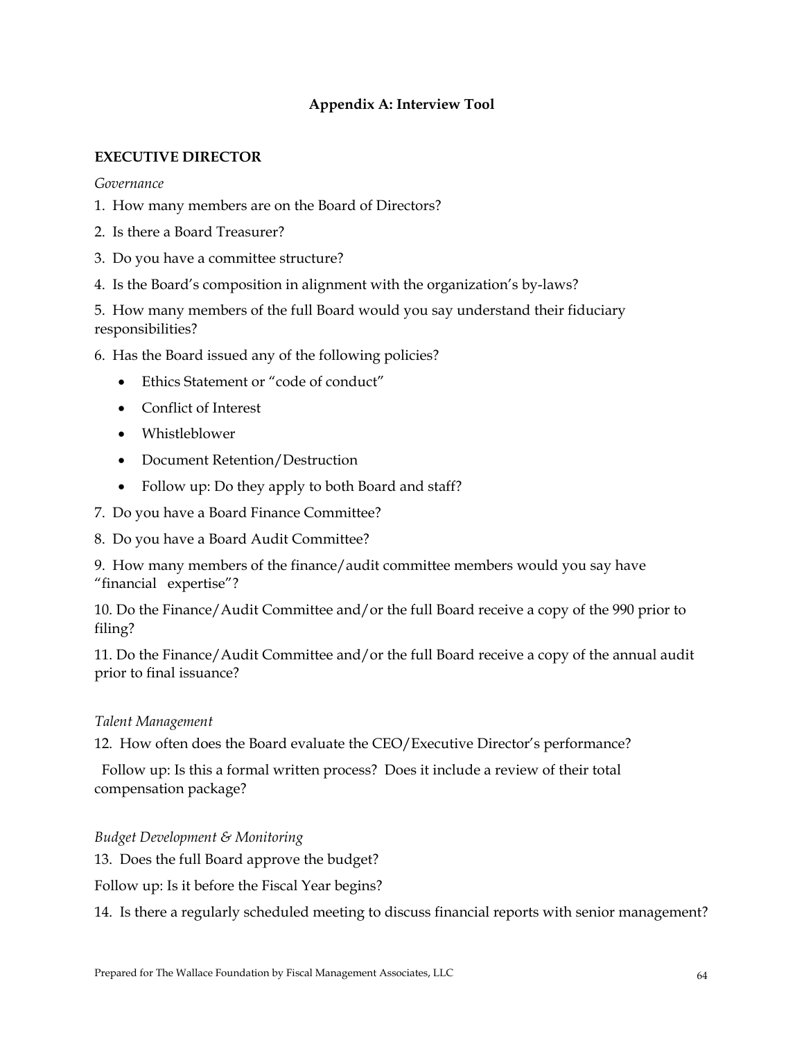# **Appendix A: Interview Tool**

## **EXECUTIVE DIRECTOR**

#### *Governance*

- 1. How many members are on the Board of Directors?
- 2. Is there a Board Treasurer?
- 3. Do you have a committee structure?
- 4. Is the Board's composition in alignment with the organization's by-laws?

5. How many members of the full Board would you say understand their fiduciary responsibilities?

6. Has the Board issued any of the following policies?

- Ethics Statement or "code of conduct"
- Conflict of Interest
- Whistleblower
- Document Retention/Destruction
- Follow up: Do they apply to both Board and staff?
- 7. Do you have a Board Finance Committee?
- 8. Do you have a Board Audit Committee?

9. How many members of the finance/audit committee members would you say have "financial expertise"?

10. Do the Finance/Audit Committee and/or the full Board receive a copy of the 990 prior to filing?

11. Do the Finance/Audit Committee and/or the full Board receive a copy of the annual audit prior to final issuance?

## *Talent Management*

12. How often does the Board evaluate the CEO/Executive Director's performance?

 Follow up: Is this a formal written process? Does it include a review of their total compensation package?

## *Budget Development & Monitoring*

13. Does the full Board approve the budget?

Follow up: Is it before the Fiscal Year begins?

14. Is there a regularly scheduled meeting to discuss financial reports with senior management?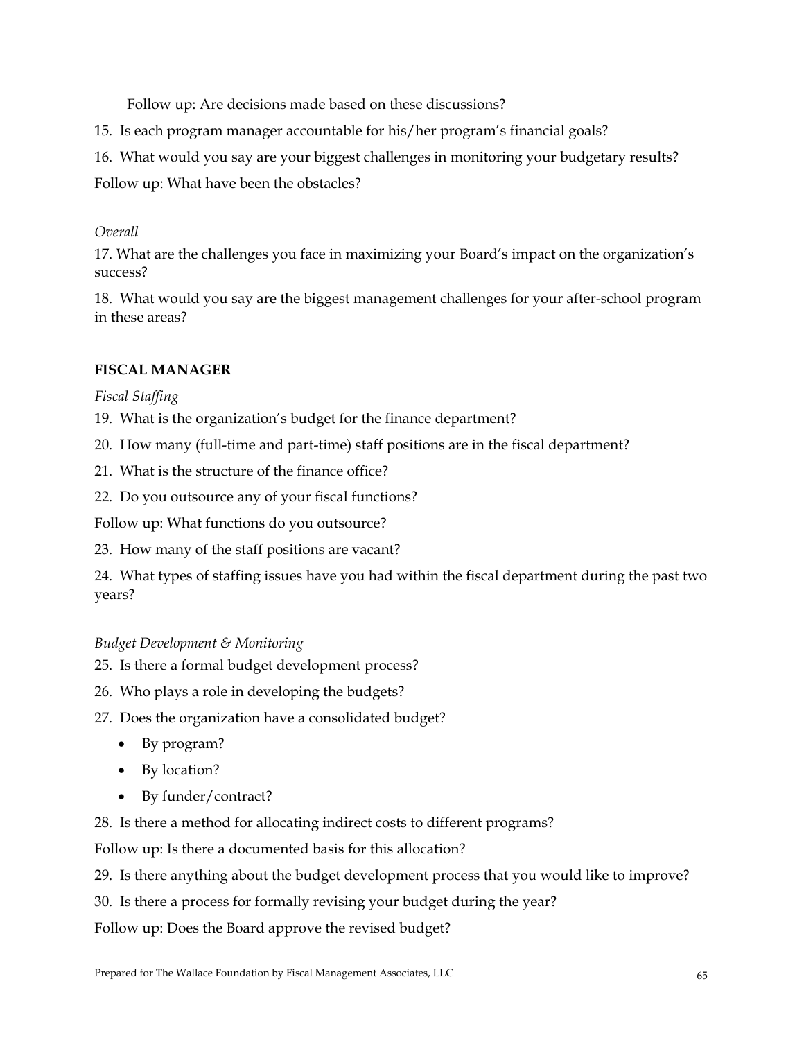Follow up: Are decisions made based on these discussions?

15. Is each program manager accountable for his/her program's financial goals?

16. What would you say are your biggest challenges in monitoring your budgetary results?

Follow up: What have been the obstacles?

#### *Overall*

17. What are the challenges you face in maximizing your Board's impact on the organization's success?

18. What would you say are the biggest management challenges for your after-school program in these areas?

## **FISCAL MANAGER**

#### *Fiscal Staffing*

19. What is the organization's budget for the finance department?

20. How many (full-time and part-time) staff positions are in the fiscal department?

21. What is the structure of the finance office?

22. Do you outsource any of your fiscal functions?

Follow up: What functions do you outsource?

23. How many of the staff positions are vacant?

24. What types of staffing issues have you had within the fiscal department during the past two years?

## *Budget Development & Monitoring*

- 25. Is there a formal budget development process?
- 26. Who plays a role in developing the budgets?
- 27. Does the organization have a consolidated budget?
	- By program?
	- By location?
	- By funder/contract?

28. Is there a method for allocating indirect costs to different programs?

Follow up: Is there a documented basis for this allocation?

29. Is there anything about the budget development process that you would like to improve?

30. Is there a process for formally revising your budget during the year?

Follow up: Does the Board approve the revised budget?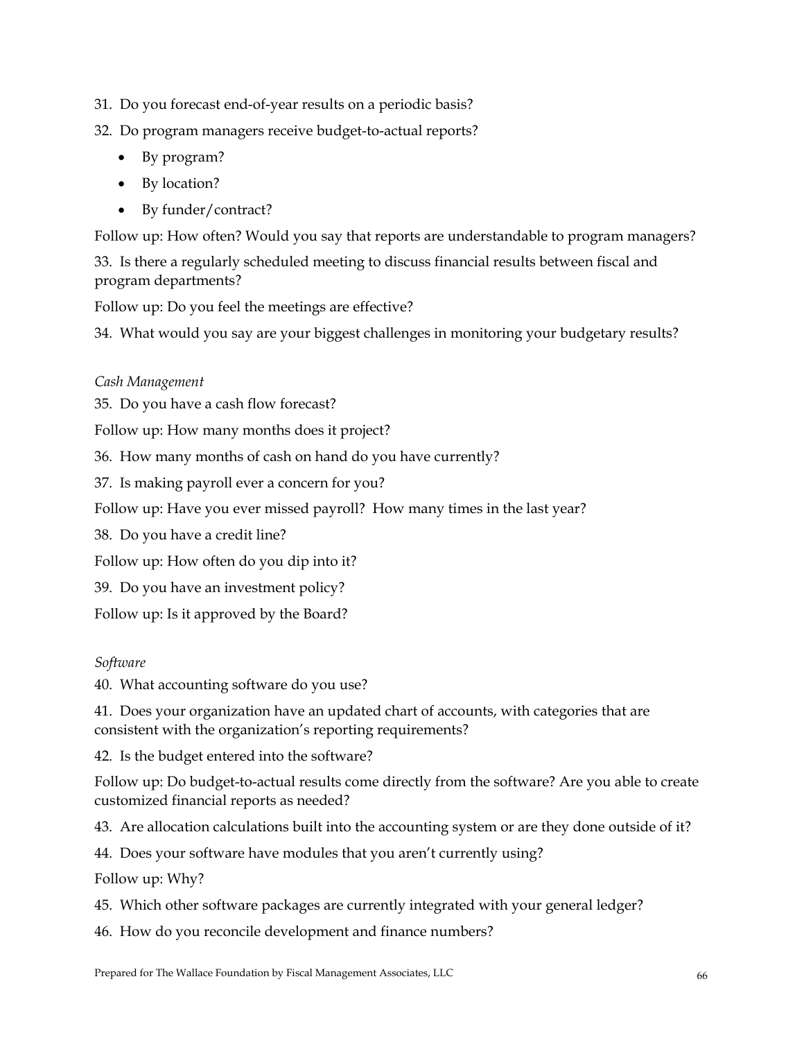## 31. Do you forecast end-of-year results on a periodic basis?

## 32. Do program managers receive budget-to-actual reports?

- By program?
- By location?
- By funder/contract?

Follow up: How often? Would you say that reports are understandable to program managers?

33. Is there a regularly scheduled meeting to discuss financial results between fiscal and program departments?

Follow up: Do you feel the meetings are effective?

34. What would you say are your biggest challenges in monitoring your budgetary results?

## *Cash Management*

35. Do you have a cash flow forecast?

Follow up: How many months does it project?

36. How many months of cash on hand do you have currently?

37. Is making payroll ever a concern for you?

Follow up: Have you ever missed payroll? How many times in the last year?

38. Do you have a credit line?

Follow up: How often do you dip into it?

39. Do you have an investment policy?

Follow up: Is it approved by the Board?

## *Software*

40. What accounting software do you use?

41. Does your organization have an updated chart of accounts, with categories that are consistent with the organization's reporting requirements?

42. Is the budget entered into the software?

Follow up: Do budget-to-actual results come directly from the software? Are you able to create customized financial reports as needed?

43. Are allocation calculations built into the accounting system or are they done outside of it?

44. Does your software have modules that you aren't currently using?

Follow up: Why?

- 45. Which other software packages are currently integrated with your general ledger?
- 46. How do you reconcile development and finance numbers?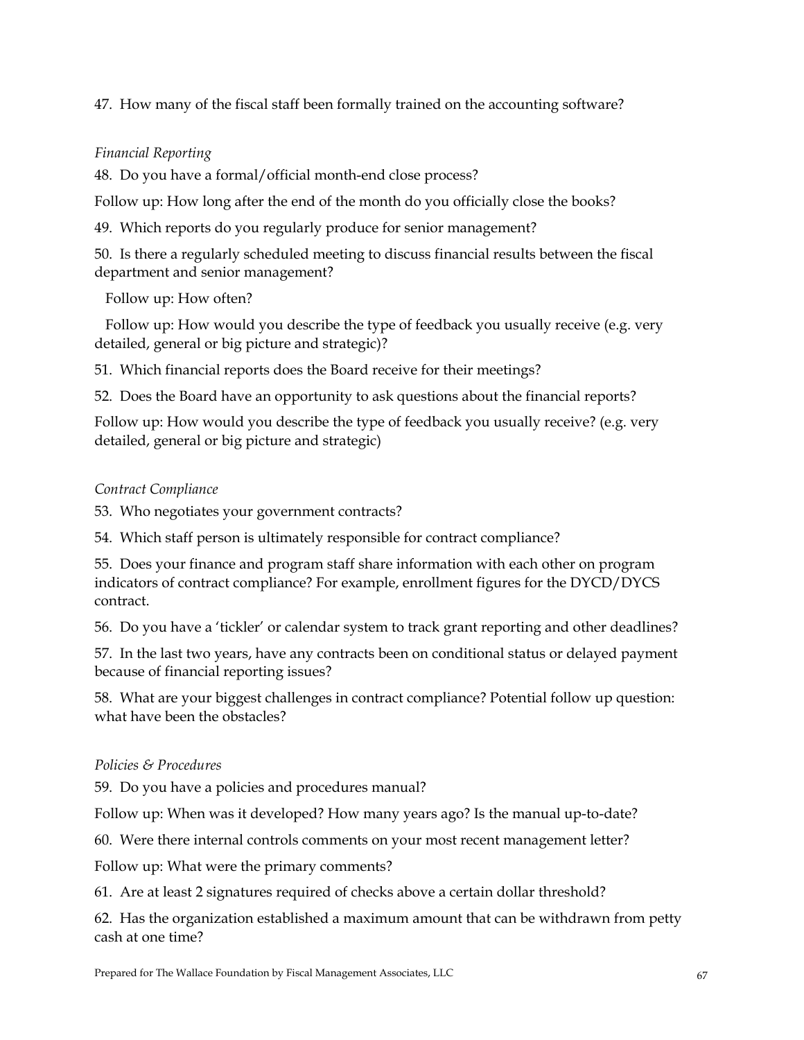47. How many of the fiscal staff been formally trained on the accounting software?

## *Financial Reporting*

48. Do you have a formal/official month-end close process?

Follow up: How long after the end of the month do you officially close the books?

49. Which reports do you regularly produce for senior management?

50. Is there a regularly scheduled meeting to discuss financial results between the fiscal department and senior management?

Follow up: How often?

 Follow up: How would you describe the type of feedback you usually receive (e.g. very detailed, general or big picture and strategic)?

51. Which financial reports does the Board receive for their meetings?

52. Does the Board have an opportunity to ask questions about the financial reports?

Follow up: How would you describe the type of feedback you usually receive? (e.g. very detailed, general or big picture and strategic)

## *Contract Compliance*

53. Who negotiates your government contracts?

54. Which staff person is ultimately responsible for contract compliance?

55. Does your finance and program staff share information with each other on program indicators of contract compliance? For example, enrollment figures for the DYCD/DYCS contract.

56. Do you have a 'tickler' or calendar system to track grant reporting and other deadlines?

57. In the last two years, have any contracts been on conditional status or delayed payment because of financial reporting issues?

58. What are your biggest challenges in contract compliance? Potential follow up question: what have been the obstacles?

# *Policies & Procedures*

59. Do you have a policies and procedures manual?

Follow up: When was it developed? How many years ago? Is the manual up-to-date?

60. Were there internal controls comments on your most recent management letter?

Follow up: What were the primary comments?

61. Are at least 2 signatures required of checks above a certain dollar threshold?

62. Has the organization established a maximum amount that can be withdrawn from petty cash at one time?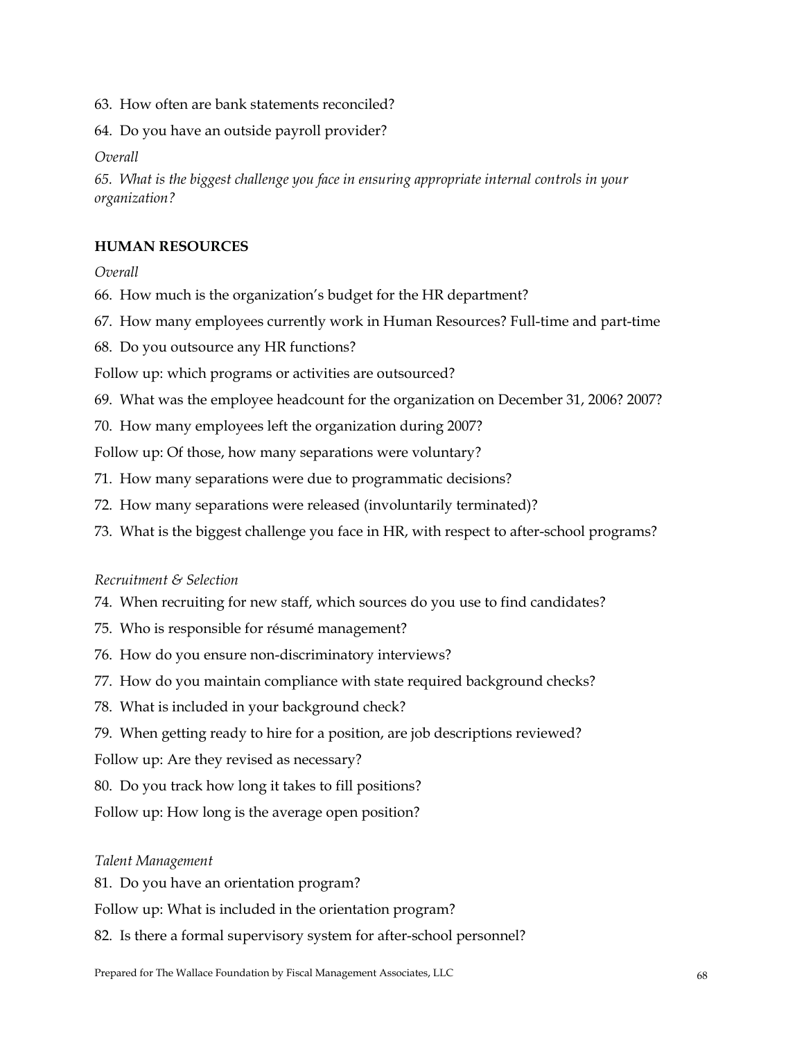- 63. How often are bank statements reconciled?
- 64. Do you have an outside payroll provider?

*Overall* 

*65. What is the biggest challenge you face in ensuring appropriate internal controls in your organization?* 

## **HUMAN RESOURCES**

#### *Overall*

- 66. How much is the organization's budget for the HR department?
- 67. How many employees currently work in Human Resources? Full-time and part-time
- 68. Do you outsource any HR functions?

Follow up: which programs or activities are outsourced?

- 69. What was the employee headcount for the organization on December 31, 2006? 2007?
- 70. How many employees left the organization during 2007?

Follow up: Of those, how many separations were voluntary?

- 71. How many separations were due to programmatic decisions?
- 72. How many separations were released (involuntarily terminated)?
- 73. What is the biggest challenge you face in HR, with respect to after-school programs?

#### *Recruitment & Selection*

- 74. When recruiting for new staff, which sources do you use to find candidates?
- 75. Who is responsible for résumé management?
- 76. How do you ensure non-discriminatory interviews?
- 77. How do you maintain compliance with state required background checks?
- 78. What is included in your background check?
- 79. When getting ready to hire for a position, are job descriptions reviewed?
- Follow up: Are they revised as necessary?
- 80. Do you track how long it takes to fill positions?
- Follow up: How long is the average open position?

#### *Talent Management*

81. Do you have an orientation program?

Follow up: What is included in the orientation program?

82. Is there a formal supervisory system for after-school personnel?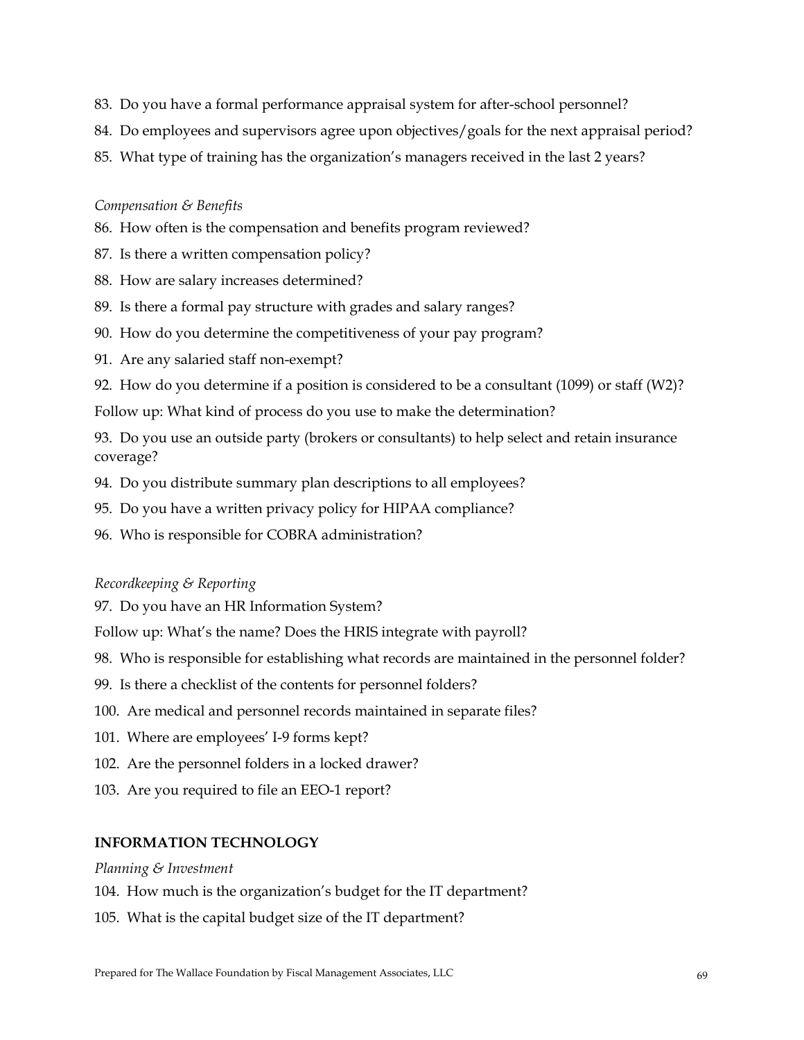- 83. Do you have a formal performance appraisal system for after-school personnel?
- 84. Do employees and supervisors agree upon objectives/goals for the next appraisal period?
- 85. What type of training has the organization's managers received in the last 2 years?

## *Compensation & Benefits*

- 86. How often is the compensation and benefits program reviewed?
- 87. Is there a written compensation policy?
- 88. How are salary increases determined?
- 89. Is there a formal pay structure with grades and salary ranges?
- 90. How do you determine the competitiveness of your pay program?
- 91. Are any salaried staff non-exempt?
- 92. How do you determine if a position is considered to be a consultant  $(1099)$  or staff  $(W2)$ ?

Follow up: What kind of process do you use to make the determination?

93. Do you use an outside party (brokers or consultants) to help select and retain insurance coverage?

- 94. Do you distribute summary plan descriptions to all employees?
- 95. Do you have a written privacy policy for HIPAA compliance?
- 96. Who is responsible for COBRA administration?

#### *Recordkeeping & Reporting*

97. Do you have an HR Information System?

Follow up: What's the name? Does the HRIS integrate with payroll?

- 98. Who is responsible for establishing what records are maintained in the personnel folder?
- 99. Is there a checklist of the contents for personnel folders?
- 100. Are medical and personnel records maintained in separate files?
- 101. Where are employees' I-9 forms kept?
- 102. Are the personnel folders in a locked drawer?
- 103. Are you required to file an EEO-1 report?

## **INFORMATION TECHNOLOGY**

#### *Planning & Investment*

104. How much is the organization's budget for the IT department?

105. What is the capital budget size of the IT department?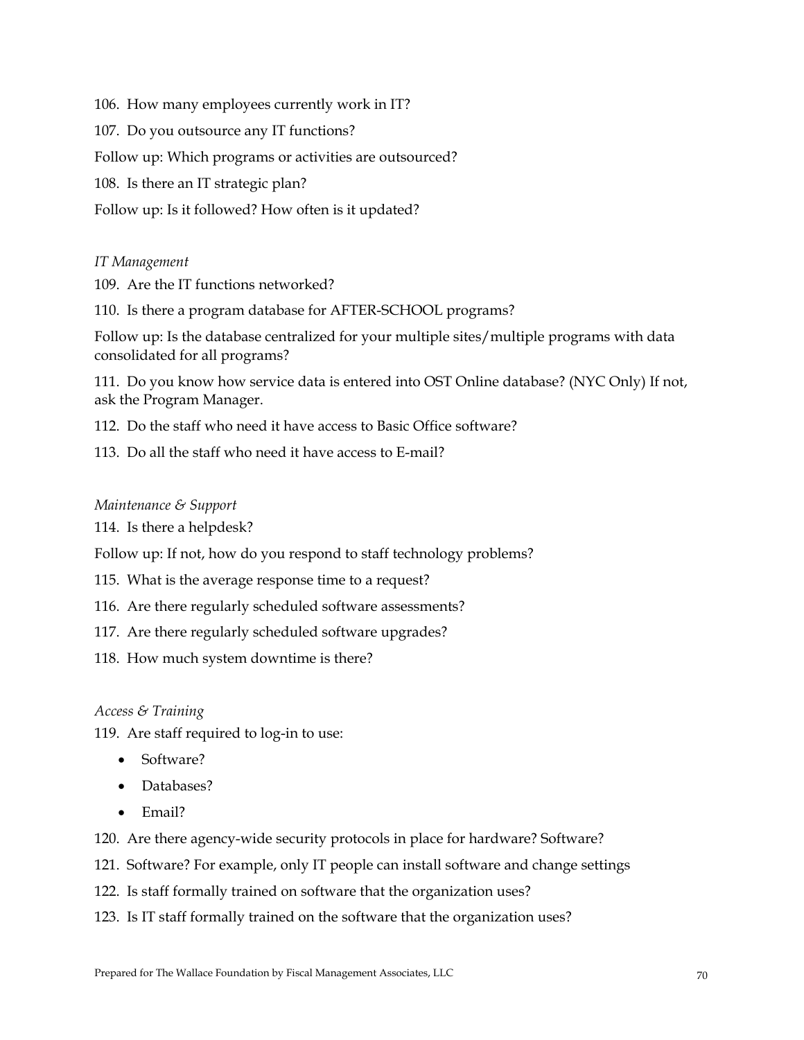106. How many employees currently work in IT? 107. Do you outsource any IT functions? Follow up: Which programs or activities are outsourced? 108. Is there an IT strategic plan? Follow up: Is it followed? How often is it updated?

*IT Management* 

109. Are the IT functions networked?

110. Is there a program database for AFTER-SCHOOL programs?

Follow up: Is the database centralized for your multiple sites/multiple programs with data consolidated for all programs?

111. Do you know how service data is entered into OST Online database? (NYC Only) If not, ask the Program Manager.

112. Do the staff who need it have access to Basic Office software?

113. Do all the staff who need it have access to E-mail?

#### *Maintenance & Support*

114. Is there a helpdesk?

Follow up: If not, how do you respond to staff technology problems?

115. What is the average response time to a request?

116. Are there regularly scheduled software assessments?

117. Are there regularly scheduled software upgrades?

118. How much system downtime is there?

#### *Access & Training*

119. Are staff required to log-in to use:

- Software?
- Databases?
- Email?

120. Are there agency-wide security protocols in place for hardware? Software?

- 121. Software? For example, only IT people can install software and change settings
- 122. Is staff formally trained on software that the organization uses?
- 123. Is IT staff formally trained on the software that the organization uses?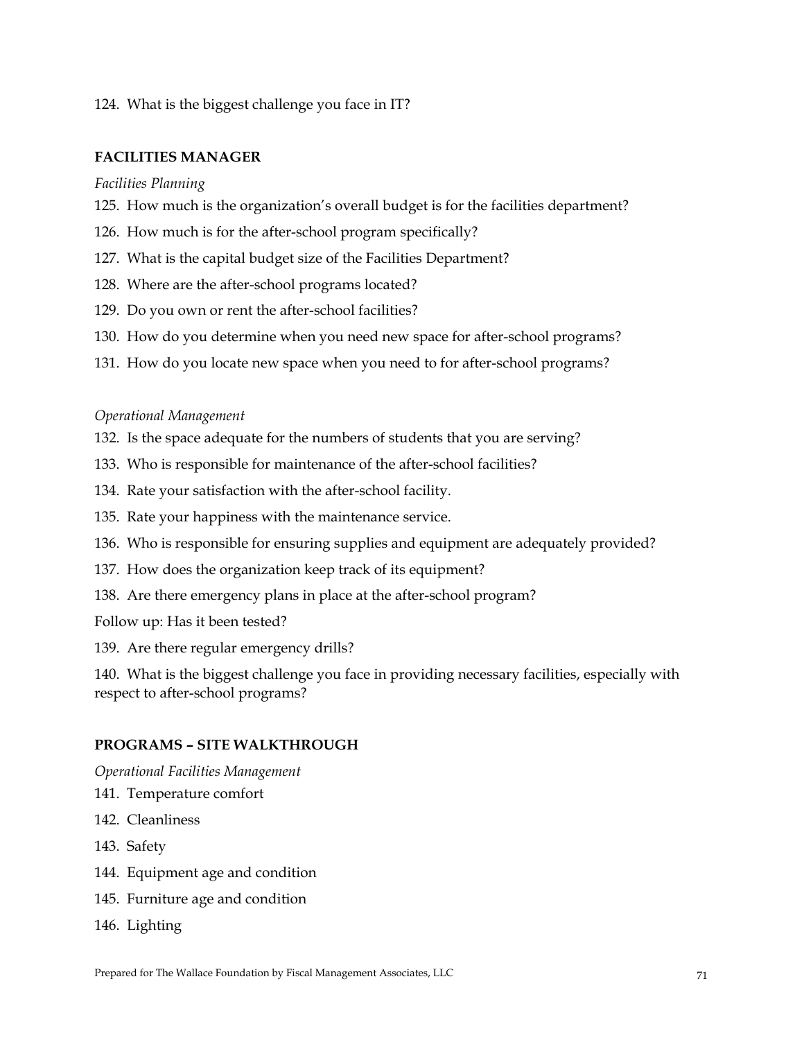124. What is the biggest challenge you face in IT?

#### **FACILITIES MANAGER**

*Facilities Planning* 

- 125. How much is the organization's overall budget is for the facilities department?
- 126. How much is for the after-school program specifically?
- 127. What is the capital budget size of the Facilities Department?
- 128. Where are the after-school programs located?
- 129. Do you own or rent the after-school facilities?
- 130. How do you determine when you need new space for after-school programs?
- 131. How do you locate new space when you need to for after-school programs?

#### *Operational Management*

- 132.Is the space adequate for the numbers of students that you are serving?
- 133. Who is responsible for maintenance of the after-school facilities?
- 134. Rate your satisfaction with the after-school facility.
- 135. Rate your happiness with the maintenance service.
- 136. Who is responsible for ensuring supplies and equipment are adequately provided?
- 137. How does the organization keep track of its equipment?
- 138. Are there emergency plans in place at the after-school program?

Follow up: Has it been tested?

139. Are there regular emergency drills?

140. What is the biggest challenge you face in providing necessary facilities, especially with respect to after-school programs?

#### **PROGRAMS – SITE WALKTHROUGH**

*Operational Facilities Management* 

- 141. Temperature comfort
- 142. Cleanliness
- 143. Safety
- 144. Equipment age and condition
- 145. Furniture age and condition
- 146. Lighting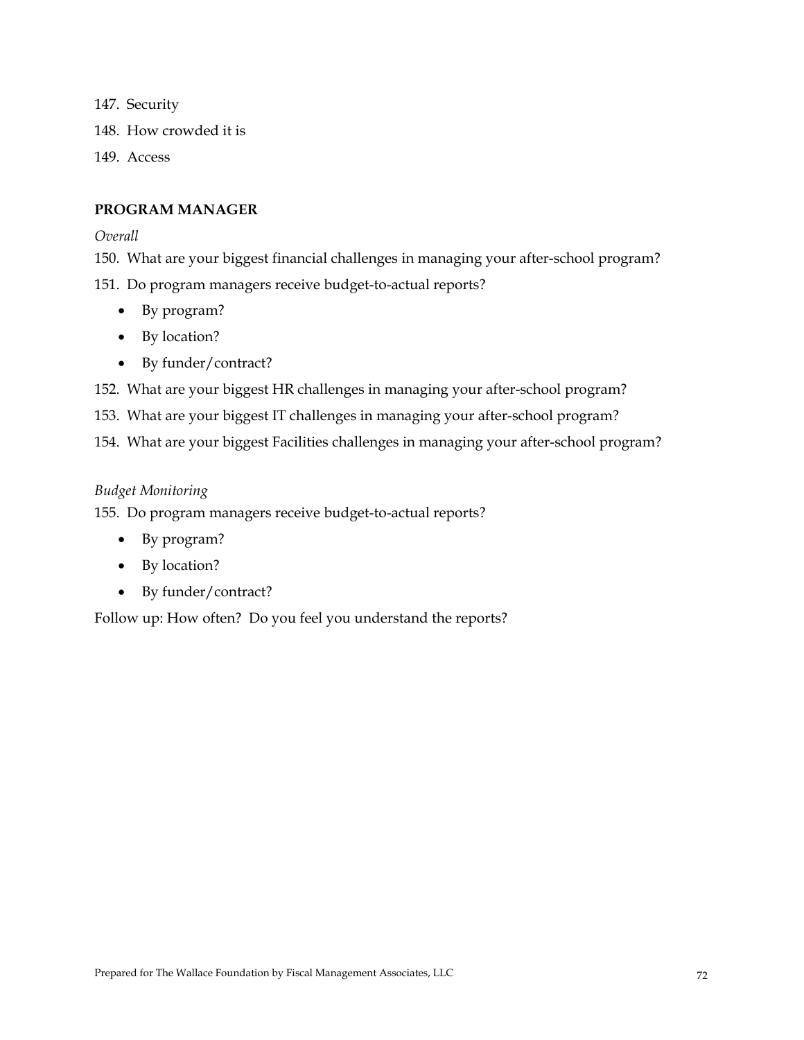147. Security 148. How crowded it is 149. Access

### **PROGRAM MANAGER**

*Overall* 

150. What are your biggest financial challenges in managing your after-school program?

151. Do program managers receive budget-to-actual reports?

- By program?
- By location?
- By funder/contract?
- 152. What are your biggest HR challenges in managing your after-school program?
- 153. What are your biggest IT challenges in managing your after-school program?

154. What are your biggest Facilities challenges in managing your after-school program?

#### *Budget Monitoring*

155. Do program managers receive budget-to-actual reports?

- By program?
- By location?
- By funder/contract?

Follow up: How often? Do you feel you understand the reports?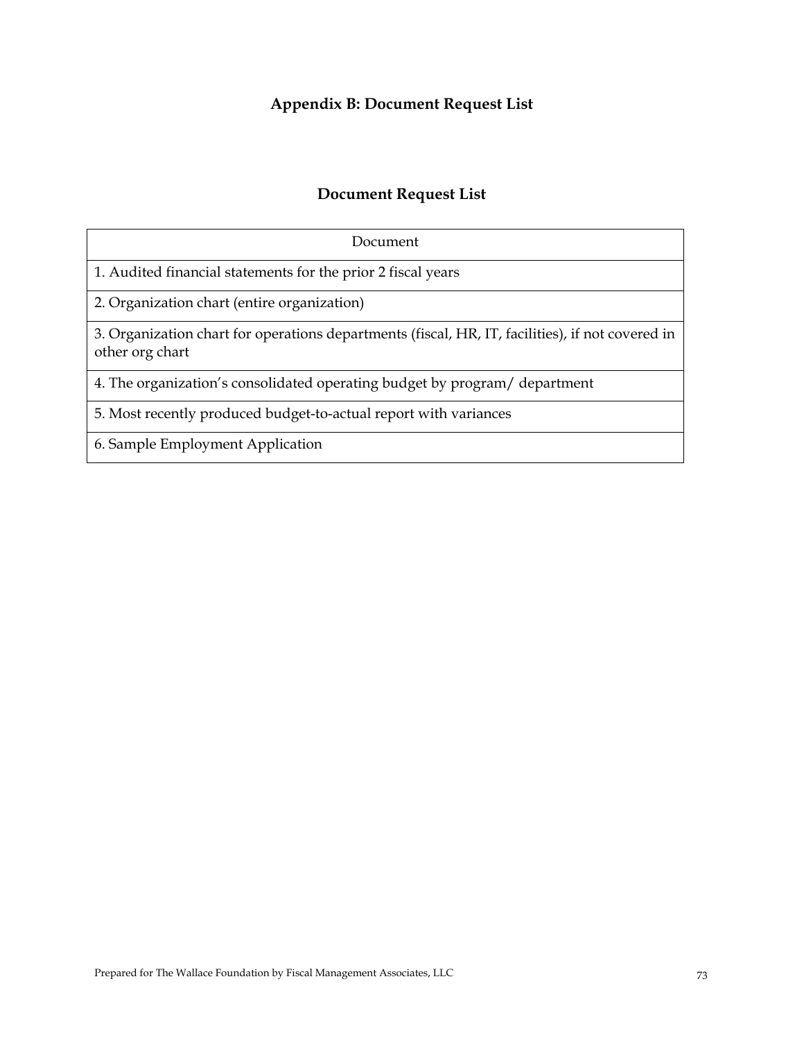# **Appendix B: Document Request List**

## **Document Request List**

| Document                                                                                                            |
|---------------------------------------------------------------------------------------------------------------------|
| 1. Audited financial statements for the prior 2 fiscal years                                                        |
| 2. Organization chart (entire organization)                                                                         |
| 3. Organization chart for operations departments (fiscal, HR, IT, facilities), if not covered in<br>other org chart |
| 4. The organization's consolidated operating budget by program/ department                                          |
| 5. Most recently produced budget-to-actual report with variances                                                    |
| 6. Sample Employment Application                                                                                    |